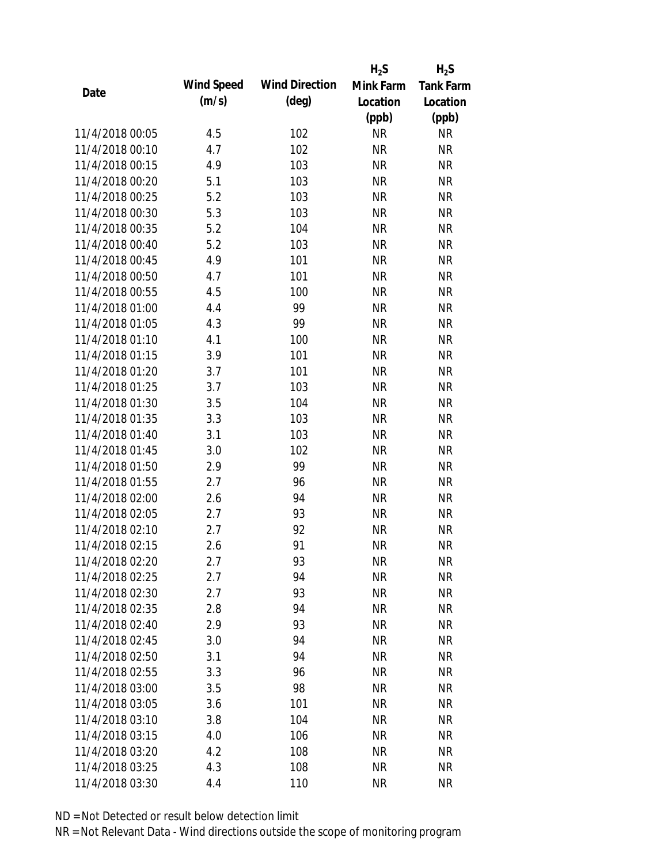|                 |            |                       | $H_2S$    | $H_2S$           |
|-----------------|------------|-----------------------|-----------|------------------|
| Date            | Wind Speed | <b>Wind Direction</b> | Mink Farm | <b>Tank Farm</b> |
|                 | (m/s)      | $(\text{deg})$        | Location  | Location         |
|                 |            |                       | (ppb)     | (ppb)            |
| 11/4/2018 00:05 | 4.5        | 102                   | <b>NR</b> | <b>NR</b>        |
| 11/4/2018 00:10 | 4.7        | 102                   | <b>NR</b> | <b>NR</b>        |
| 11/4/2018 00:15 | 4.9        | 103                   | <b>NR</b> | <b>NR</b>        |
| 11/4/2018 00:20 | 5.1        | 103                   | <b>NR</b> | <b>NR</b>        |
| 11/4/2018 00:25 | 5.2        | 103                   | <b>NR</b> | <b>NR</b>        |
| 11/4/2018 00:30 | 5.3        | 103                   | <b>NR</b> | <b>NR</b>        |
| 11/4/2018 00:35 | 5.2        | 104                   | <b>NR</b> | <b>NR</b>        |
| 11/4/2018 00:40 | 5.2        | 103                   | <b>NR</b> | <b>NR</b>        |
| 11/4/2018 00:45 | 4.9        | 101                   | <b>NR</b> | <b>NR</b>        |
| 11/4/2018 00:50 | 4.7        | 101                   | <b>NR</b> | <b>NR</b>        |
| 11/4/2018 00:55 | 4.5        | 100                   | <b>NR</b> | <b>NR</b>        |
| 11/4/2018 01:00 | 4.4        | 99                    | <b>NR</b> | <b>NR</b>        |
| 11/4/2018 01:05 | 4.3        | 99                    | <b>NR</b> | <b>NR</b>        |
| 11/4/2018 01:10 | 4.1        | 100                   | <b>NR</b> | <b>NR</b>        |
| 11/4/2018 01:15 | 3.9        | 101                   | <b>NR</b> | <b>NR</b>        |
| 11/4/2018 01:20 | 3.7        | 101                   | <b>NR</b> | <b>NR</b>        |
| 11/4/2018 01:25 | 3.7        | 103                   | <b>NR</b> | <b>NR</b>        |
| 11/4/2018 01:30 | 3.5        | 104                   | <b>NR</b> | <b>NR</b>        |
| 11/4/2018 01:35 | 3.3        | 103                   | <b>NR</b> | <b>NR</b>        |
| 11/4/2018 01:40 | 3.1        | 103                   | <b>NR</b> | <b>NR</b>        |
| 11/4/2018 01:45 | 3.0        | 102                   | <b>NR</b> | <b>NR</b>        |
| 11/4/2018 01:50 | 2.9        | 99                    | <b>NR</b> | <b>NR</b>        |
| 11/4/2018 01:55 | 2.7        | 96                    | <b>NR</b> | <b>NR</b>        |
| 11/4/2018 02:00 | 2.6        | 94                    | <b>NR</b> | <b>NR</b>        |
| 11/4/2018 02:05 | 2.7        | 93                    | <b>NR</b> | <b>NR</b>        |
| 11/4/2018 02:10 | 2.7        | 92                    | <b>NR</b> | <b>NR</b>        |
| 11/4/2018 02:15 | 2.6        | 91                    | <b>NR</b> | <b>NR</b>        |
| 11/4/2018 02:20 | 2.7        | 93                    | <b>NR</b> | <b>NR</b>        |
| 11/4/2018 02:25 | 2.7        | 94                    | <b>NR</b> | <b>NR</b>        |
| 11/4/2018 02:30 | 2.7        | 93                    | <b>NR</b> | <b>NR</b>        |
| 11/4/2018 02:35 | 2.8        | 94                    | <b>NR</b> | <b>NR</b>        |
| 11/4/2018 02:40 | 2.9        | 93                    | <b>NR</b> | <b>NR</b>        |
| 11/4/2018 02:45 | 3.0        | 94                    | <b>NR</b> | <b>NR</b>        |
| 11/4/2018 02:50 | 3.1        | 94                    | <b>NR</b> | <b>NR</b>        |
| 11/4/2018 02:55 | 3.3        | 96                    | <b>NR</b> | NR               |
| 11/4/2018 03:00 | 3.5        | 98                    | <b>NR</b> | <b>NR</b>        |
| 11/4/2018 03:05 | 3.6        | 101                   | <b>NR</b> | NR               |
| 11/4/2018 03:10 | 3.8        | 104                   | NR        | <b>NR</b>        |
| 11/4/2018 03:15 | 4.0        | 106                   | <b>NR</b> | NR               |
| 11/4/2018 03:20 | 4.2        | 108                   | <b>NR</b> | NR               |
| 11/4/2018 03:25 | 4.3        | 108                   | <b>NR</b> | <b>NR</b>        |
| 11/4/2018 03:30 | 4.4        | 110                   | <b>NR</b> | <b>NR</b>        |
|                 |            |                       |           |                  |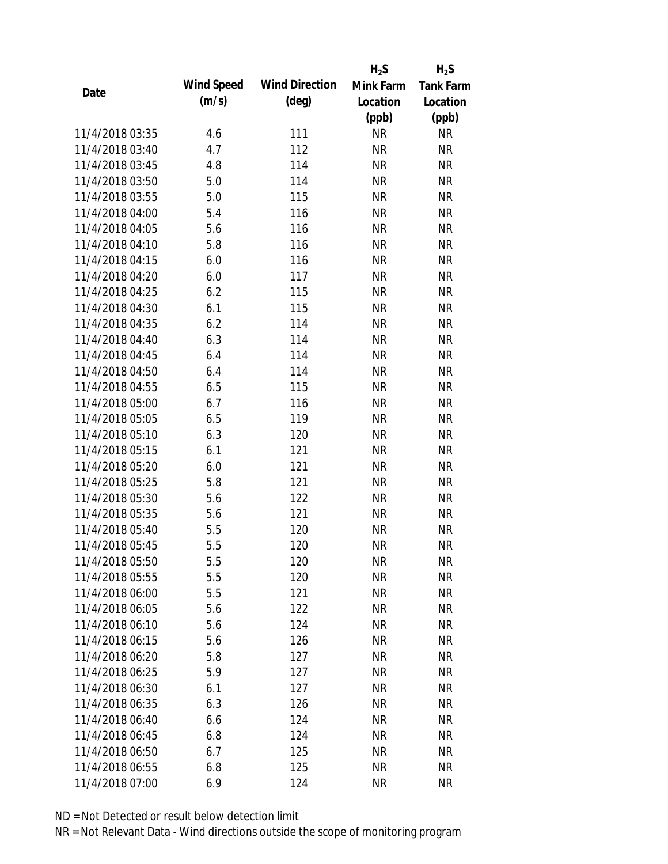|                 |            |                       | $H_2S$    | $H_2S$           |
|-----------------|------------|-----------------------|-----------|------------------|
|                 | Wind Speed | <b>Wind Direction</b> | Mink Farm | <b>Tank Farm</b> |
| Date            | (m/s)      | $(\text{deg})$        | Location  | Location         |
|                 |            |                       | (ppb)     | (ppb)            |
| 11/4/2018 03:35 | 4.6        | 111                   | <b>NR</b> | <b>NR</b>        |
| 11/4/2018 03:40 | 4.7        | 112                   | <b>NR</b> | <b>NR</b>        |
| 11/4/2018 03:45 | 4.8        | 114                   | <b>NR</b> | <b>NR</b>        |
| 11/4/2018 03:50 | 5.0        | 114                   | <b>NR</b> | <b>NR</b>        |
| 11/4/2018 03:55 | 5.0        | 115                   | <b>NR</b> | <b>NR</b>        |
| 11/4/2018 04:00 | 5.4        | 116                   | <b>NR</b> | <b>NR</b>        |
| 11/4/2018 04:05 | 5.6        | 116                   | <b>NR</b> | <b>NR</b>        |
| 11/4/2018 04:10 | 5.8        | 116                   | <b>NR</b> | <b>NR</b>        |
| 11/4/2018 04:15 | 6.0        | 116                   | <b>NR</b> | <b>NR</b>        |
| 11/4/2018 04:20 | 6.0        | 117                   | <b>NR</b> | <b>NR</b>        |
| 11/4/2018 04:25 | 6.2        | 115                   | <b>NR</b> | <b>NR</b>        |
| 11/4/2018 04:30 | 6.1        | 115                   | <b>NR</b> | <b>NR</b>        |
| 11/4/2018 04:35 | 6.2        | 114                   | <b>NR</b> | <b>NR</b>        |
| 11/4/2018 04:40 | 6.3        | 114                   | <b>NR</b> | <b>NR</b>        |
| 11/4/2018 04:45 | 6.4        | 114                   | <b>NR</b> | <b>NR</b>        |
| 11/4/2018 04:50 | 6.4        | 114                   | <b>NR</b> | <b>NR</b>        |
| 11/4/2018 04:55 | 6.5        | 115                   | <b>NR</b> | <b>NR</b>        |
| 11/4/2018 05:00 | 6.7        | 116                   | <b>NR</b> | <b>NR</b>        |
| 11/4/2018 05:05 | 6.5        | 119                   | <b>NR</b> | <b>NR</b>        |
| 11/4/2018 05:10 | 6.3        | 120                   | <b>NR</b> | <b>NR</b>        |
| 11/4/2018 05:15 | 6.1        | 121                   | <b>NR</b> | <b>NR</b>        |
| 11/4/2018 05:20 | 6.0        | 121                   | <b>NR</b> | <b>NR</b>        |
| 11/4/2018 05:25 | 5.8        | 121                   | <b>NR</b> | <b>NR</b>        |
| 11/4/2018 05:30 | 5.6        | 122                   | <b>NR</b> | <b>NR</b>        |
| 11/4/2018 05:35 | 5.6        | 121                   | <b>NR</b> | <b>NR</b>        |
| 11/4/2018 05:40 | 5.5        | 120                   | <b>NR</b> | <b>NR</b>        |
| 11/4/2018 05:45 | 5.5        | 120                   | <b>NR</b> | <b>NR</b>        |
| 11/4/2018 05:50 | 5.5        | 120                   | <b>NR</b> | <b>NR</b>        |
| 11/4/2018 05:55 | 5.5        | 120                   | <b>NR</b> | <b>NR</b>        |
| 11/4/2018 06:00 | 5.5        | 121                   | <b>NR</b> | ΝR               |
| 11/4/2018 06:05 | 5.6        | 122                   | <b>NR</b> | <b>NR</b>        |
| 11/4/2018 06:10 | 5.6        | 124                   | <b>NR</b> | NR               |
| 11/4/2018 06:15 | 5.6        | 126                   | <b>NR</b> | NR               |
| 11/4/2018 06:20 | 5.8        | 127                   | <b>NR</b> | <b>NR</b>        |
| 11/4/2018 06:25 | 5.9        | 127                   | <b>NR</b> | NR               |
| 11/4/2018 06:30 | 6.1        | 127                   | <b>NR</b> | NR               |
|                 |            |                       |           |                  |
| 11/4/2018 06:35 | 6.3        | 126                   | <b>NR</b> | <b>NR</b>        |
| 11/4/2018 06:40 | 6.6        | 124                   | <b>NR</b> | <b>NR</b>        |
| 11/4/2018 06:45 | 6.8        | 124                   | <b>NR</b> | NR               |
| 11/4/2018 06:50 | 6.7        | 125                   | <b>NR</b> | NR               |
| 11/4/2018 06:55 | 6.8        | 125                   | <b>NR</b> | <b>NR</b>        |
| 11/4/2018 07:00 | 6.9        | 124                   | <b>NR</b> | <b>NR</b>        |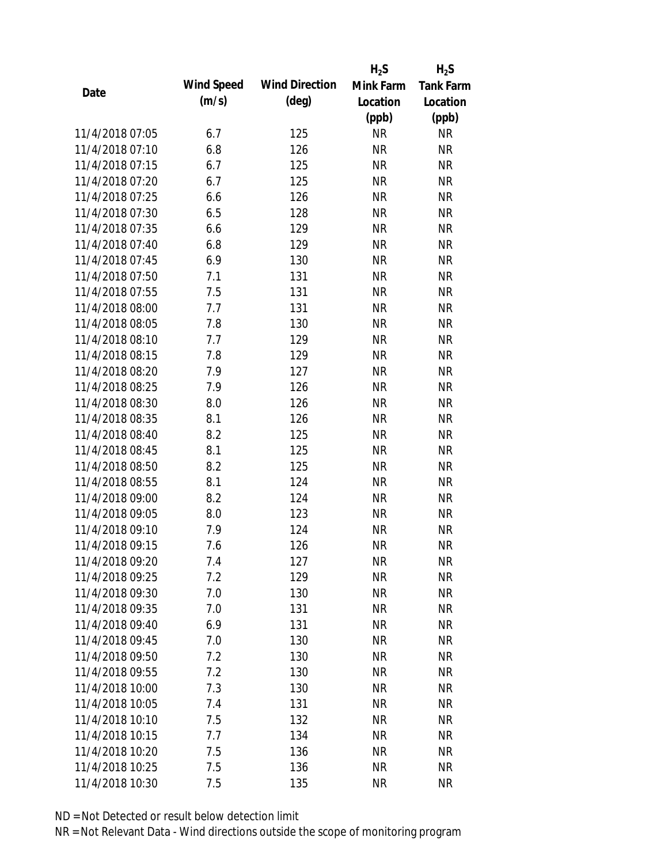|                 |            |                       | $H_2S$    | $H_2S$           |
|-----------------|------------|-----------------------|-----------|------------------|
|                 | Wind Speed | <b>Wind Direction</b> | Mink Farm | <b>Tank Farm</b> |
| Date            | (m/s)      | $(\text{deg})$        | Location  | Location         |
|                 |            |                       | (ppb)     | (ppb)            |
| 11/4/2018 07:05 | 6.7        | 125                   | <b>NR</b> | <b>NR</b>        |
| 11/4/2018 07:10 | 6.8        | 126                   | <b>NR</b> | <b>NR</b>        |
| 11/4/2018 07:15 | 6.7        | 125                   | <b>NR</b> | <b>NR</b>        |
| 11/4/2018 07:20 | 6.7        | 125                   | <b>NR</b> | <b>NR</b>        |
| 11/4/2018 07:25 | 6.6        | 126                   | <b>NR</b> | <b>NR</b>        |
| 11/4/2018 07:30 | 6.5        | 128                   | <b>NR</b> | <b>NR</b>        |
| 11/4/2018 07:35 | 6.6        | 129                   | <b>NR</b> | <b>NR</b>        |
| 11/4/2018 07:40 | 6.8        | 129                   | <b>NR</b> | <b>NR</b>        |
| 11/4/2018 07:45 | 6.9        | 130                   | <b>NR</b> | <b>NR</b>        |
| 11/4/2018 07:50 | 7.1        | 131                   | <b>NR</b> | <b>NR</b>        |
| 11/4/2018 07:55 | 7.5        | 131                   | <b>NR</b> | <b>NR</b>        |
| 11/4/2018 08:00 | 7.7        | 131                   | <b>NR</b> | <b>NR</b>        |
| 11/4/2018 08:05 | 7.8        | 130                   | <b>NR</b> | <b>NR</b>        |
| 11/4/2018 08:10 | 7.7        | 129                   | <b>NR</b> | <b>NR</b>        |
| 11/4/2018 08:15 | 7.8        | 129                   | <b>NR</b> | <b>NR</b>        |
| 11/4/2018 08:20 | 7.9        | 127                   | <b>NR</b> | <b>NR</b>        |
| 11/4/2018 08:25 | 7.9        | 126                   | <b>NR</b> | <b>NR</b>        |
| 11/4/2018 08:30 | 8.0        | 126                   | <b>NR</b> | <b>NR</b>        |
| 11/4/2018 08:35 | 8.1        | 126                   | <b>NR</b> | <b>NR</b>        |
| 11/4/2018 08:40 | 8.2        | 125                   | <b>NR</b> | <b>NR</b>        |
| 11/4/2018 08:45 | 8.1        | 125                   | <b>NR</b> | <b>NR</b>        |
| 11/4/2018 08:50 | 8.2        | 125                   | <b>NR</b> | <b>NR</b>        |
| 11/4/2018 08:55 | 8.1        | 124                   | <b>NR</b> | <b>NR</b>        |
| 11/4/2018 09:00 | 8.2        | 124                   | <b>NR</b> | <b>NR</b>        |
| 11/4/2018 09:05 | 8.0        | 123                   | <b>NR</b> | <b>NR</b>        |
| 11/4/2018 09:10 | 7.9        | 124                   | <b>NR</b> | <b>NR</b>        |
| 11/4/2018 09:15 | 7.6        | 126                   | <b>NR</b> | <b>NR</b>        |
| 11/4/2018 09:20 | 7.4        | 127                   | <b>NR</b> | <b>NR</b>        |
| 11/4/2018 09:25 | 7.2        | 129                   | <b>NR</b> | <b>NR</b>        |
| 11/4/2018 09:30 | 7.0        | 130                   | <b>NR</b> | <b>NR</b>        |
| 11/4/2018 09:35 | 7.0        | 131                   | <b>NR</b> | <b>NR</b>        |
| 11/4/2018 09:40 | 6.9        | 131                   | <b>NR</b> | NR               |
| 11/4/2018 09:45 | 7.0        | 130                   | <b>NR</b> | NR               |
| 11/4/2018 09:50 | 7.2        | 130                   | <b>NR</b> | <b>NR</b>        |
| 11/4/2018 09:55 | 7.2        | 130                   | <b>NR</b> | <b>NR</b>        |
| 11/4/2018 10:00 | 7.3        | 130                   | <b>NR</b> | <b>NR</b>        |
| 11/4/2018 10:05 | 7.4        | 131                   | <b>NR</b> | <b>NR</b>        |
| 11/4/2018 10:10 | 7.5        | 132                   | <b>NR</b> | <b>NR</b>        |
| 11/4/2018 10:15 | 7.7        | 134                   | <b>NR</b> | NR               |
| 11/4/2018 10:20 | 7.5        | 136                   | <b>NR</b> | NR               |
| 11/4/2018 10:25 | 7.5        | 136                   | <b>NR</b> | <b>NR</b>        |
| 11/4/2018 10:30 | 7.5        | 135                   | <b>NR</b> | <b>NR</b>        |
|                 |            |                       |           |                  |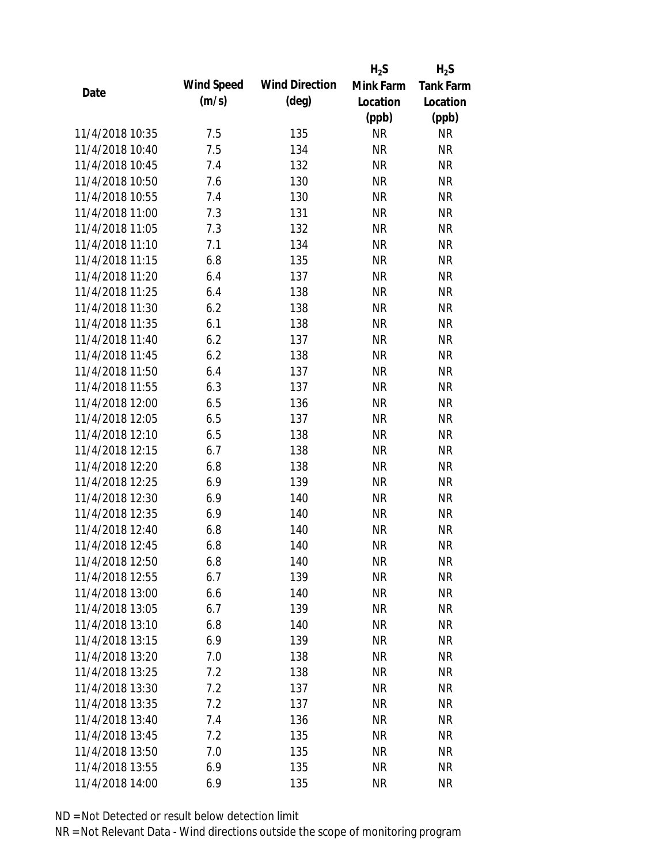|                 |            |                       | $H_2S$    | $H_2S$           |
|-----------------|------------|-----------------------|-----------|------------------|
| Date            | Wind Speed | <b>Wind Direction</b> | Mink Farm | <b>Tank Farm</b> |
|                 | (m/s)      | $(\text{deg})$        | Location  | Location         |
|                 |            |                       | (ppb)     | (ppb)            |
| 11/4/2018 10:35 | 7.5        | 135                   | <b>NR</b> | <b>NR</b>        |
| 11/4/2018 10:40 | 7.5        | 134                   | <b>NR</b> | <b>NR</b>        |
| 11/4/2018 10:45 | 7.4        | 132                   | <b>NR</b> | <b>NR</b>        |
| 11/4/2018 10:50 | 7.6        | 130                   | <b>NR</b> | <b>NR</b>        |
| 11/4/2018 10:55 | 7.4        | 130                   | <b>NR</b> | <b>NR</b>        |
| 11/4/2018 11:00 | 7.3        | 131                   | <b>NR</b> | <b>NR</b>        |
| 11/4/2018 11:05 | 7.3        | 132                   | <b>NR</b> | <b>NR</b>        |
| 11/4/2018 11:10 | 7.1        | 134                   | <b>NR</b> | <b>NR</b>        |
| 11/4/2018 11:15 | 6.8        | 135                   | <b>NR</b> | <b>NR</b>        |
| 11/4/2018 11:20 | 6.4        | 137                   | <b>NR</b> | <b>NR</b>        |
| 11/4/2018 11:25 | 6.4        | 138                   | <b>NR</b> | <b>NR</b>        |
| 11/4/2018 11:30 | 6.2        | 138                   | <b>NR</b> | <b>NR</b>        |
| 11/4/2018 11:35 | 6.1        | 138                   | <b>NR</b> | <b>NR</b>        |
| 11/4/2018 11:40 | 6.2        | 137                   | <b>NR</b> | <b>NR</b>        |
| 11/4/2018 11:45 | 6.2        | 138                   | <b>NR</b> | <b>NR</b>        |
| 11/4/2018 11:50 | 6.4        | 137                   | <b>NR</b> | <b>NR</b>        |
| 11/4/2018 11:55 | 6.3        | 137                   | <b>NR</b> | <b>NR</b>        |
| 11/4/2018 12:00 | 6.5        | 136                   | <b>NR</b> | <b>NR</b>        |
| 11/4/2018 12:05 | 6.5        | 137                   | <b>NR</b> | <b>NR</b>        |
| 11/4/2018 12:10 | 6.5        | 138                   | <b>NR</b> | <b>NR</b>        |
| 11/4/2018 12:15 | 6.7        | 138                   | <b>NR</b> | <b>NR</b>        |
| 11/4/2018 12:20 | 6.8        | 138                   | <b>NR</b> | <b>NR</b>        |
| 11/4/2018 12:25 | 6.9        | 139                   | <b>NR</b> | <b>NR</b>        |
| 11/4/2018 12:30 | 6.9        | 140                   | <b>NR</b> | <b>NR</b>        |
| 11/4/2018 12:35 | 6.9        | 140                   | <b>NR</b> | <b>NR</b>        |
| 11/4/2018 12:40 | 6.8        | 140                   | <b>NR</b> | <b>NR</b>        |
| 11/4/2018 12:45 | 6.8        | 140                   | <b>NR</b> | <b>NR</b>        |
| 11/4/2018 12:50 | 6.8        | 140                   | <b>NR</b> | <b>NR</b>        |
| 11/4/2018 12:55 | 6.7        | 139                   | <b>NR</b> | <b>NR</b>        |
| 11/4/2018 13:00 | 6.6        | 140                   | <b>NR</b> | <b>NR</b>        |
| 11/4/2018 13:05 | 6.7        | 139                   | <b>NR</b> | <b>NR</b>        |
| 11/4/2018 13:10 | 6.8        | 140                   | <b>NR</b> | <b>NR</b>        |
| 11/4/2018 13:15 | 6.9        | 139                   | <b>NR</b> | <b>NR</b>        |
| 11/4/2018 13:20 | 7.0        | 138                   | <b>NR</b> | <b>NR</b>        |
| 11/4/2018 13:25 | 7.2        | 138                   | <b>NR</b> | NR               |
| 11/4/2018 13:30 | 7.2        | 137                   | <b>NR</b> | <b>NR</b>        |
| 11/4/2018 13:35 | 7.2        | 137                   | <b>NR</b> | <b>NR</b>        |
| 11/4/2018 13:40 | 7.4        | 136                   | NR        | <b>NR</b>        |
| 11/4/2018 13:45 | 7.2        | 135                   | <b>NR</b> | NR               |
| 11/4/2018 13:50 | 7.0        | 135                   | <b>NR</b> | NR               |
| 11/4/2018 13:55 | 6.9        | 135                   | <b>NR</b> | <b>NR</b>        |
| 11/4/2018 14:00 | 6.9        | 135                   | <b>NR</b> | <b>NR</b>        |
|                 |            |                       |           |                  |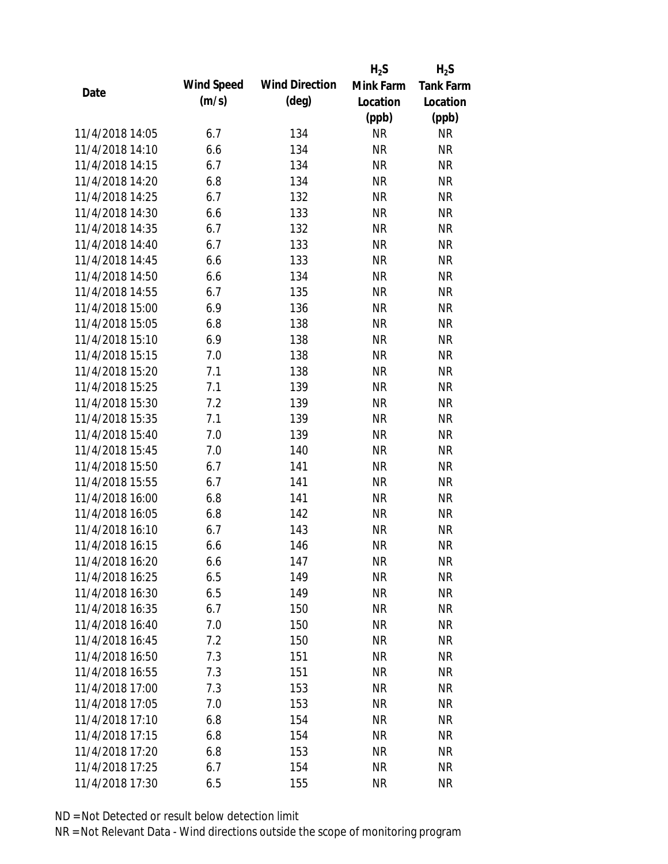|                 |            |                       | $H_2S$    | $H_2S$           |
|-----------------|------------|-----------------------|-----------|------------------|
| Date            | Wind Speed | <b>Wind Direction</b> | Mink Farm | <b>Tank Farm</b> |
|                 | (m/s)      | $(\text{deg})$        | Location  | Location         |
|                 |            |                       | (ppb)     | (ppb)            |
| 11/4/2018 14:05 | 6.7        | 134                   | <b>NR</b> | <b>NR</b>        |
| 11/4/2018 14:10 | 6.6        | 134                   | <b>NR</b> | <b>NR</b>        |
| 11/4/2018 14:15 | 6.7        | 134                   | <b>NR</b> | <b>NR</b>        |
| 11/4/2018 14:20 | 6.8        | 134                   | <b>NR</b> | <b>NR</b>        |
| 11/4/2018 14:25 | 6.7        | 132                   | <b>NR</b> | <b>NR</b>        |
| 11/4/2018 14:30 | 6.6        | 133                   | <b>NR</b> | <b>NR</b>        |
| 11/4/2018 14:35 | 6.7        | 132                   | <b>NR</b> | <b>NR</b>        |
| 11/4/2018 14:40 | 6.7        | 133                   | <b>NR</b> | <b>NR</b>        |
| 11/4/2018 14:45 | 6.6        | 133                   | <b>NR</b> | <b>NR</b>        |
| 11/4/2018 14:50 | 6.6        | 134                   | <b>NR</b> | <b>NR</b>        |
| 11/4/2018 14:55 | 6.7        | 135                   | <b>NR</b> | <b>NR</b>        |
| 11/4/2018 15:00 | 6.9        | 136                   | <b>NR</b> | <b>NR</b>        |
| 11/4/2018 15:05 | 6.8        | 138                   | <b>NR</b> | <b>NR</b>        |
| 11/4/2018 15:10 | 6.9        | 138                   | <b>NR</b> | <b>NR</b>        |
| 11/4/2018 15:15 | 7.0        | 138                   | <b>NR</b> | <b>NR</b>        |
| 11/4/2018 15:20 | 7.1        | 138                   | <b>NR</b> | <b>NR</b>        |
| 11/4/2018 15:25 | 7.1        | 139                   | <b>NR</b> | <b>NR</b>        |
| 11/4/2018 15:30 | 7.2        | 139                   | <b>NR</b> | <b>NR</b>        |
| 11/4/2018 15:35 | 7.1        | 139                   | <b>NR</b> | <b>NR</b>        |
| 11/4/2018 15:40 | 7.0        | 139                   | <b>NR</b> | <b>NR</b>        |
| 11/4/2018 15:45 | 7.0        | 140                   | <b>NR</b> | <b>NR</b>        |
| 11/4/2018 15:50 | 6.7        | 141                   | <b>NR</b> | <b>NR</b>        |
| 11/4/2018 15:55 | 6.7        | 141                   | <b>NR</b> | <b>NR</b>        |
| 11/4/2018 16:00 | 6.8        | 141                   | <b>NR</b> | <b>NR</b>        |
| 11/4/2018 16:05 | 6.8        | 142                   | <b>NR</b> | <b>NR</b>        |
| 11/4/2018 16:10 | 6.7        | 143                   | <b>NR</b> | <b>NR</b>        |
| 11/4/2018 16:15 | 6.6        | 146                   | <b>NR</b> | <b>NR</b>        |
| 11/4/2018 16:20 | 6.6        | 147                   | <b>NR</b> | <b>NR</b>        |
| 11/4/2018 16:25 | 6.5        | 149                   | <b>NR</b> | <b>NR</b>        |
| 11/4/2018 16:30 | 6.5        | 149                   | <b>NR</b> | <b>NR</b>        |
| 11/4/2018 16:35 | 6.7        | 150                   | <b>NR</b> | <b>NR</b>        |
| 11/4/2018 16:40 | 7.0        | 150                   | <b>NR</b> | <b>NR</b>        |
| 11/4/2018 16:45 | 7.2        | 150                   | <b>NR</b> | <b>NR</b>        |
| 11/4/2018 16:50 | 7.3        | 151                   | <b>NR</b> | <b>NR</b>        |
| 11/4/2018 16:55 | 7.3        | 151                   | <b>NR</b> | NR               |
| 11/4/2018 17:00 | 7.3        | 153                   | <b>NR</b> | <b>NR</b>        |
| 11/4/2018 17:05 | 7.0        | 153                   | <b>NR</b> | NR               |
| 11/4/2018 17:10 | 6.8        | 154                   | NR        | NR               |
| 11/4/2018 17:15 | 6.8        | 154                   | <b>NR</b> | NR               |
| 11/4/2018 17:20 | 6.8        | 153                   | <b>NR</b> | NR               |
| 11/4/2018 17:25 | 6.7        | 154                   | <b>NR</b> | <b>NR</b>        |
| 11/4/2018 17:30 | 6.5        | 155                   | <b>NR</b> | <b>NR</b>        |
|                 |            |                       |           |                  |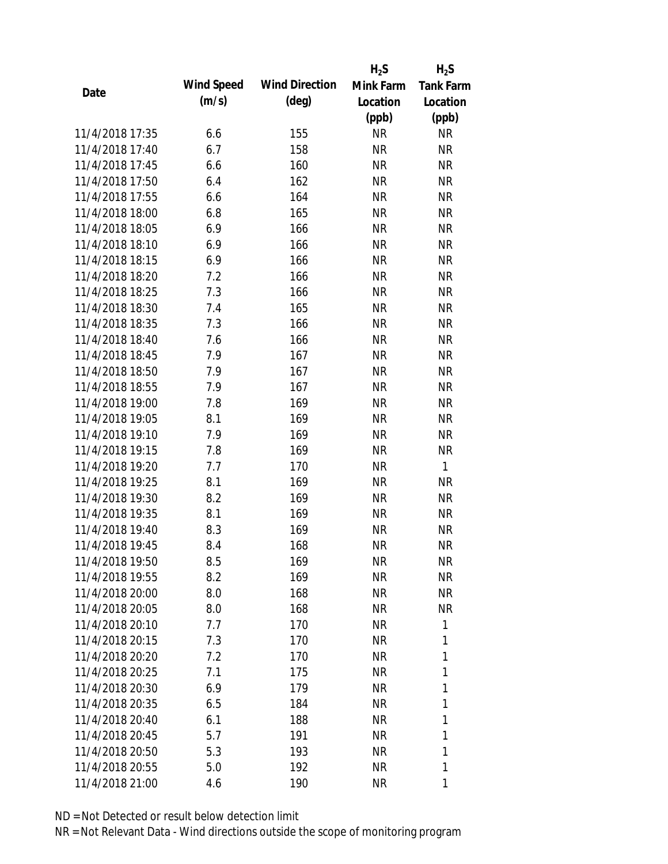|                 |            |                       | $H_2S$    | $H_2S$           |
|-----------------|------------|-----------------------|-----------|------------------|
| Date            | Wind Speed | <b>Wind Direction</b> | Mink Farm | <b>Tank Farm</b> |
|                 | (m/s)      | $(\text{deg})$        | Location  | Location         |
|                 |            |                       | (ppb)     | (ppb)            |
| 11/4/2018 17:35 | 6.6        | 155                   | <b>NR</b> | <b>NR</b>        |
| 11/4/2018 17:40 | 6.7        | 158                   | <b>NR</b> | <b>NR</b>        |
| 11/4/2018 17:45 | 6.6        | 160                   | <b>NR</b> | <b>NR</b>        |
| 11/4/2018 17:50 | 6.4        | 162                   | <b>NR</b> | <b>NR</b>        |
| 11/4/2018 17:55 | 6.6        | 164                   | <b>NR</b> | <b>NR</b>        |
| 11/4/2018 18:00 | 6.8        | 165                   | <b>NR</b> | <b>NR</b>        |
| 11/4/2018 18:05 | 6.9        | 166                   | <b>NR</b> | <b>NR</b>        |
| 11/4/2018 18:10 | 6.9        | 166                   | <b>NR</b> | <b>NR</b>        |
| 11/4/2018 18:15 | 6.9        | 166                   | <b>NR</b> | <b>NR</b>        |
| 11/4/2018 18:20 | 7.2        | 166                   | <b>NR</b> | <b>NR</b>        |
| 11/4/2018 18:25 | 7.3        | 166                   | <b>NR</b> | <b>NR</b>        |
| 11/4/2018 18:30 | 7.4        | 165                   | <b>NR</b> | <b>NR</b>        |
| 11/4/2018 18:35 | 7.3        | 166                   | <b>NR</b> | <b>NR</b>        |
| 11/4/2018 18:40 | 7.6        | 166                   | <b>NR</b> | <b>NR</b>        |
| 11/4/2018 18:45 | 7.9        | 167                   | <b>NR</b> | <b>NR</b>        |
| 11/4/2018 18:50 | 7.9        | 167                   | <b>NR</b> | <b>NR</b>        |
| 11/4/2018 18:55 | 7.9        | 167                   | <b>NR</b> | <b>NR</b>        |
| 11/4/2018 19:00 | 7.8        | 169                   | <b>NR</b> | <b>NR</b>        |
| 11/4/2018 19:05 | 8.1        | 169                   | <b>NR</b> | <b>NR</b>        |
| 11/4/2018 19:10 | 7.9        | 169                   | <b>NR</b> | <b>NR</b>        |
| 11/4/2018 19:15 | 7.8        | 169                   | <b>NR</b> | <b>NR</b>        |
| 11/4/2018 19:20 | 7.7        | 170                   | <b>NR</b> | $\mathbf{1}$     |
| 11/4/2018 19:25 | 8.1        | 169                   | <b>NR</b> | <b>NR</b>        |
| 11/4/2018 19:30 | 8.2        | 169                   | <b>NR</b> | <b>NR</b>        |
| 11/4/2018 19:35 | 8.1        | 169                   | <b>NR</b> | <b>NR</b>        |
| 11/4/2018 19:40 | 8.3        | 169                   | <b>NR</b> | <b>NR</b>        |
| 11/4/2018 19:45 | 8.4        | 168                   | <b>NR</b> | <b>NR</b>        |
| 11/4/2018 19:50 | 8.5        | 169                   | <b>NR</b> | <b>NR</b>        |
| 11/4/2018 19:55 | 8.2        | 169                   | <b>NR</b> | <b>NR</b>        |
| 11/4/2018 20:00 | 8.0        | 168                   | NR        | NR               |
| 11/4/2018 20:05 | 8.0        | 168                   | NR        | <b>NR</b>        |
| 11/4/2018 20:10 | 7.7        | 170                   | NR        | 1                |
| 11/4/2018 20:15 | 7.3        | 170                   | NR        | 1                |
| 11/4/2018 20:20 | 7.2        | 170                   | <b>NR</b> | 1                |
| 11/4/2018 20:25 | 7.1        | 175                   | NR        | 1                |
| 11/4/2018 20:30 | 6.9        | 179                   | NR        | 1                |
| 11/4/2018 20:35 | 6.5        | 184                   | NR        | 1                |
| 11/4/2018 20:40 | 6.1        | 188                   | NR        | 1                |
| 11/4/2018 20:45 | 5.7        | 191                   | NR        | 1                |
| 11/4/2018 20:50 | 5.3        | 193                   | <b>NR</b> | 1                |
| 11/4/2018 20:55 | 5.0        | 192                   | <b>NR</b> | 1                |
| 11/4/2018 21:00 | 4.6        | 190                   | <b>NR</b> | 1                |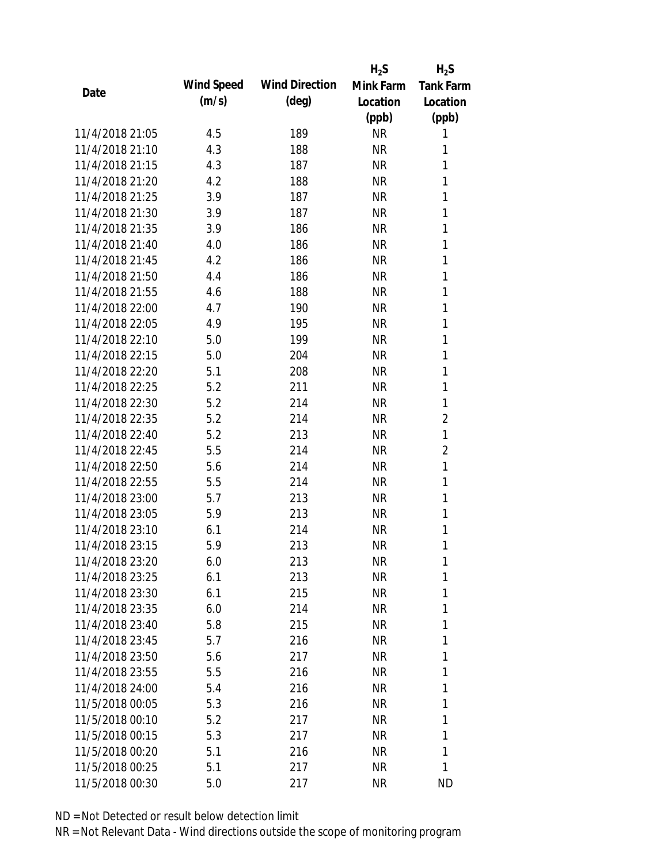|                 |            |                       | $H_2S$    | $H_2S$           |
|-----------------|------------|-----------------------|-----------|------------------|
| Date            | Wind Speed | <b>Wind Direction</b> | Mink Farm | <b>Tank Farm</b> |
|                 | (m/s)      | $(\text{deg})$        | Location  | Location         |
|                 |            |                       | (ppb)     | (ppb)            |
| 11/4/2018 21:05 | 4.5        | 189                   | <b>NR</b> | 1                |
| 11/4/2018 21:10 | 4.3        | 188                   | <b>NR</b> | 1                |
| 11/4/2018 21:15 | 4.3        | 187                   | <b>NR</b> | 1                |
| 11/4/2018 21:20 | 4.2        | 188                   | <b>NR</b> | 1                |
| 11/4/2018 21:25 | 3.9        | 187                   | <b>NR</b> | 1                |
| 11/4/2018 21:30 | 3.9        | 187                   | <b>NR</b> | 1                |
| 11/4/2018 21:35 | 3.9        | 186                   | <b>NR</b> | 1                |
| 11/4/2018 21:40 | 4.0        | 186                   | <b>NR</b> | 1                |
| 11/4/2018 21:45 | 4.2        | 186                   | <b>NR</b> | 1                |
| 11/4/2018 21:50 | 4.4        | 186                   | <b>NR</b> | 1                |
| 11/4/2018 21:55 | 4.6        | 188                   | <b>NR</b> | 1                |
| 11/4/2018 22:00 | 4.7        | 190                   | <b>NR</b> | 1                |
| 11/4/2018 22:05 | 4.9        | 195                   | <b>NR</b> | 1                |
| 11/4/2018 22:10 | 5.0        | 199                   | <b>NR</b> | 1                |
| 11/4/2018 22:15 | 5.0        | 204                   | <b>NR</b> | 1                |
| 11/4/2018 22:20 | 5.1        | 208                   | <b>NR</b> | 1                |
| 11/4/2018 22:25 | 5.2        | 211                   | <b>NR</b> | 1                |
| 11/4/2018 22:30 | 5.2        | 214                   | <b>NR</b> | 1                |
| 11/4/2018 22:35 | 5.2        | 214                   | <b>NR</b> | $\overline{2}$   |
| 11/4/2018 22:40 | 5.2        | 213                   | <b>NR</b> | 1                |
| 11/4/2018 22:45 | 5.5        | 214                   | <b>NR</b> | 2                |
| 11/4/2018 22:50 | 5.6        | 214                   | <b>NR</b> | 1                |
| 11/4/2018 22:55 | 5.5        | 214                   | <b>NR</b> | 1                |
| 11/4/2018 23:00 | 5.7        | 213                   | <b>NR</b> | 1                |
| 11/4/2018 23:05 | 5.9        | 213                   | <b>NR</b> | 1                |
| 11/4/2018 23:10 | 6.1        | 214                   | <b>NR</b> | 1                |
| 11/4/2018 23:15 | 5.9        | 213                   | <b>NR</b> | 1                |
| 11/4/2018 23:20 | 6.0        | 213                   | <b>NR</b> | 1                |
| 11/4/2018 23:25 | 6.1        | 213                   | <b>NR</b> | 1                |
| 11/4/2018 23:30 | 6.1        | 215                   | <b>NR</b> | 1                |
| 11/4/2018 23:35 | 6.0        | 214                   | <b>NR</b> | 1                |
| 11/4/2018 23:40 | 5.8        | 215                   | <b>NR</b> | 1                |
| 11/4/2018 23:45 | 5.7        | 216                   | <b>NR</b> | 1                |
| 11/4/2018 23:50 | 5.6        | 217                   | <b>NR</b> | 1                |
| 11/4/2018 23:55 | 5.5        | 216                   | <b>NR</b> | 1                |
| 11/4/2018 24:00 | 5.4        | 216                   | <b>NR</b> | 1                |
| 11/5/2018 00:05 | 5.3        | 216                   | <b>NR</b> | 1                |
| 11/5/2018 00:10 | 5.2        | 217                   | NR        | 1                |
| 11/5/2018 00:15 | 5.3        | 217                   | <b>NR</b> | 1                |
| 11/5/2018 00:20 | 5.1        | 216                   | <b>NR</b> | 1                |
| 11/5/2018 00:25 | 5.1        | 217                   | <b>NR</b> | 1                |
| 11/5/2018 00:30 | 5.0        | 217                   | <b>NR</b> | <b>ND</b>        |
|                 |            |                       |           |                  |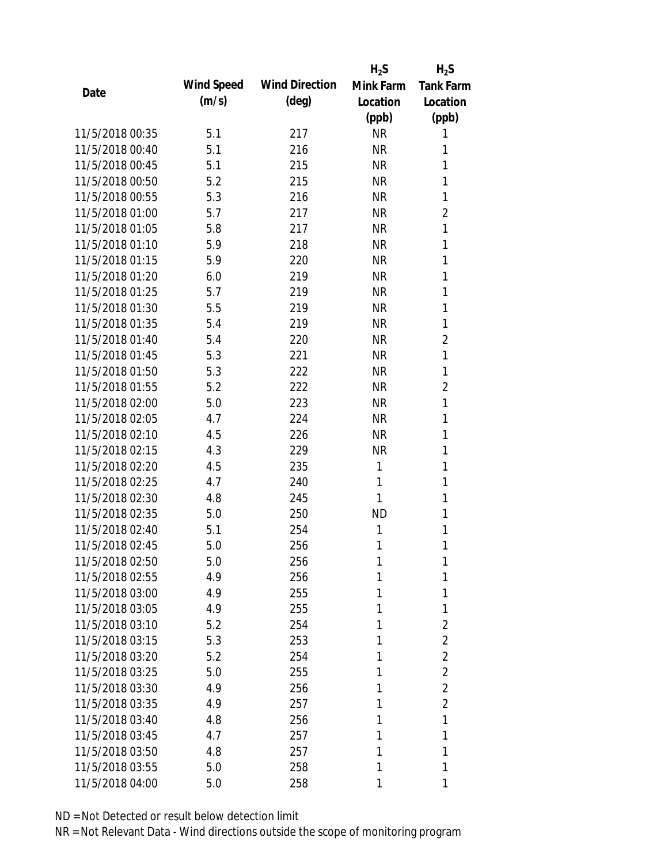|                 |            |                       | $H_2S$    | $H_2S$           |
|-----------------|------------|-----------------------|-----------|------------------|
|                 | Wind Speed | <b>Wind Direction</b> | Mink Farm | <b>Tank Farm</b> |
| Date            | (m/s)      | $(\text{deg})$        | Location  | Location         |
|                 |            |                       | (ppb)     | (ppb)            |
| 11/5/2018 00:35 | 5.1        | 217                   | <b>NR</b> | 1                |
| 11/5/2018 00:40 | 5.1        | 216                   | <b>NR</b> | 1                |
| 11/5/2018 00:45 | 5.1        | 215                   | <b>NR</b> | 1                |
| 11/5/2018 00:50 | 5.2        | 215                   | <b>NR</b> | 1                |
| 11/5/2018 00:55 | 5.3        | 216                   | <b>NR</b> | 1                |
| 11/5/2018 01:00 | 5.7        | 217                   | <b>NR</b> | 2                |
| 11/5/2018 01:05 | 5.8        | 217                   | <b>NR</b> | 1                |
| 11/5/2018 01:10 | 5.9        | 218                   | <b>NR</b> | 1                |
| 11/5/2018 01:15 | 5.9        | 220                   | <b>NR</b> | 1                |
| 11/5/2018 01:20 | 6.0        | 219                   | <b>NR</b> | 1                |
| 11/5/2018 01:25 | 5.7        | 219                   | <b>NR</b> | 1                |
| 11/5/2018 01:30 | 5.5        | 219                   | <b>NR</b> | 1                |
| 11/5/2018 01:35 | 5.4        | 219                   | <b>NR</b> | 1                |
| 11/5/2018 01:40 | 5.4        | 220                   | <b>NR</b> | $\overline{2}$   |
| 11/5/2018 01:45 | 5.3        | 221                   | <b>NR</b> | 1                |
| 11/5/2018 01:50 | 5.3        | 222                   | <b>NR</b> | 1                |
| 11/5/2018 01:55 | 5.2        | 222                   | <b>NR</b> | $\overline{2}$   |
| 11/5/2018 02:00 | 5.0        | 223                   | <b>NR</b> | 1                |
| 11/5/2018 02:05 | 4.7        | 224                   | <b>NR</b> | 1                |
| 11/5/2018 02:10 | 4.5        | 226                   | <b>NR</b> | 1                |
| 11/5/2018 02:15 | 4.3        | 229                   | <b>NR</b> | 1                |
| 11/5/2018 02:20 | 4.5        | 235                   | 1         | 1                |
| 11/5/2018 02:25 | 4.7        | 240                   | 1         | 1                |
| 11/5/2018 02:30 | 4.8        | 245                   | 1         | 1                |
| 11/5/2018 02:35 | 5.0        | 250                   | <b>ND</b> | 1                |
| 11/5/2018 02:40 | 5.1        | 254                   | 1         | 1                |
| 11/5/2018 02:45 | 5.0        | 256                   | 1         | 1                |
| 11/5/2018 02:50 | 5.0        | 256                   | 1         | 1                |
| 11/5/2018 02:55 | 4.9        | 256                   | 1         | 1                |
| 11/5/2018 03:00 | 4.9        | 255                   | 1         | 1                |
| 11/5/2018 03:05 | 4.9        | 255                   | 1         | 1                |
| 11/5/2018 03:10 | 5.2        | 254                   | 1         | $\overline{2}$   |
| 11/5/2018 03:15 | 5.3        | 253                   | 1         | $\overline{2}$   |
| 11/5/2018 03:20 | 5.2        | 254                   | 1         | $\overline{2}$   |
| 11/5/2018 03:25 | 5.0        | 255                   | 1         | $\overline{2}$   |
| 11/5/2018 03:30 | 4.9        | 256                   | 1         | 2                |
| 11/5/2018 03:35 | 4.9        | 257                   | 1         | $\overline{2}$   |
| 11/5/2018 03:40 | 4.8        | 256                   | 1         | 1                |
| 11/5/2018 03:45 | 4.7        | 257                   | 1         | 1                |
| 11/5/2018 03:50 | 4.8        | 257                   | 1         | 1                |
| 11/5/2018 03:55 | 5.0        | 258                   | 1         | 1                |
|                 |            |                       |           |                  |
| 11/5/2018 04:00 | 5.0        | 258                   | 1         | 1                |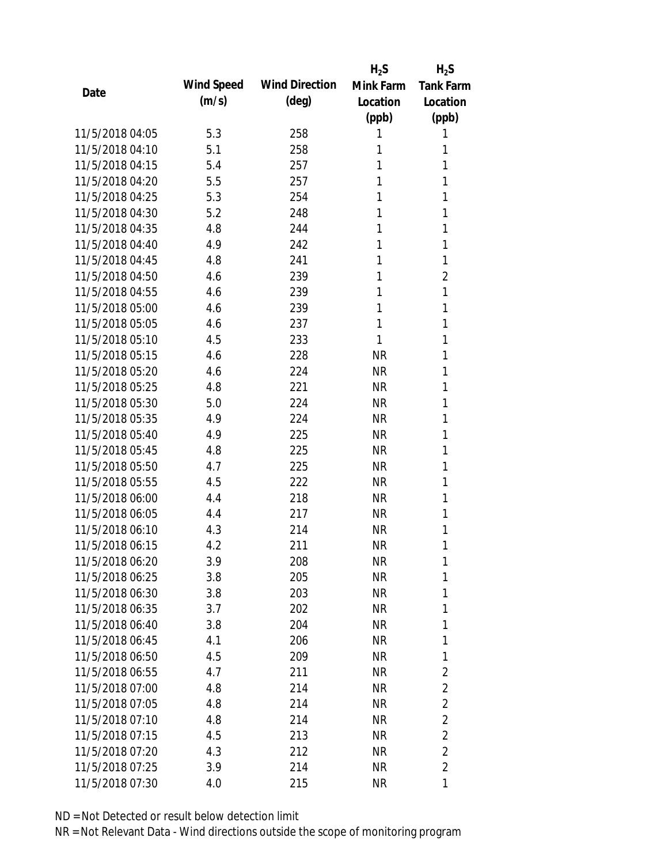|                 |            |                       | $H_2S$    | $H_2S$           |
|-----------------|------------|-----------------------|-----------|------------------|
| Date            | Wind Speed | <b>Wind Direction</b> | Mink Farm | <b>Tank Farm</b> |
|                 | (m/s)      | $(\text{deg})$        | Location  | Location         |
|                 |            |                       | (ppb)     | (ppb)            |
| 11/5/2018 04:05 | 5.3        | 258                   | 1         | 1                |
| 11/5/2018 04:10 | 5.1        | 258                   | 1         | 1                |
| 11/5/2018 04:15 | 5.4        | 257                   | 1         | 1                |
| 11/5/2018 04:20 | 5.5        | 257                   | 1         | 1                |
| 11/5/2018 04:25 | 5.3        | 254                   | 1         | 1                |
| 11/5/2018 04:30 | 5.2        | 248                   | 1         | 1                |
| 11/5/2018 04:35 | 4.8        | 244                   | 1         | 1                |
| 11/5/2018 04:40 | 4.9        | 242                   | 1         | 1                |
| 11/5/2018 04:45 | 4.8        | 241                   | 1         | 1                |
| 11/5/2018 04:50 | 4.6        | 239                   | 1         | $\overline{2}$   |
| 11/5/2018 04:55 | 4.6        | 239                   | 1         | 1                |
| 11/5/2018 05:00 | 4.6        | 239                   | 1         | 1                |
| 11/5/2018 05:05 | 4.6        | 237                   | 1         | 1                |
| 11/5/2018 05:10 | 4.5        | 233                   | 1         | 1                |
| 11/5/2018 05:15 | 4.6        | 228                   | <b>NR</b> | 1                |
| 11/5/2018 05:20 | 4.6        | 224                   | <b>NR</b> | 1                |
| 11/5/2018 05:25 | 4.8        | 221                   | <b>NR</b> | 1                |
| 11/5/2018 05:30 | 5.0        | 224                   | <b>NR</b> | 1                |
| 11/5/2018 05:35 | 4.9        | 224                   | <b>NR</b> | 1                |
| 11/5/2018 05:40 | 4.9        | 225                   | <b>NR</b> | 1                |
| 11/5/2018 05:45 | 4.8        | 225                   | <b>NR</b> | 1                |
| 11/5/2018 05:50 | 4.7        | 225                   | <b>NR</b> | 1                |
| 11/5/2018 05:55 | 4.5        | 222                   | <b>NR</b> | 1                |
| 11/5/2018 06:00 | 4.4        | 218                   | <b>NR</b> | 1                |
| 11/5/2018 06:05 | 4.4        | 217                   | <b>NR</b> | 1                |
| 11/5/2018 06:10 | 4.3        | 214                   | <b>NR</b> | 1                |
| 11/5/2018 06:15 | 4.2        | 211                   | <b>NR</b> | 1                |
| 11/5/2018 06:20 | 3.9        | 208                   | <b>NR</b> | 1                |
| 11/5/2018 06:25 | 3.8        | 205                   | <b>NR</b> | 1                |
| 11/5/2018 06:30 | 3.8        | 203                   | NR        | 1                |
| 11/5/2018 06:35 | 3.7        | 202                   | NR        | 1                |
| 11/5/2018 06:40 | 3.8        | 204                   | <b>NR</b> | 1                |
| 11/5/2018 06:45 | 4.1        | 206                   | NR        | 1                |
| 11/5/2018 06:50 | 4.5        | 209                   | <b>NR</b> | 1                |
| 11/5/2018 06:55 | 4.7        | 211                   | <b>NR</b> | 2                |
| 11/5/2018 07:00 | 4.8        | 214                   | NR        | $\overline{2}$   |
| 11/5/2018 07:05 | 4.8        | 214                   | NR        | $\overline{2}$   |
| 11/5/2018 07:10 | 4.8        | 214                   | NR        | $\overline{2}$   |
| 11/5/2018 07:15 | 4.5        | 213                   | NR        | $\overline{2}$   |
| 11/5/2018 07:20 | 4.3        | 212                   | <b>NR</b> | 2                |
| 11/5/2018 07:25 | 3.9        | 214                   | <b>NR</b> | $\overline{2}$   |
| 11/5/2018 07:30 | 4.0        | 215                   | <b>NR</b> | 1                |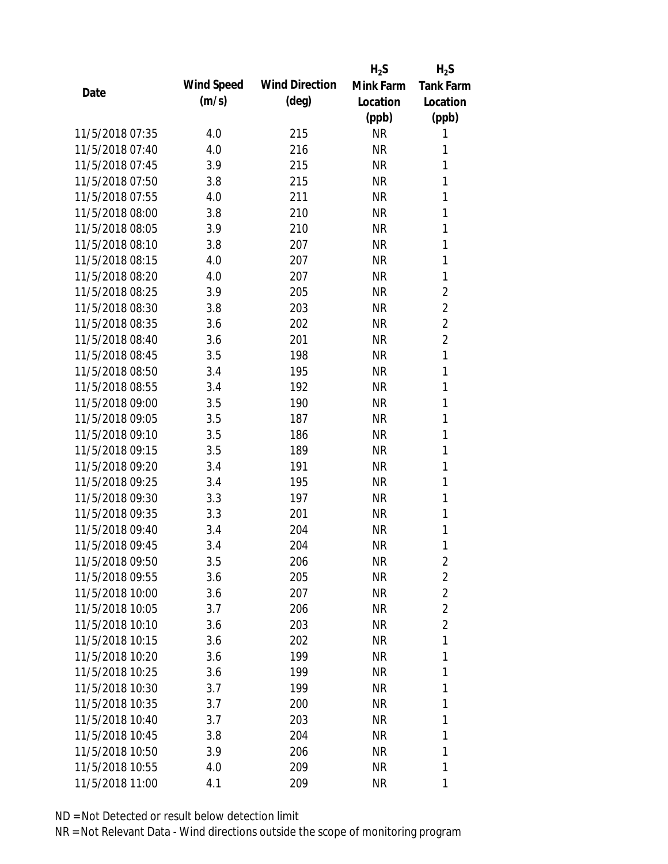|                 |            |                       | $H_2S$    | $H_2S$           |
|-----------------|------------|-----------------------|-----------|------------------|
| Date            | Wind Speed | <b>Wind Direction</b> | Mink Farm | <b>Tank Farm</b> |
|                 | (m/s)      | $(\text{deg})$        | Location  | Location         |
|                 |            |                       | (ppb)     | (ppb)            |
| 11/5/2018 07:35 | 4.0        | 215                   | <b>NR</b> | 1                |
| 11/5/2018 07:40 | 4.0        | 216                   | <b>NR</b> | 1                |
| 11/5/2018 07:45 | 3.9        | 215                   | <b>NR</b> | 1                |
| 11/5/2018 07:50 | 3.8        | 215                   | <b>NR</b> | 1                |
| 11/5/2018 07:55 | 4.0        | 211                   | <b>NR</b> | 1                |
| 11/5/2018 08:00 | 3.8        | 210                   | <b>NR</b> | 1                |
| 11/5/2018 08:05 | 3.9        | 210                   | <b>NR</b> | 1                |
| 11/5/2018 08:10 | 3.8        | 207                   | <b>NR</b> | 1                |
| 11/5/2018 08:15 | 4.0        | 207                   | <b>NR</b> | 1                |
| 11/5/2018 08:20 | 4.0        | 207                   | <b>NR</b> | 1                |
| 11/5/2018 08:25 | 3.9        | 205                   | <b>NR</b> | 2                |
| 11/5/2018 08:30 | 3.8        | 203                   | <b>NR</b> | $\overline{2}$   |
| 11/5/2018 08:35 | 3.6        | 202                   | <b>NR</b> | $\overline{2}$   |
| 11/5/2018 08:40 | 3.6        | 201                   | <b>NR</b> | $\overline{2}$   |
| 11/5/2018 08:45 | 3.5        | 198                   | <b>NR</b> | 1                |
| 11/5/2018 08:50 | 3.4        | 195                   | <b>NR</b> | 1                |
| 11/5/2018 08:55 | 3.4        | 192                   | <b>NR</b> | 1                |
| 11/5/2018 09:00 | 3.5        | 190                   | <b>NR</b> | 1                |
| 11/5/2018 09:05 | 3.5        | 187                   | <b>NR</b> | 1                |
| 11/5/2018 09:10 | 3.5        | 186                   | <b>NR</b> | 1                |
| 11/5/2018 09:15 | 3.5        | 189                   | <b>NR</b> | 1                |
| 11/5/2018 09:20 | 3.4        | 191                   | <b>NR</b> | 1                |
| 11/5/2018 09:25 | 3.4        | 195                   | <b>NR</b> | 1                |
| 11/5/2018 09:30 | 3.3        | 197                   | <b>NR</b> | 1                |
| 11/5/2018 09:35 | 3.3        | 201                   | <b>NR</b> | 1                |
| 11/5/2018 09:40 | 3.4        | 204                   | <b>NR</b> | 1                |
| 11/5/2018 09:45 | 3.4        | 204                   | <b>NR</b> | 1                |
| 11/5/2018 09:50 | 3.5        | 206                   | <b>NR</b> | 2                |
| 11/5/2018 09:55 | 3.6        | 205                   | <b>NR</b> | $\overline{2}$   |
| 11/5/2018 10:00 | 3.6        | 207                   | NR        | $\overline{2}$   |
| 11/5/2018 10:05 | 3.7        | 206                   | NR        | $\overline{2}$   |
| 11/5/2018 10:10 | 3.6        | 203                   | <b>NR</b> | $\overline{2}$   |
| 11/5/2018 10:15 | 3.6        | 202                   | NR        | 1                |
| 11/5/2018 10:20 | 3.6        | 199                   | <b>NR</b> | 1                |
| 11/5/2018 10:25 | 3.6        | 199                   | <b>NR</b> | 1                |
| 11/5/2018 10:30 | 3.7        | 199                   | <b>NR</b> | 1                |
| 11/5/2018 10:35 | 3.7        | 200                   | NR        | 1                |
| 11/5/2018 10:40 | 3.7        | 203                   | NR        | 1                |
| 11/5/2018 10:45 | 3.8        | 204                   | NR        | 1                |
| 11/5/2018 10:50 | 3.9        | 206                   | <b>NR</b> | 1                |
| 11/5/2018 10:55 | 4.0        | 209                   | <b>NR</b> | 1                |
| 11/5/2018 11:00 | 4.1        | 209                   | <b>NR</b> | 1                |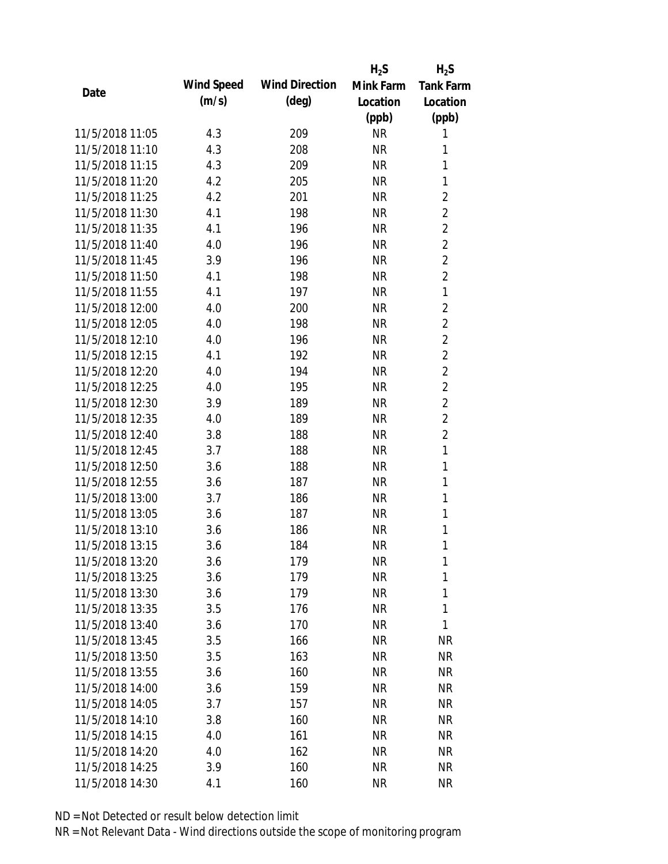|                 |            |                       | $H_2S$                 | $H_2S$           |
|-----------------|------------|-----------------------|------------------------|------------------|
| Date            | Wind Speed | <b>Wind Direction</b> | Mink Farm              | <b>Tank Farm</b> |
|                 | (m/s)      | $(\text{deg})$        | Location               | Location         |
|                 |            |                       | (ppb)                  | (ppb)            |
| 11/5/2018 11:05 | 4.3        | 209                   | <b>NR</b>              | 1                |
| 11/5/2018 11:10 | 4.3        | 208                   | <b>NR</b>              | 1                |
| 11/5/2018 11:15 | 4.3        | 209                   | <b>NR</b>              | 1                |
| 11/5/2018 11:20 | 4.2        | 205                   | <b>NR</b>              | 1                |
| 11/5/2018 11:25 | 4.2        | 201                   | <b>NR</b>              | $\overline{2}$   |
| 11/5/2018 11:30 | 4.1        | 198                   | <b>NR</b>              | $\overline{2}$   |
| 11/5/2018 11:35 | 4.1        | 196                   | <b>NR</b>              | $\overline{2}$   |
| 11/5/2018 11:40 | 4.0        | 196                   | <b>NR</b>              | $\overline{2}$   |
| 11/5/2018 11:45 | 3.9        | 196                   | <b>NR</b>              | $\overline{2}$   |
| 11/5/2018 11:50 | 4.1        | 198                   | <b>NR</b>              | $\overline{2}$   |
| 11/5/2018 11:55 | 4.1        | 197                   | <b>NR</b>              | 1                |
| 11/5/2018 12:00 | 4.0        | 200                   | <b>NR</b>              | $\overline{2}$   |
| 11/5/2018 12:05 | 4.0        | 198                   | <b>NR</b>              | $\overline{2}$   |
| 11/5/2018 12:10 | 4.0        | 196                   | <b>NR</b>              | $\overline{2}$   |
| 11/5/2018 12:15 | 4.1        | 192                   | <b>NR</b>              | $\overline{2}$   |
| 11/5/2018 12:20 | 4.0        | 194                   | <b>NR</b>              | $\overline{2}$   |
| 11/5/2018 12:25 | 4.0        | 195                   | <b>NR</b>              | $\overline{2}$   |
| 11/5/2018 12:30 | 3.9        | 189                   | <b>NR</b>              | $\overline{2}$   |
| 11/5/2018 12:35 | 4.0        | 189                   | <b>NR</b>              | $\overline{2}$   |
| 11/5/2018 12:40 | 3.8        | 188                   | <b>NR</b>              | $\overline{2}$   |
| 11/5/2018 12:45 | 3.7        | 188                   | <b>NR</b>              | 1                |
| 11/5/2018 12:50 | 3.6        | 188                   | <b>NR</b>              | $\mathbf{1}$     |
| 11/5/2018 12:55 | 3.6        | 187                   | <b>NR</b>              | 1                |
| 11/5/2018 13:00 | 3.7        | 186                   | <b>NR</b>              | 1                |
| 11/5/2018 13:05 | 3.6        | 187                   | <b>NR</b>              | 1                |
| 11/5/2018 13:10 | 3.6        | 186                   | <b>NR</b>              | 1                |
| 11/5/2018 13:15 | 3.6        | 184                   | <b>NR</b>              | 1                |
| 11/5/2018 13:20 | 3.6        | 179                   | <b>NR</b>              | 1                |
| 11/5/2018 13:25 | 3.6        | 179                   | <b>NR</b>              | 1                |
| 11/5/2018 13:30 | 3.6        | 179                   | <b>NR</b>              | 1                |
| 11/5/2018 13:35 | 3.5        | 176                   | <b>NR</b>              | 1                |
| 11/5/2018 13:40 | 3.6        | 170                   | <b>NR</b>              | 1                |
| 11/5/2018 13:45 | 3.5        | 166                   | <b>NR</b>              | <b>NR</b>        |
| 11/5/2018 13:50 | 3.5        | 163                   | <b>NR</b>              | <b>NR</b>        |
| 11/5/2018 13:55 | 3.6        | 160                   | <b>NR</b>              | NR               |
| 11/5/2018 14:00 | 3.6        | 159                   | <b>NR</b>              | <b>NR</b>        |
| 11/5/2018 14:05 | 3.7        | 157                   | <b>NR</b>              | NR               |
| 11/5/2018 14:10 |            |                       |                        |                  |
| 11/5/2018 14:15 | 3.8<br>4.0 | 160<br>161            | <b>NR</b><br><b>NR</b> | NR<br>NR         |
| 11/5/2018 14:20 | 4.0        |                       | <b>NR</b>              | NR               |
|                 |            | 162                   |                        |                  |
| 11/5/2018 14:25 | 3.9        | 160                   | <b>NR</b>              | <b>NR</b>        |
| 11/5/2018 14:30 | 4.1        | 160                   | <b>NR</b>              | <b>NR</b>        |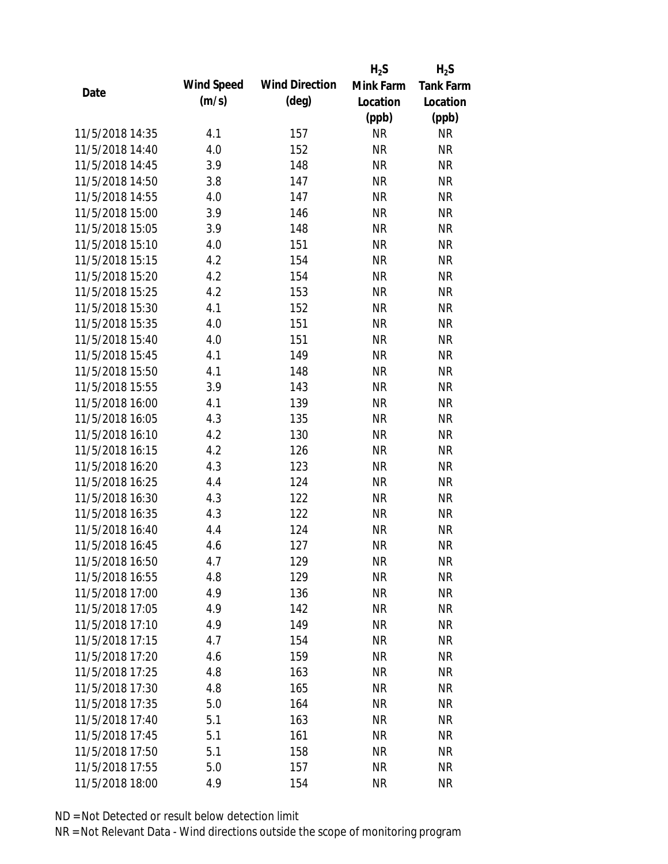|                 |            |                       | $H_2S$    | $H_2S$           |
|-----------------|------------|-----------------------|-----------|------------------|
| Date            | Wind Speed | <b>Wind Direction</b> | Mink Farm | <b>Tank Farm</b> |
|                 | (m/s)      | $(\text{deg})$        | Location  | Location         |
|                 |            |                       | (ppb)     | (ppb)            |
| 11/5/2018 14:35 | 4.1        | 157                   | <b>NR</b> | NR               |
| 11/5/2018 14:40 | 4.0        | 152                   | <b>NR</b> | <b>NR</b>        |
| 11/5/2018 14:45 | 3.9        | 148                   | <b>NR</b> | <b>NR</b>        |
| 11/5/2018 14:50 | 3.8        | 147                   | <b>NR</b> | <b>NR</b>        |
| 11/5/2018 14:55 | 4.0        | 147                   | <b>NR</b> | <b>NR</b>        |
| 11/5/2018 15:00 | 3.9        | 146                   | <b>NR</b> | <b>NR</b>        |
| 11/5/2018 15:05 | 3.9        | 148                   | <b>NR</b> | <b>NR</b>        |
| 11/5/2018 15:10 | 4.0        | 151                   | <b>NR</b> | <b>NR</b>        |
| 11/5/2018 15:15 | 4.2        | 154                   | <b>NR</b> | <b>NR</b>        |
| 11/5/2018 15:20 | 4.2        | 154                   | <b>NR</b> | <b>NR</b>        |
| 11/5/2018 15:25 | 4.2        | 153                   | <b>NR</b> | <b>NR</b>        |
| 11/5/2018 15:30 | 4.1        | 152                   | <b>NR</b> | <b>NR</b>        |
| 11/5/2018 15:35 | 4.0        | 151                   | <b>NR</b> | <b>NR</b>        |
| 11/5/2018 15:40 | 4.0        | 151                   | <b>NR</b> | <b>NR</b>        |
| 11/5/2018 15:45 | 4.1        | 149                   | <b>NR</b> | <b>NR</b>        |
| 11/5/2018 15:50 | 4.1        | 148                   | <b>NR</b> | <b>NR</b>        |
| 11/5/2018 15:55 | 3.9        | 143                   | <b>NR</b> | <b>NR</b>        |
| 11/5/2018 16:00 | 4.1        | 139                   | <b>NR</b> | <b>NR</b>        |
| 11/5/2018 16:05 | 4.3        | 135                   | <b>NR</b> | <b>NR</b>        |
| 11/5/2018 16:10 | 4.2        | 130                   | <b>NR</b> | <b>NR</b>        |
| 11/5/2018 16:15 | 4.2        | 126                   | <b>NR</b> | <b>NR</b>        |
| 11/5/2018 16:20 | 4.3        | 123                   | <b>NR</b> | <b>NR</b>        |
| 11/5/2018 16:25 | 4.4        | 124                   | <b>NR</b> | <b>NR</b>        |
| 11/5/2018 16:30 | 4.3        | 122                   | <b>NR</b> | <b>NR</b>        |
| 11/5/2018 16:35 | 4.3        | 122                   | <b>NR</b> | <b>NR</b>        |
| 11/5/2018 16:40 | 4.4        | 124                   | <b>NR</b> | <b>NR</b>        |
| 11/5/2018 16:45 | 4.6        | 127                   | <b>NR</b> | <b>NR</b>        |
| 11/5/2018 16:50 | 4.7        | 129                   | <b>NR</b> | <b>NR</b>        |
| 11/5/2018 16:55 | 4.8        | 129                   | <b>NR</b> | <b>NR</b>        |
| 11/5/2018 17:00 | 4.9        | 136                   | <b>NR</b> | <b>NR</b>        |
| 11/5/2018 17:05 | 4.9        | 142                   | <b>NR</b> | <b>NR</b>        |
| 11/5/2018 17:10 | 4.9        | 149                   | <b>NR</b> | <b>NR</b>        |
| 11/5/2018 17:15 | 4.7        | 154                   | <b>NR</b> | <b>NR</b>        |
| 11/5/2018 17:20 | 4.6        | 159                   | <b>NR</b> | <b>NR</b>        |
| 11/5/2018 17:25 | 4.8        | 163                   | <b>NR</b> | NR               |
| 11/5/2018 17:30 | 4.8        | 165                   | <b>NR</b> | <b>NR</b>        |
| 11/5/2018 17:35 | 5.0        | 164                   | <b>NR</b> | NR               |
| 11/5/2018 17:40 | 5.1        | 163                   | NR        | <b>NR</b>        |
| 11/5/2018 17:45 | 5.1        | 161                   | <b>NR</b> | NR               |
| 11/5/2018 17:50 | 5.1        | 158                   | <b>NR</b> | NR               |
| 11/5/2018 17:55 | 5.0        | 157                   | <b>NR</b> | <b>NR</b>        |
| 11/5/2018 18:00 | 4.9        | 154                   | <b>NR</b> | <b>NR</b>        |
|                 |            |                       |           |                  |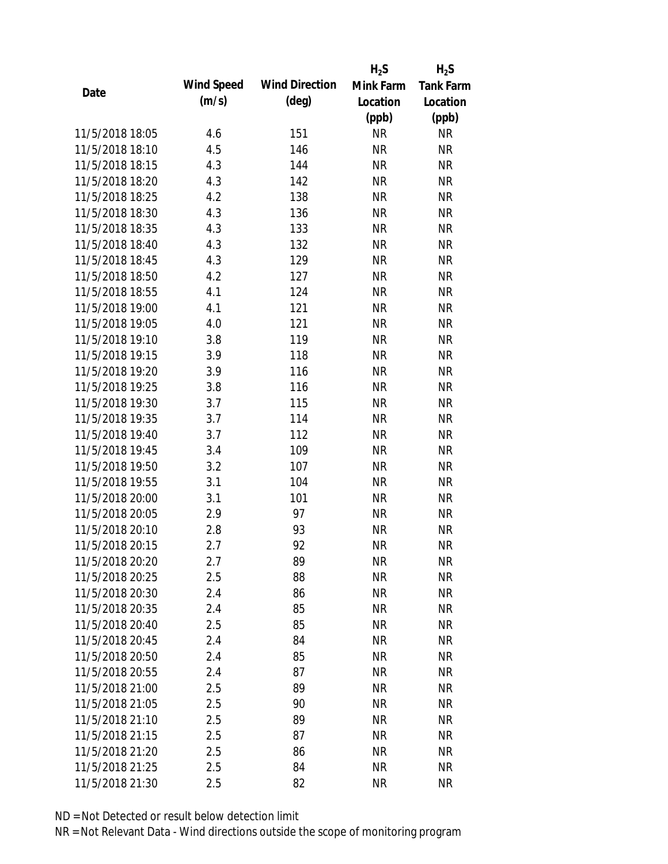|                 |            |                       | $H_2S$    | $H_2S$           |
|-----------------|------------|-----------------------|-----------|------------------|
| Date            | Wind Speed | <b>Wind Direction</b> | Mink Farm | <b>Tank Farm</b> |
|                 | (m/s)      | $(\text{deg})$        | Location  | Location         |
|                 |            |                       | (ppb)     | (ppb)            |
| 11/5/2018 18:05 | 4.6        | 151                   | <b>NR</b> | <b>NR</b>        |
| 11/5/2018 18:10 | 4.5        | 146                   | <b>NR</b> | <b>NR</b>        |
| 11/5/2018 18:15 | 4.3        | 144                   | <b>NR</b> | <b>NR</b>        |
| 11/5/2018 18:20 | 4.3        | 142                   | <b>NR</b> | <b>NR</b>        |
| 11/5/2018 18:25 | 4.2        | 138                   | <b>NR</b> | <b>NR</b>        |
| 11/5/2018 18:30 | 4.3        | 136                   | <b>NR</b> | <b>NR</b>        |
| 11/5/2018 18:35 | 4.3        | 133                   | <b>NR</b> | <b>NR</b>        |
| 11/5/2018 18:40 | 4.3        | 132                   | <b>NR</b> | <b>NR</b>        |
| 11/5/2018 18:45 | 4.3        | 129                   | <b>NR</b> | <b>NR</b>        |
| 11/5/2018 18:50 | 4.2        | 127                   | <b>NR</b> | <b>NR</b>        |
| 11/5/2018 18:55 | 4.1        | 124                   | <b>NR</b> | <b>NR</b>        |
| 11/5/2018 19:00 | 4.1        | 121                   | <b>NR</b> | <b>NR</b>        |
| 11/5/2018 19:05 | 4.0        | 121                   | <b>NR</b> | <b>NR</b>        |
| 11/5/2018 19:10 | 3.8        | 119                   | <b>NR</b> | <b>NR</b>        |
| 11/5/2018 19:15 | 3.9        | 118                   | <b>NR</b> | <b>NR</b>        |
| 11/5/2018 19:20 | 3.9        | 116                   | <b>NR</b> | <b>NR</b>        |
| 11/5/2018 19:25 | 3.8        | 116                   | <b>NR</b> | <b>NR</b>        |
| 11/5/2018 19:30 | 3.7        | 115                   | <b>NR</b> | <b>NR</b>        |
| 11/5/2018 19:35 | 3.7        | 114                   | <b>NR</b> | <b>NR</b>        |
| 11/5/2018 19:40 | 3.7        | 112                   | <b>NR</b> | <b>NR</b>        |
| 11/5/2018 19:45 | 3.4        | 109                   | <b>NR</b> | <b>NR</b>        |
| 11/5/2018 19:50 | 3.2        | 107                   | <b>NR</b> | <b>NR</b>        |
| 11/5/2018 19:55 | 3.1        | 104                   | <b>NR</b> | <b>NR</b>        |
| 11/5/2018 20:00 | 3.1        | 101                   | <b>NR</b> | <b>NR</b>        |
| 11/5/2018 20:05 | 2.9        | 97                    | <b>NR</b> | <b>NR</b>        |
| 11/5/2018 20:10 | 2.8        | 93                    | <b>NR</b> | <b>NR</b>        |
| 11/5/2018 20:15 | 2.7        | 92                    | <b>NR</b> | <b>NR</b>        |
| 11/5/2018 20:20 | 2.7        | 89                    | <b>NR</b> | <b>NR</b>        |
| 11/5/2018 20:25 | 2.5        | 88                    | <b>NR</b> | <b>NR</b>        |
| 11/5/2018 20:30 | 2.4        | 86                    | NR        | <b>NR</b>        |
| 11/5/2018 20:35 | 2.4        | 85                    | <b>NR</b> | <b>NR</b>        |
| 11/5/2018 20:40 | 2.5        | 85                    | <b>NR</b> | <b>NR</b>        |
| 11/5/2018 20:45 | 2.4        | 84                    | <b>NR</b> | <b>NR</b>        |
| 11/5/2018 20:50 | 2.4        | 85                    | <b>NR</b> | <b>NR</b>        |
| 11/5/2018 20:55 | 2.4        | 87                    | <b>NR</b> | <b>NR</b>        |
| 11/5/2018 21:00 | 2.5        | 89                    | <b>NR</b> | <b>NR</b>        |
| 11/5/2018 21:05 | 2.5        | 90                    | <b>NR</b> | <b>NR</b>        |
| 11/5/2018 21:10 | 2.5        | 89                    | <b>NR</b> | <b>NR</b>        |
| 11/5/2018 21:15 | 2.5        | 87                    | <b>NR</b> | <b>NR</b>        |
| 11/5/2018 21:20 | 2.5        | 86                    | <b>NR</b> | <b>NR</b>        |
| 11/5/2018 21:25 | 2.5        | 84                    | <b>NR</b> | <b>NR</b>        |
| 11/5/2018 21:30 | 2.5        | 82                    | <b>NR</b> | <b>NR</b>        |
|                 |            |                       |           |                  |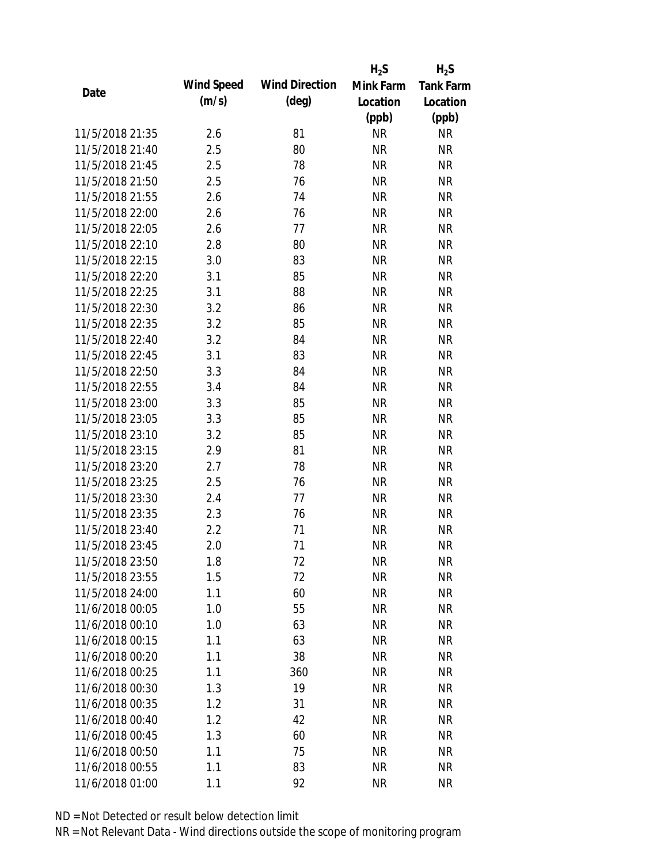|                 |            |                       | $H_2S$    | $H_2S$           |
|-----------------|------------|-----------------------|-----------|------------------|
| Date            | Wind Speed | <b>Wind Direction</b> | Mink Farm | <b>Tank Farm</b> |
|                 | (m/s)      | $(\text{deg})$        | Location  | Location         |
|                 |            |                       | (ppb)     | (ppb)            |
| 11/5/2018 21:35 | 2.6        | 81                    | <b>NR</b> | <b>NR</b>        |
| 11/5/2018 21:40 | 2.5        | 80                    | <b>NR</b> | <b>NR</b>        |
| 11/5/2018 21:45 | 2.5        | 78                    | <b>NR</b> | <b>NR</b>        |
| 11/5/2018 21:50 | 2.5        | 76                    | <b>NR</b> | <b>NR</b>        |
| 11/5/2018 21:55 | 2.6        | 74                    | <b>NR</b> | <b>NR</b>        |
| 11/5/2018 22:00 | 2.6        | 76                    | <b>NR</b> | <b>NR</b>        |
| 11/5/2018 22:05 | 2.6        | 77                    | <b>NR</b> | <b>NR</b>        |
| 11/5/2018 22:10 | 2.8        | 80                    | <b>NR</b> | <b>NR</b>        |
| 11/5/2018 22:15 | 3.0        | 83                    | <b>NR</b> | <b>NR</b>        |
| 11/5/2018 22:20 | 3.1        | 85                    | <b>NR</b> | <b>NR</b>        |
| 11/5/2018 22:25 | 3.1        | 88                    | <b>NR</b> | <b>NR</b>        |
| 11/5/2018 22:30 | 3.2        | 86                    | <b>NR</b> | <b>NR</b>        |
| 11/5/2018 22:35 | 3.2        | 85                    | <b>NR</b> | <b>NR</b>        |
| 11/5/2018 22:40 | 3.2        | 84                    | <b>NR</b> | <b>NR</b>        |
| 11/5/2018 22:45 | 3.1        | 83                    | <b>NR</b> | <b>NR</b>        |
| 11/5/2018 22:50 | 3.3        | 84                    | <b>NR</b> | <b>NR</b>        |
| 11/5/2018 22:55 | 3.4        | 84                    | <b>NR</b> | <b>NR</b>        |
| 11/5/2018 23:00 | 3.3        | 85                    | <b>NR</b> | <b>NR</b>        |
| 11/5/2018 23:05 | 3.3        | 85                    | <b>NR</b> | <b>NR</b>        |
| 11/5/2018 23:10 | 3.2        | 85                    | <b>NR</b> | <b>NR</b>        |
| 11/5/2018 23:15 | 2.9        | 81                    | <b>NR</b> | <b>NR</b>        |
| 11/5/2018 23:20 | 2.7        | 78                    | <b>NR</b> | <b>NR</b>        |
| 11/5/2018 23:25 | 2.5        | 76                    | <b>NR</b> | <b>NR</b>        |
| 11/5/2018 23:30 | 2.4        | 77                    | <b>NR</b> | <b>NR</b>        |
| 11/5/2018 23:35 | 2.3        | 76                    | <b>NR</b> | <b>NR</b>        |
| 11/5/2018 23:40 | 2.2        | 71                    | <b>NR</b> | <b>NR</b>        |
| 11/5/2018 23:45 | 2.0        | 71                    | <b>NR</b> | <b>NR</b>        |
| 11/5/2018 23:50 | 1.8        | 72                    | <b>NR</b> | <b>NR</b>        |
| 11/5/2018 23:55 | 1.5        | 72                    | <b>NR</b> | <b>NR</b>        |
| 11/5/2018 24:00 | 1.1        | 60                    | <b>NR</b> | <b>NR</b>        |
| 11/6/2018 00:05 | 1.0        | 55                    | <b>NR</b> | <b>NR</b>        |
| 11/6/2018 00:10 | 1.0        | 63                    | <b>NR</b> | <b>NR</b>        |
| 11/6/2018 00:15 | 1.1        | 63                    | <b>NR</b> | <b>NR</b>        |
| 11/6/2018 00:20 | 1.1        | 38                    | <b>NR</b> | <b>NR</b>        |
| 11/6/2018 00:25 | 1.1        | 360                   | <b>NR</b> | NR               |
| 11/6/2018 00:30 | 1.3        | 19                    | <b>NR</b> | <b>NR</b>        |
| 11/6/2018 00:35 | 1.2        | 31                    | <b>NR</b> | NR               |
| 11/6/2018 00:40 | 1.2        | 42                    | <b>NR</b> | NR               |
| 11/6/2018 00:45 | 1.3        | 60                    | <b>NR</b> | NR               |
| 11/6/2018 00:50 | 1.1        | 75                    | <b>NR</b> | NR               |
| 11/6/2018 00:55 | 1.1        | 83                    | <b>NR</b> | <b>NR</b>        |
|                 |            |                       |           |                  |
| 11/6/2018 01:00 | 1.1        | 92                    | <b>NR</b> | <b>NR</b>        |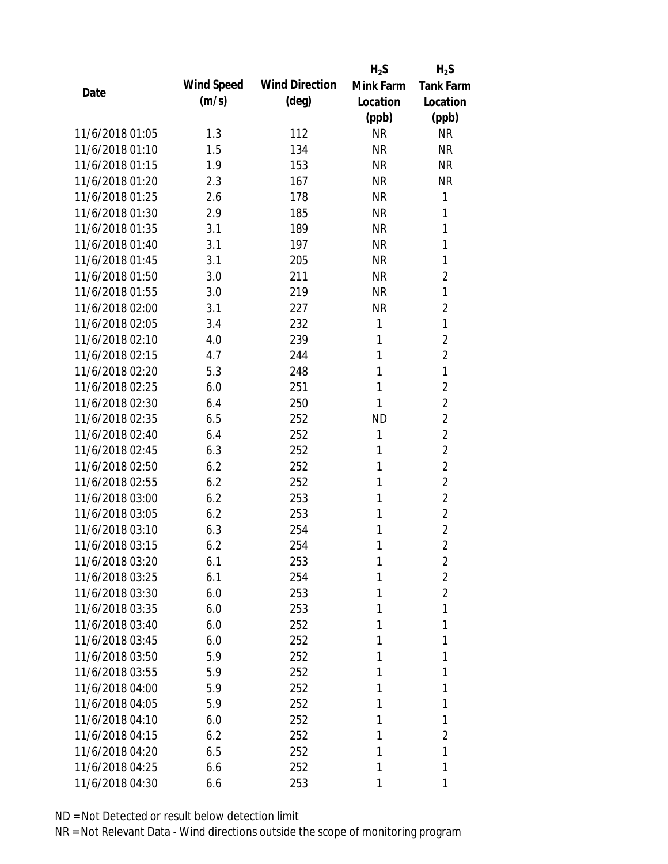|                 |            |                       | $H_2S$    | $H_2S$           |
|-----------------|------------|-----------------------|-----------|------------------|
| Date            | Wind Speed | <b>Wind Direction</b> | Mink Farm | <b>Tank Farm</b> |
|                 | (m/s)      | $(\text{deg})$        | Location  | Location         |
|                 |            |                       | (ppb)     | (ppb)            |
| 11/6/2018 01:05 | 1.3        | 112                   | <b>NR</b> | <b>NR</b>        |
| 11/6/2018 01:10 | 1.5        | 134                   | <b>NR</b> | <b>NR</b>        |
| 11/6/2018 01:15 | 1.9        | 153                   | <b>NR</b> | <b>NR</b>        |
| 11/6/2018 01:20 | 2.3        | 167                   | <b>NR</b> | <b>NR</b>        |
| 11/6/2018 01:25 | 2.6        | 178                   | <b>NR</b> | 1                |
| 11/6/2018 01:30 | 2.9        | 185                   | <b>NR</b> | 1                |
| 11/6/2018 01:35 | 3.1        | 189                   | <b>NR</b> | 1                |
| 11/6/2018 01:40 | 3.1        | 197                   | <b>NR</b> | 1                |
| 11/6/2018 01:45 | 3.1        | 205                   | <b>NR</b> | 1                |
| 11/6/2018 01:50 | 3.0        | 211                   | <b>NR</b> | $\overline{2}$   |
| 11/6/2018 01:55 | 3.0        | 219                   | <b>NR</b> | 1                |
| 11/6/2018 02:00 | 3.1        | 227                   | <b>NR</b> | 2                |
| 11/6/2018 02:05 | 3.4        | 232                   | 1         | 1                |
| 11/6/2018 02:10 | 4.0        | 239                   | 1         | $\overline{2}$   |
| 11/6/2018 02:15 | 4.7        | 244                   | 1         | $\overline{2}$   |
| 11/6/2018 02:20 | 5.3        | 248                   | 1         | 1                |
| 11/6/2018 02:25 | 6.0        | 251                   | 1         | $\overline{2}$   |
| 11/6/2018 02:30 | 6.4        | 250                   | 1         | $\overline{2}$   |
| 11/6/2018 02:35 | 6.5        | 252                   | <b>ND</b> | $\overline{2}$   |
| 11/6/2018 02:40 | 6.4        | 252                   | 1         | $\overline{2}$   |
| 11/6/2018 02:45 | 6.3        | 252                   | 1         | $\overline{2}$   |
| 11/6/2018 02:50 | 6.2        | 252                   | 1         | $\overline{2}$   |
| 11/6/2018 02:55 | 6.2        | 252                   | 1         | $\overline{2}$   |
| 11/6/2018 03:00 | 6.2        | 253                   | 1         | $\overline{2}$   |
| 11/6/2018 03:05 | 6.2        | 253                   | 1         | $\overline{2}$   |
| 11/6/2018 03:10 | 6.3        | 254                   | 1         | $\overline{2}$   |
| 11/6/2018 03:15 | 6.2        | 254                   | 1         | $\overline{2}$   |
| 11/6/2018 03:20 | 6.1        | 253                   | 1         | 2                |
| 11/6/2018 03:25 | 6.1        | 254                   | 1         | $\overline{2}$   |
| 11/6/2018 03:30 | 6.0        | 253                   | 1         | $\overline{2}$   |
| 11/6/2018 03:35 | 6.0        | 253                   | 1         | 1                |
| 11/6/2018 03:40 | 6.0        | 252                   | 1         | 1                |
| 11/6/2018 03:45 | 6.0        | 252                   | 1         | 1                |
| 11/6/2018 03:50 | 5.9        | 252                   | 1         | 1                |
| 11/6/2018 03:55 | 5.9        | 252                   | 1         | 1                |
| 11/6/2018 04:00 | 5.9        | 252                   | 1         | 1                |
| 11/6/2018 04:05 | 5.9        | 252                   | 1         | 1                |
| 11/6/2018 04:10 | 6.0        | 252                   | 1         | 1                |
| 11/6/2018 04:15 | 6.2        | 252                   | 1         | 2                |
| 11/6/2018 04:20 | 6.5        | 252                   | 1         | 1                |
| 11/6/2018 04:25 | 6.6        | 252                   | 1         | 1                |
| 11/6/2018 04:30 | 6.6        | 253                   | 1         | 1                |
|                 |            |                       |           |                  |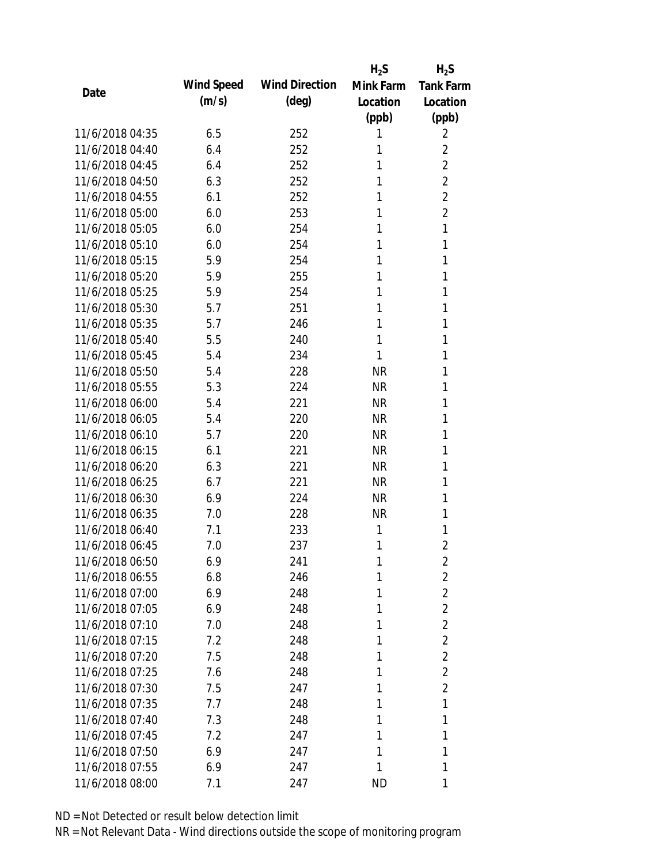|                 |            |                       | $H_2S$    | $H_2S$           |
|-----------------|------------|-----------------------|-----------|------------------|
| Date            | Wind Speed | <b>Wind Direction</b> | Mink Farm | <b>Tank Farm</b> |
|                 | (m/s)      | $(\text{deg})$        | Location  | Location         |
|                 |            |                       | (ppb)     | (ppb)            |
| 11/6/2018 04:35 | 6.5        | 252                   | 1         | 2                |
| 11/6/2018 04:40 | 6.4        | 252                   | 1         | $\overline{2}$   |
| 11/6/2018 04:45 | 6.4        | 252                   | 1         | $\overline{2}$   |
| 11/6/2018 04:50 | 6.3        | 252                   | 1         | 2                |
| 11/6/2018 04:55 | 6.1        | 252                   | 1         | $\overline{2}$   |
| 11/6/2018 05:00 | 6.0        | 253                   | 1         | $\overline{2}$   |
| 11/6/2018 05:05 | 6.0        | 254                   | 1         | 1                |
| 11/6/2018 05:10 | 6.0        | 254                   | 1         | 1                |
| 11/6/2018 05:15 | 5.9        | 254                   | 1         | 1                |
| 11/6/2018 05:20 | 5.9        | 255                   | 1         | 1                |
| 11/6/2018 05:25 | 5.9        | 254                   | 1         | 1                |
| 11/6/2018 05:30 | 5.7        | 251                   | 1         | 1                |
| 11/6/2018 05:35 | 5.7        | 246                   | 1         | 1                |
| 11/6/2018 05:40 | 5.5        | 240                   | 1         | 1                |
| 11/6/2018 05:45 | 5.4        | 234                   | 1         | 1                |
| 11/6/2018 05:50 | 5.4        | 228                   | <b>NR</b> | 1                |
| 11/6/2018 05:55 | 5.3        | 224                   | <b>NR</b> | 1                |
| 11/6/2018 06:00 | 5.4        | 221                   | <b>NR</b> | 1                |
| 11/6/2018 06:05 | 5.4        | 220                   | <b>NR</b> | 1                |
| 11/6/2018 06:10 | 5.7        | 220                   | <b>NR</b> | 1                |
| 11/6/2018 06:15 | 6.1        | 221                   | <b>NR</b> | 1                |
| 11/6/2018 06:20 | 6.3        | 221                   | <b>NR</b> | 1                |
| 11/6/2018 06:25 | 6.7        | 221                   | <b>NR</b> | 1                |
| 11/6/2018 06:30 | 6.9        | 224                   | <b>NR</b> | 1                |
| 11/6/2018 06:35 | 7.0        | 228                   | <b>NR</b> | 1                |
| 11/6/2018 06:40 | 7.1        | 233                   | 1         | 1                |
| 11/6/2018 06:45 | 7.0        | 237                   | 1         | $\overline{2}$   |
| 11/6/2018 06:50 | 6.9        | 241                   | 1         | 2                |
| 11/6/2018 06:55 | 6.8        | 246                   | 1         | 2                |
| 11/6/2018 07:00 | 6.9        | 248                   | 1         | $\overline{2}$   |
| 11/6/2018 07:05 | 6.9        | 248                   | 1         | $\overline{2}$   |
| 11/6/2018 07:10 | 7.0        | 248                   | 1         | $\overline{2}$   |
| 11/6/2018 07:15 | 7.2        | 248                   | 1         | $\overline{2}$   |
| 11/6/2018 07:20 | 7.5        | 248                   | 1         | $\overline{2}$   |
| 11/6/2018 07:25 | 7.6        | 248                   | 1         | $\overline{2}$   |
| 11/6/2018 07:30 | 7.5        | 247                   | 1         | 2                |
| 11/6/2018 07:35 | 7.7        | 248                   | 1         | 1                |
| 11/6/2018 07:40 | 7.3        | 248                   | 1         | 1                |
| 11/6/2018 07:45 | 7.2        | 247                   | 1         | 1                |
| 11/6/2018 07:50 | 6.9        | 247                   | 1         | 1                |
| 11/6/2018 07:55 | 6.9        | 247                   | 1         | 1                |
| 11/6/2018 08:00 | 7.1        | 247                   | <b>ND</b> | 1                |
|                 |            |                       |           |                  |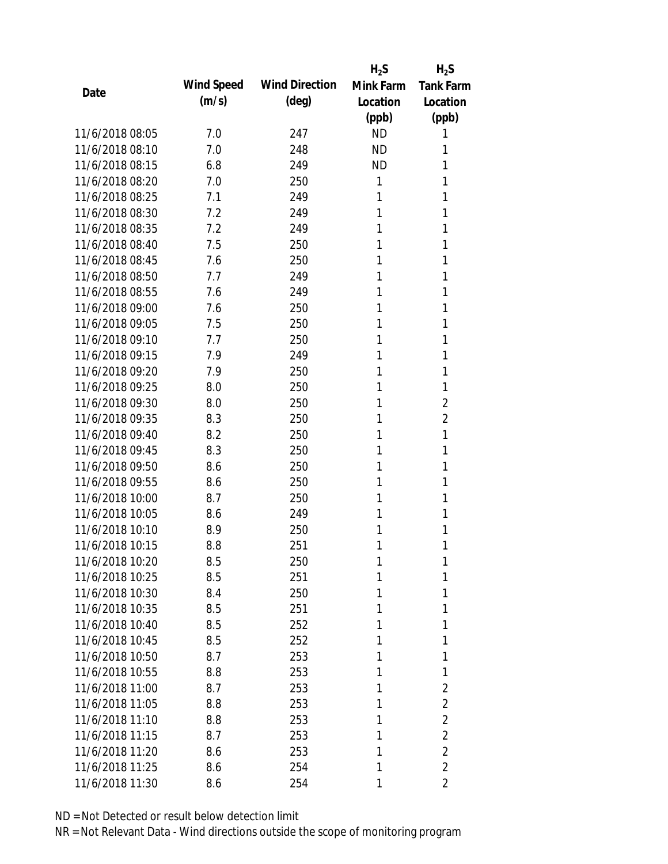|                 |            |                       | $H_2S$    | $H_2S$           |
|-----------------|------------|-----------------------|-----------|------------------|
| Date            | Wind Speed | <b>Wind Direction</b> | Mink Farm | <b>Tank Farm</b> |
|                 | (m/s)      | $(\text{deg})$        | Location  | Location         |
|                 |            |                       | (ppb)     | (ppb)            |
| 11/6/2018 08:05 | 7.0        | 247                   | <b>ND</b> | 1                |
| 11/6/2018 08:10 | 7.0        | 248                   | <b>ND</b> | 1                |
| 11/6/2018 08:15 | 6.8        | 249                   | <b>ND</b> | 1                |
| 11/6/2018 08:20 | 7.0        | 250                   | 1         | 1                |
| 11/6/2018 08:25 | 7.1        | 249                   | 1         | 1                |
| 11/6/2018 08:30 | 7.2        | 249                   | 1         | 1                |
| 11/6/2018 08:35 | 7.2        | 249                   | 1         | 1                |
| 11/6/2018 08:40 | 7.5        | 250                   | 1         | 1                |
| 11/6/2018 08:45 | 7.6        | 250                   | 1         | 1                |
| 11/6/2018 08:50 | 7.7        | 249                   | 1         | 1                |
| 11/6/2018 08:55 | 7.6        | 249                   | 1         | 1                |
| 11/6/2018 09:00 | 7.6        | 250                   | 1         | 1                |
| 11/6/2018 09:05 | 7.5        | 250                   | 1         | 1                |
| 11/6/2018 09:10 | 7.7        | 250                   | 1         | 1                |
| 11/6/2018 09:15 | 7.9        | 249                   | 1         | 1                |
| 11/6/2018 09:20 | 7.9        | 250                   | 1         | 1                |
| 11/6/2018 09:25 | 8.0        | 250                   | 1         | 1                |
| 11/6/2018 09:30 | 8.0        | 250                   | 1         | 2                |
| 11/6/2018 09:35 | 8.3        | 250                   | 1         | $\overline{2}$   |
| 11/6/2018 09:40 | 8.2        | 250                   | 1         | 1                |
| 11/6/2018 09:45 | 8.3        | 250                   | 1         | 1                |
| 11/6/2018 09:50 | 8.6        | 250                   | 1         | 1                |
| 11/6/2018 09:55 | 8.6        | 250                   | 1         | 1                |
| 11/6/2018 10:00 | 8.7        | 250                   | 1         | 1                |
| 11/6/2018 10:05 | 8.6        | 249                   | 1         | 1                |
| 11/6/2018 10:10 | 8.9        | 250                   | 1         | 1                |
| 11/6/2018 10:15 | 8.8        | 251                   | 1         | 1                |
| 11/6/2018 10:20 | 8.5        | 250                   | 1         | 1                |
| 11/6/2018 10:25 | 8.5        | 251                   | 1         | 1                |
| 11/6/2018 10:30 | 8.4        | 250                   | 1         | 1                |
| 11/6/2018 10:35 | 8.5        | 251                   | 1         | 1                |
| 11/6/2018 10:40 | 8.5        | 252                   | 1         | 1                |
| 11/6/2018 10:45 | 8.5        | 252                   | 1         | 1                |
| 11/6/2018 10:50 | 8.7        | 253                   | 1         | 1                |
| 11/6/2018 10:55 | 8.8        | 253                   | 1         | 1                |
| 11/6/2018 11:00 | 8.7        | 253                   | 1         | 2                |
| 11/6/2018 11:05 | 8.8        | 253                   | 1         | $\overline{2}$   |
| 11/6/2018 11:10 | 8.8        | 253                   | 1         | $\overline{2}$   |
| 11/6/2018 11:15 | 8.7        | 253                   | 1         | $\overline{2}$   |
| 11/6/2018 11:20 | 8.6        | 253                   | 1         | $\overline{2}$   |
| 11/6/2018 11:25 | 8.6        | 254                   | 1         | $\overline{2}$   |
| 11/6/2018 11:30 | 8.6        | 254                   | 1         | 2                |
|                 |            |                       |           |                  |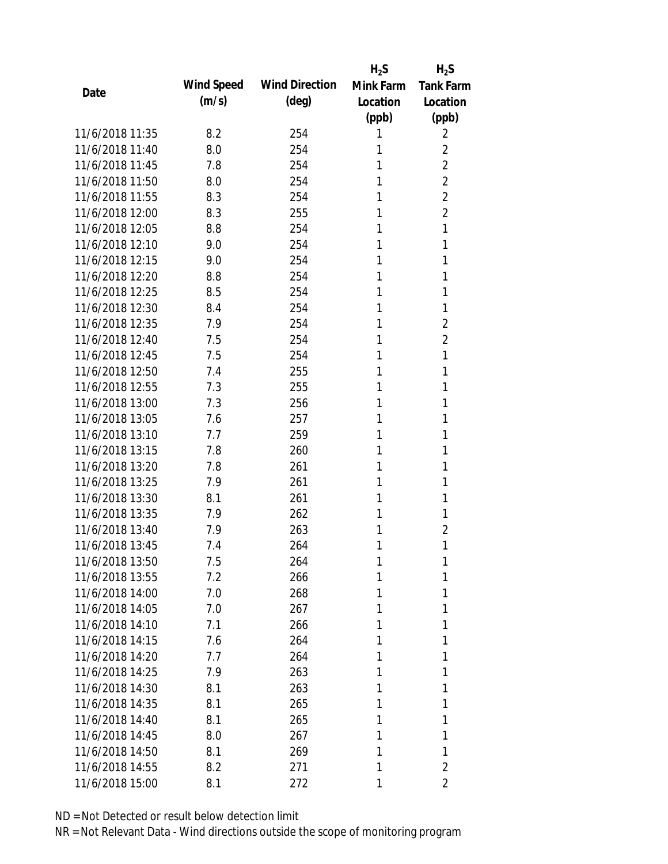|                                    |            |                       | $H_2S$    | $H_2S$           |
|------------------------------------|------------|-----------------------|-----------|------------------|
| Date                               | Wind Speed | <b>Wind Direction</b> | Mink Farm | <b>Tank Farm</b> |
|                                    | (m/s)      | $(\text{deg})$        | Location  | Location         |
|                                    |            |                       | (ppb)     | (ppb)            |
| 11/6/2018 11:35                    | 8.2        | 254                   | 1         | 2                |
| 11/6/2018 11:40                    | 8.0        | 254                   | 1         | 2                |
| 11/6/2018 11:45                    | 7.8        | 254                   | 1         | $\overline{2}$   |
| 11/6/2018 11:50                    | 8.0        | 254                   | 1         | $\overline{2}$   |
| 11/6/2018 11:55                    | 8.3        | 254                   | 1         | 2                |
| 11/6/2018 12:00                    | 8.3        | 255                   | 1         | $\overline{2}$   |
| 11/6/2018 12:05                    | 8.8        | 254                   | 1         | 1                |
| 11/6/2018 12:10                    | 9.0        | 254                   | 1         | 1                |
| 11/6/2018 12:15                    | 9.0        | 254                   | 1         | 1                |
| 11/6/2018 12:20                    | 8.8        | 254                   | 1         | 1                |
| 11/6/2018 12:25                    | 8.5        | 254                   | 1         | 1                |
| 11/6/2018 12:30                    | 8.4        | 254                   | 1         | 1                |
| 11/6/2018 12:35                    | 7.9        | 254                   | 1         | 2                |
| 11/6/2018 12:40                    | 7.5        | 254                   | 1         | 2                |
| 11/6/2018 12:45                    | 7.5        | 254                   | 1         | 1                |
| 11/6/2018 12:50                    | 7.4        | 255                   | 1         | 1                |
| 11/6/2018 12:55                    | 7.3        | 255                   | 1         | 1                |
| 11/6/2018 13:00                    | 7.3        | 256                   | 1         | 1                |
| 11/6/2018 13:05                    | 7.6        | 257                   | 1         | 1                |
| 11/6/2018 13:10                    | 7.7        | 259                   | 1         | 1                |
| 11/6/2018 13:15                    | 7.8        | 260                   | 1         | 1                |
| 11/6/2018 13:20                    | 7.8        | 261                   | 1         | 1                |
| 11/6/2018 13:25                    | 7.9        | 261                   | 1         | 1                |
| 11/6/2018 13:30                    | 8.1        | 261                   | 1         | 1                |
| 11/6/2018 13:35                    | 7.9        | 262                   | 1         | 1                |
| 11/6/2018 13:40                    | 7.9        | 263                   | 1         | $\overline{2}$   |
| 11/6/2018 13:45                    | 7.4        | 264                   | 1         | 1                |
| 11/6/2018 13:50                    | 7.5        | 264                   | 1         | 1                |
| 11/6/2018 13:55                    | 7.2        | 266                   | 1         | 1                |
| 11/6/2018 14:00                    | 7.0        | 268                   | 1         | 1                |
| 11/6/2018 14:05                    | 7.0        | 267                   | 1         | 1                |
|                                    |            |                       |           |                  |
| 11/6/2018 14:10<br>11/6/2018 14:15 | 7.1<br>7.6 | 266<br>264            | 1<br>1    | 1<br>1           |
| 11/6/2018 14:20                    | 7.7        |                       | 1         | 1                |
|                                    |            | 264                   |           | 1                |
| 11/6/2018 14:25                    | 7.9        | 263                   | 1         |                  |
| 11/6/2018 14:30                    | 8.1        | 263                   | 1         | 1                |
| 11/6/2018 14:35                    | 8.1        | 265                   | 1         | 1                |
| 11/6/2018 14:40                    | 8.1        | 265                   | 1         | 1                |
| 11/6/2018 14:45                    | 8.0        | 267                   | 1         | 1                |
| 11/6/2018 14:50                    | 8.1        | 269                   | 1         | 1                |
| 11/6/2018 14:55                    | 8.2        | 271                   | 1         | 2                |
| 11/6/2018 15:00                    | 8.1        | 272                   | 1         | 2                |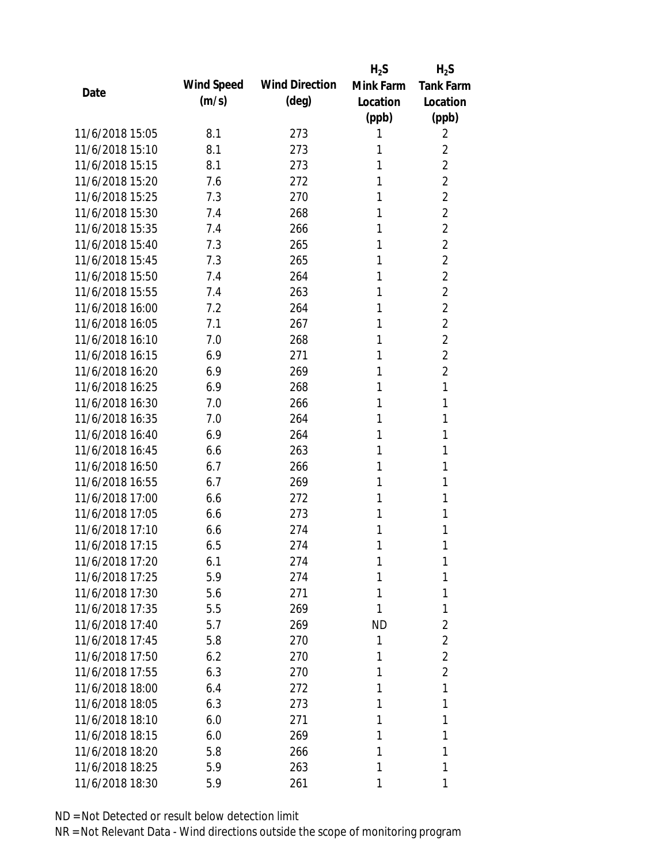|                 |            |                       | $H_2S$    | $H_2S$           |
|-----------------|------------|-----------------------|-----------|------------------|
| Date            | Wind Speed | <b>Wind Direction</b> | Mink Farm | <b>Tank Farm</b> |
|                 | (m/s)      | $(\text{deg})$        | Location  | Location         |
|                 |            |                       | (ppb)     | (ppb)            |
| 11/6/2018 15:05 | 8.1        | 273                   | 1         | 2                |
| 11/6/2018 15:10 | 8.1        | 273                   | 1         | 2                |
| 11/6/2018 15:15 | 8.1        | 273                   | 1         | $\overline{2}$   |
| 11/6/2018 15:20 | 7.6        | 272                   | 1         | $\overline{2}$   |
| 11/6/2018 15:25 | 7.3        | 270                   | 1         | $\overline{2}$   |
| 11/6/2018 15:30 | 7.4        | 268                   | 1         | $\overline{2}$   |
| 11/6/2018 15:35 | 7.4        | 266                   | 1         | $\overline{2}$   |
| 11/6/2018 15:40 | 7.3        | 265                   | 1         | $\overline{2}$   |
| 11/6/2018 15:45 | 7.3        | 265                   | 1         | $\overline{2}$   |
| 11/6/2018 15:50 | 7.4        | 264                   | 1         | $\overline{2}$   |
| 11/6/2018 15:55 | 7.4        | 263                   | 1         | $\overline{2}$   |
| 11/6/2018 16:00 | 7.2        | 264                   | 1         | $\overline{2}$   |
| 11/6/2018 16:05 | 7.1        | 267                   | 1         | $\overline{2}$   |
| 11/6/2018 16:10 | 7.0        | 268                   | 1         | $\overline{2}$   |
| 11/6/2018 16:15 | 6.9        | 271                   | 1         | $\overline{2}$   |
| 11/6/2018 16:20 | 6.9        | 269                   | 1         | $\overline{2}$   |
| 11/6/2018 16:25 | 6.9        | 268                   | 1         | 1                |
| 11/6/2018 16:30 | 7.0        | 266                   | 1         | 1                |
| 11/6/2018 16:35 | 7.0        | 264                   | 1         | 1                |
| 11/6/2018 16:40 | 6.9        | 264                   | 1         | 1                |
| 11/6/2018 16:45 | 6.6        | 263                   | 1         | 1                |
| 11/6/2018 16:50 | 6.7        | 266                   | 1         | 1                |
| 11/6/2018 16:55 | 6.7        | 269                   | 1         | 1                |
| 11/6/2018 17:00 | 6.6        | 272                   | 1         | 1                |
| 11/6/2018 17:05 | 6.6        | 273                   | 1         | 1                |
| 11/6/2018 17:10 | 6.6        | 274                   | 1         | 1                |
| 11/6/2018 17:15 | 6.5        | 274                   | 1         | 1                |
| 11/6/2018 17:20 | 6.1        | 274                   | 1         | 1                |
| 11/6/2018 17:25 | 5.9        | 274                   | 1         | 1                |
| 11/6/2018 17:30 | 5.6        | 271                   | 1         | 1                |
| 11/6/2018 17:35 | 5.5        | 269                   | 1         | 1                |
| 11/6/2018 17:40 | 5.7        | 269                   | <b>ND</b> | $\overline{2}$   |
| 11/6/2018 17:45 | 5.8        | 270                   | 1         | $\overline{2}$   |
| 11/6/2018 17:50 | 6.2        | 270                   | 1         | $\overline{2}$   |
| 11/6/2018 17:55 | 6.3        | 270                   | 1         | $\overline{2}$   |
| 11/6/2018 18:00 | 6.4        | 272                   | 1         | 1                |
| 11/6/2018 18:05 | 6.3        | 273                   | 1         | 1                |
| 11/6/2018 18:10 | 6.0        | 271                   | 1         | 1                |
| 11/6/2018 18:15 | 6.0        | 269                   | 1         | 1                |
| 11/6/2018 18:20 | 5.8        | 266                   | 1         | 1                |
| 11/6/2018 18:25 | 5.9        | 263                   | 1         | 1                |
| 11/6/2018 18:30 | 5.9        | 261                   | 1         | 1                |
|                 |            |                       |           |                  |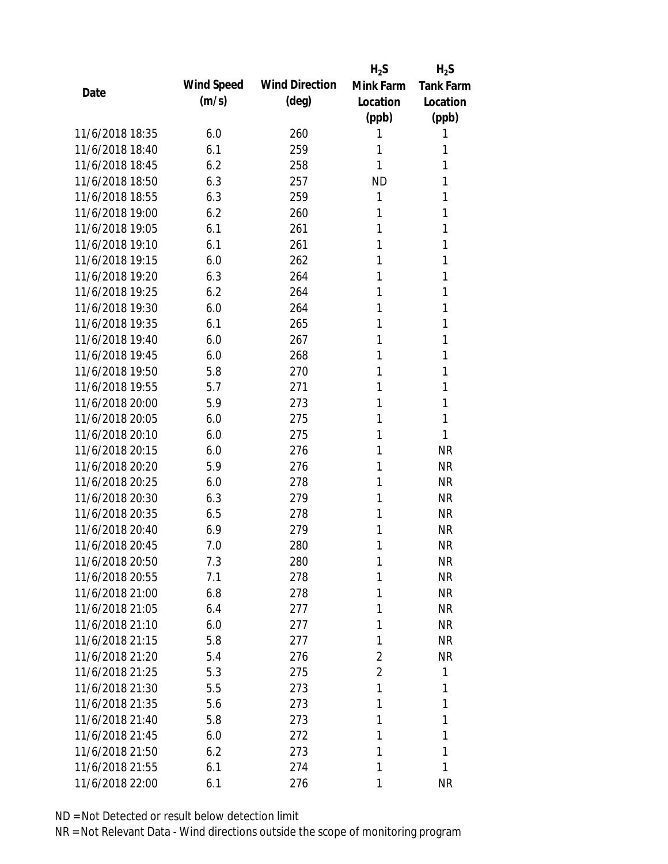|                 |            |                       | $H_2S$         | $H_2S$           |
|-----------------|------------|-----------------------|----------------|------------------|
| Date            | Wind Speed | <b>Wind Direction</b> | Mink Farm      | <b>Tank Farm</b> |
|                 | (m/s)      | (deg)                 | Location       | Location         |
|                 |            |                       | (ppb)          | (ppb)            |
| 11/6/2018 18:35 | 6.0        | 260                   | 1              | 1                |
| 11/6/2018 18:40 | 6.1        | 259                   | 1              | 1                |
| 11/6/2018 18:45 | 6.2        | 258                   | 1              | 1                |
| 11/6/2018 18:50 | 6.3        | 257                   | <b>ND</b>      | 1                |
| 11/6/2018 18:55 | 6.3        | 259                   | 1              | 1                |
| 11/6/2018 19:00 | 6.2        | 260                   | 1              | 1                |
| 11/6/2018 19:05 | 6.1        | 261                   | 1              | 1                |
| 11/6/2018 19:10 | 6.1        | 261                   | 1              | 1                |
| 11/6/2018 19:15 | 6.0        | 262                   | 1              | 1                |
| 11/6/2018 19:20 | 6.3        | 264                   | 1              | 1                |
| 11/6/2018 19:25 | 6.2        | 264                   | 1              | 1                |
| 11/6/2018 19:30 | 6.0        | 264                   | 1              | 1                |
| 11/6/2018 19:35 | 6.1        | 265                   | 1              | 1                |
| 11/6/2018 19:40 | 6.0        | 267                   | 1              | 1                |
| 11/6/2018 19:45 | 6.0        | 268                   | 1              | 1                |
| 11/6/2018 19:50 | 5.8        | 270                   | 1              | 1                |
| 11/6/2018 19:55 | 5.7        | 271                   | 1              | 1                |
| 11/6/2018 20:00 | 5.9        | 273                   | 1              | 1                |
| 11/6/2018 20:05 | 6.0        | 275                   | 1              | 1                |
| 11/6/2018 20:10 | 6.0        | 275                   | 1              | 1                |
| 11/6/2018 20:15 | 6.0        | 276                   | 1              | <b>NR</b>        |
| 11/6/2018 20:20 | 5.9        | 276                   | 1              | <b>NR</b>        |
| 11/6/2018 20:25 | 6.0        | 278                   | 1              | <b>NR</b>        |
| 11/6/2018 20:30 | 6.3        | 279                   | 1              | <b>NR</b>        |
| 11/6/2018 20:35 | 6.5        | 278                   | 1              | <b>NR</b>        |
| 11/6/2018 20:40 | 6.9        | 279                   | 1              | <b>NR</b>        |
| 11/6/2018 20:45 | 7.0        | 280                   | 1              | <b>NR</b>        |
| 11/6/2018 20:50 | 7.3        | 280                   | 1              | <b>NR</b>        |
| 11/6/2018 20:55 | 7.1        | 278                   | 1              | <b>NR</b>        |
| 11/6/2018 21:00 | 6.8        | 278                   | 1              | <b>NR</b>        |
| 11/6/2018 21:05 | 6.4        | 277                   | 1              | <b>NR</b>        |
| 11/6/2018 21:10 | 6.0        | 277                   | 1              | <b>NR</b>        |
| 11/6/2018 21:15 | 5.8        | 277                   | 1              | <b>NR</b>        |
| 11/6/2018 21:20 | 5.4        | 276                   | $\overline{2}$ | <b>NR</b>        |
| 11/6/2018 21:25 | 5.3        | 275                   | $\overline{2}$ | 1                |
| 11/6/2018 21:30 | 5.5        | 273                   | 1              | 1                |
| 11/6/2018 21:35 | 5.6        | 273                   | 1              | 1                |
| 11/6/2018 21:40 | 5.8        | 273                   | 1              | 1                |
| 11/6/2018 21:45 | 6.0        | 272                   | 1              | 1                |
| 11/6/2018 21:50 | 6.2        | 273                   | 1              | 1                |
| 11/6/2018 21:55 | 6.1        | 274                   | 1              | 1                |
| 11/6/2018 22:00 | 6.1        | 276                   | 1              | <b>NR</b>        |
|                 |            |                       |                |                  |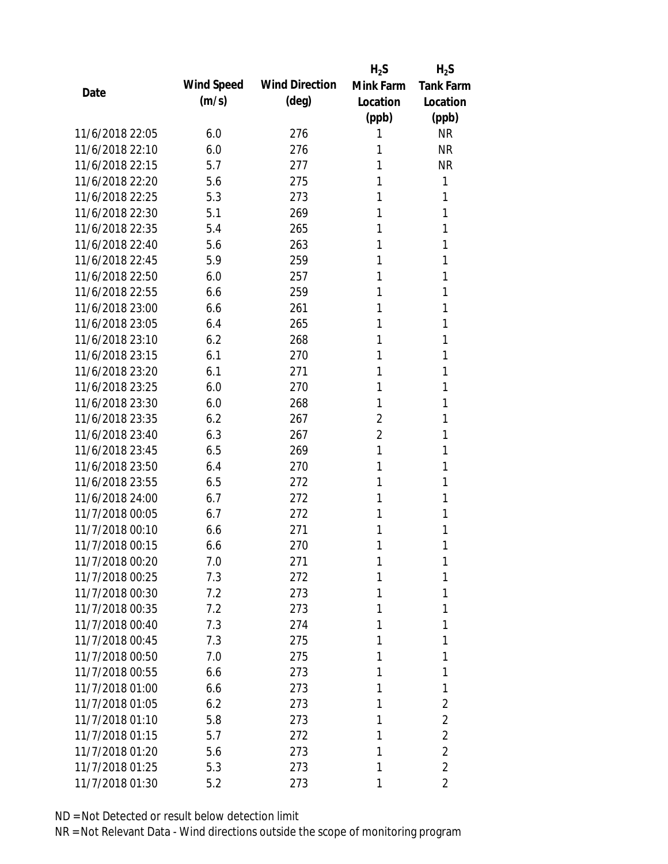|                 |            |                       | $H_2S$         | $H_2S$           |
|-----------------|------------|-----------------------|----------------|------------------|
| Date            | Wind Speed | <b>Wind Direction</b> | Mink Farm      | <b>Tank Farm</b> |
|                 | (m/s)      | $(\text{deg})$        | Location       | Location         |
|                 |            |                       | (ppb)          | (ppb)            |
| 11/6/2018 22:05 | 6.0        | 276                   | 1              | <b>NR</b>        |
| 11/6/2018 22:10 | 6.0        | 276                   | 1              | <b>NR</b>        |
| 11/6/2018 22:15 | 5.7        | 277                   | 1              | <b>NR</b>        |
| 11/6/2018 22:20 | 5.6        | 275                   | 1              | 1                |
| 11/6/2018 22:25 | 5.3        | 273                   | 1              | 1                |
| 11/6/2018 22:30 | 5.1        | 269                   | 1              | 1                |
| 11/6/2018 22:35 | 5.4        | 265                   | 1              | 1                |
| 11/6/2018 22:40 | 5.6        | 263                   | 1              | 1                |
| 11/6/2018 22:45 | 5.9        | 259                   | 1              | 1                |
| 11/6/2018 22:50 | 6.0        | 257                   | 1              | 1                |
| 11/6/2018 22:55 | 6.6        | 259                   | 1              | 1                |
| 11/6/2018 23:00 | 6.6        | 261                   | 1              | 1                |
| 11/6/2018 23:05 | 6.4        | 265                   | 1              | 1                |
| 11/6/2018 23:10 | 6.2        | 268                   | 1              | 1                |
| 11/6/2018 23:15 | 6.1        | 270                   | 1              | 1                |
| 11/6/2018 23:20 | 6.1        | 271                   | 1              | 1                |
| 11/6/2018 23:25 | 6.0        | 270                   | 1              | 1                |
| 11/6/2018 23:30 | 6.0        | 268                   | 1              | 1                |
| 11/6/2018 23:35 | 6.2        | 267                   | $\overline{2}$ | 1                |
| 11/6/2018 23:40 | 6.3        | 267                   | $\overline{2}$ | 1                |
| 11/6/2018 23:45 | 6.5        | 269                   | 1              | 1                |
| 11/6/2018 23:50 | 6.4        | 270                   | 1              | 1                |
| 11/6/2018 23:55 | 6.5        | 272                   | 1              | 1                |
| 11/6/2018 24:00 | 6.7        | 272                   | 1              | 1                |
| 11/7/2018 00:05 | 6.7        | 272                   | 1              | 1                |
| 11/7/2018 00:10 | 6.6        | 271                   | 1              | 1                |
| 11/7/2018 00:15 | 6.6        | 270                   | 1              | 1                |
| 11/7/2018 00:20 | 7.0        | 271                   | 1              | 1                |
| 11/7/2018 00:25 | 7.3        | 272                   | 1              | 1                |
| 11/7/2018 00:30 | 7.2        | 273                   | 1              | 1                |
| 11/7/2018 00:35 | 7.2        | 273                   | 1              | 1                |
| 11/7/2018 00:40 | 7.3        | 274                   | 1              | 1                |
| 11/7/2018 00:45 | 7.3        | 275                   | 1              | 1                |
| 11/7/2018 00:50 | 7.0        | 275                   | 1              | 1                |
| 11/7/2018 00:55 | 6.6        | 273                   | 1              | 1                |
| 11/7/2018 01:00 | 6.6        | 273                   | 1              | 1                |
| 11/7/2018 01:05 | 6.2        | 273                   | 1              | $\overline{2}$   |
| 11/7/2018 01:10 | 5.8        | 273                   | 1              | $\overline{2}$   |
| 11/7/2018 01:15 | 5.7        | 272                   | 1              | $\overline{2}$   |
| 11/7/2018 01:20 | 5.6        | 273                   | 1              | $\overline{2}$   |
| 11/7/2018 01:25 | 5.3        | 273                   | 1              | $\overline{2}$   |
| 11/7/2018 01:30 | 5.2        | 273                   | 1              | 2                |
|                 |            |                       |                |                  |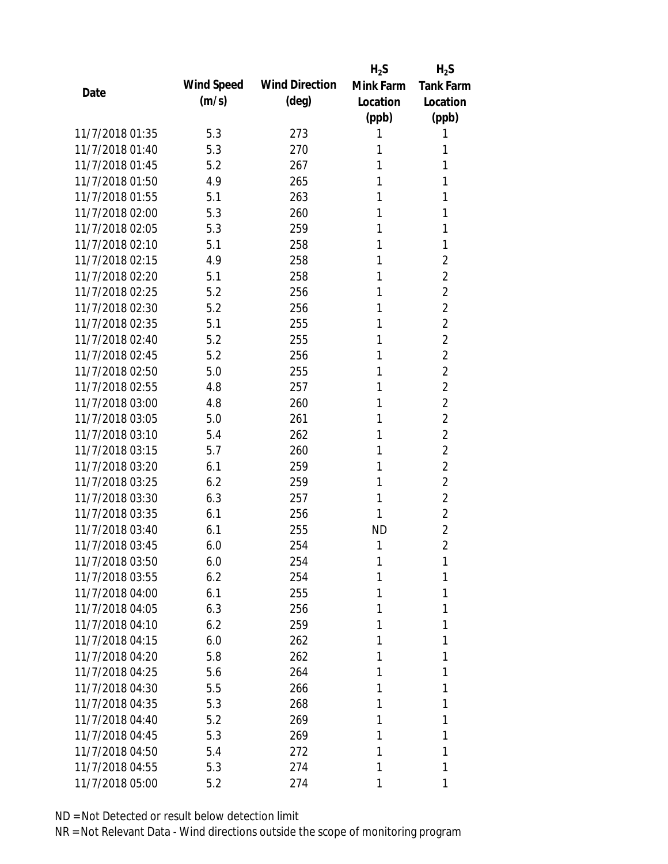|                 |            |                       | $H_2S$    | $H_2S$           |
|-----------------|------------|-----------------------|-----------|------------------|
| Date            | Wind Speed | <b>Wind Direction</b> | Mink Farm | <b>Tank Farm</b> |
|                 | (m/s)      | $(\text{deg})$        | Location  | Location         |
|                 |            |                       | (ppb)     | (ppb)            |
| 11/7/2018 01:35 | 5.3        | 273                   | 1         | 1                |
| 11/7/2018 01:40 | 5.3        | 270                   | 1         | 1                |
| 11/7/2018 01:45 | 5.2        | 267                   | 1         | 1                |
| 11/7/2018 01:50 | 4.9        | 265                   | 1         | 1                |
| 11/7/2018 01:55 | 5.1        | 263                   | 1         | 1                |
| 11/7/2018 02:00 | 5.3        | 260                   | 1         | 1                |
| 11/7/2018 02:05 | 5.3        | 259                   | 1         | 1                |
| 11/7/2018 02:10 | 5.1        | 258                   | 1         | 1                |
| 11/7/2018 02:15 | 4.9        | 258                   | 1         | $\overline{2}$   |
| 11/7/2018 02:20 | 5.1        | 258                   | 1         | $\overline{2}$   |
| 11/7/2018 02:25 | 5.2        | 256                   | 1         | $\overline{2}$   |
| 11/7/2018 02:30 | 5.2        | 256                   | 1         | $\overline{2}$   |
| 11/7/2018 02:35 | 5.1        | 255                   | 1         | $\overline{2}$   |
| 11/7/2018 02:40 | 5.2        | 255                   | 1         | $\overline{2}$   |
| 11/7/2018 02:45 | 5.2        | 256                   | 1         | $\overline{2}$   |
| 11/7/2018 02:50 | 5.0        | 255                   | 1         | $\overline{2}$   |
| 11/7/2018 02:55 | 4.8        | 257                   | 1         | $\overline{2}$   |
| 11/7/2018 03:00 | 4.8        | 260                   | 1         | $\overline{2}$   |
| 11/7/2018 03:05 | 5.0        | 261                   | 1         | $\overline{2}$   |
| 11/7/2018 03:10 | 5.4        | 262                   | 1         | $\overline{2}$   |
| 11/7/2018 03:15 | 5.7        | 260                   | 1         | $\overline{2}$   |
| 11/7/2018 03:20 | 6.1        | 259                   | 1         | $\overline{2}$   |
| 11/7/2018 03:25 | 6.2        | 259                   | 1         | $\overline{2}$   |
| 11/7/2018 03:30 | 6.3        | 257                   | 1         | $\overline{2}$   |
| 11/7/2018 03:35 | 6.1        | 256                   | 1         | $\overline{2}$   |
| 11/7/2018 03:40 | 6.1        | 255                   | <b>ND</b> | $\overline{2}$   |
| 11/7/2018 03:45 | 6.0        | 254                   | 1         | $\overline{2}$   |
| 11/7/2018 03:50 | 6.0        | 254                   | 1         | 1                |
| 11/7/2018 03:55 | 6.2        | 254                   | 1         | 1                |
| 11/7/2018 04:00 | 6.1        | 255                   | 1         | 1                |
| 11/7/2018 04:05 | 6.3        | 256                   | 1         | 1                |
| 11/7/2018 04:10 | 6.2        | 259                   | 1         | 1                |
| 11/7/2018 04:15 | 6.0        | 262                   | 1         | 1                |
| 11/7/2018 04:20 | 5.8        | 262                   | 1         | 1                |
| 11/7/2018 04:25 | 5.6        | 264                   | 1         | 1                |
| 11/7/2018 04:30 | 5.5        | 266                   | 1         | 1                |
| 11/7/2018 04:35 | 5.3        | 268                   | 1         | 1                |
| 11/7/2018 04:40 | 5.2        | 269                   | 1         | 1                |
| 11/7/2018 04:45 | 5.3        | 269                   | 1         | 1                |
| 11/7/2018 04:50 | 5.4        | 272                   | 1         | 1                |
| 11/7/2018 04:55 | 5.3        | 274                   | 1         | 1                |
| 11/7/2018 05:00 | 5.2        | 274                   | 1         | 1                |
|                 |            |                       |           |                  |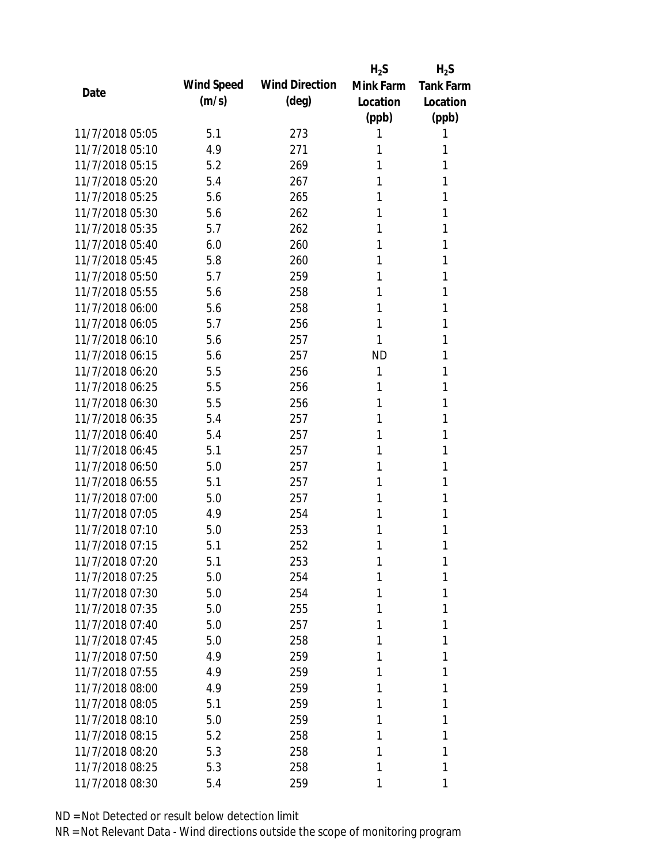|                 |            |                       | $H_2S$    | $H_2S$           |
|-----------------|------------|-----------------------|-----------|------------------|
|                 | Wind Speed | <b>Wind Direction</b> | Mink Farm | <b>Tank Farm</b> |
| Date            | (m/s)      | $(\text{deg})$        | Location  | Location         |
|                 |            |                       | (ppb)     | (ppb)            |
| 11/7/2018 05:05 | 5.1        | 273                   | 1         | 1                |
| 11/7/2018 05:10 | 4.9        | 271                   | 1         | 1                |
| 11/7/2018 05:15 | 5.2        | 269                   | 1         | 1                |
| 11/7/2018 05:20 | 5.4        | 267                   | 1         | 1                |
| 11/7/2018 05:25 | 5.6        | 265                   | 1         | 1                |
| 11/7/2018 05:30 | 5.6        | 262                   | 1         | 1                |
| 11/7/2018 05:35 | 5.7        | 262                   | 1         | 1                |
| 11/7/2018 05:40 | 6.0        | 260                   | 1         | 1                |
| 11/7/2018 05:45 | 5.8        | 260                   | 1         | 1                |
| 11/7/2018 05:50 | 5.7        | 259                   | 1         | 1                |
| 11/7/2018 05:55 | 5.6        | 258                   | 1         | 1                |
| 11/7/2018 06:00 | 5.6        | 258                   | 1         | 1                |
| 11/7/2018 06:05 | 5.7        | 256                   | 1         | 1                |
| 11/7/2018 06:10 | 5.6        | 257                   | 1         | 1                |
| 11/7/2018 06:15 | 5.6        | 257                   | <b>ND</b> | 1                |
| 11/7/2018 06:20 | 5.5        | 256                   | 1         | 1                |
| 11/7/2018 06:25 | 5.5        | 256                   | 1         | 1                |
| 11/7/2018 06:30 | 5.5        | 256                   | 1         | 1                |
| 11/7/2018 06:35 | 5.4        | 257                   | 1         | 1                |
| 11/7/2018 06:40 | 5.4        | 257                   | 1         | 1                |
| 11/7/2018 06:45 | 5.1        | 257                   | 1         | 1                |
| 11/7/2018 06:50 | 5.0        | 257                   | 1         | 1                |
| 11/7/2018 06:55 | 5.1        | 257                   | 1         | 1                |
| 11/7/2018 07:00 | 5.0        | 257                   | 1         | 1                |
| 11/7/2018 07:05 | 4.9        | 254                   | 1         | 1                |
| 11/7/2018 07:10 | 5.0        | 253                   | 1         | 1                |
| 11/7/2018 07:15 | 5.1        | 252                   | 1         | 1                |
| 11/7/2018 07:20 | 5.1        | 253                   | 1         | 1                |
| 11/7/2018 07:25 | 5.0        | 254                   | 1         | 1                |
| 11/7/2018 07:30 | 5.0        | 254                   | 1         | 1                |
| 11/7/2018 07:35 | 5.0        | 255                   | 1         | 1                |
| 11/7/2018 07:40 | 5.0        | 257                   | 1         | 1                |
| 11/7/2018 07:45 | 5.0        | 258                   | 1         | 1                |
| 11/7/2018 07:50 | 4.9        | 259                   | 1         | 1                |
| 11/7/2018 07:55 | 4.9        | 259                   | 1         | 1                |
| 11/7/2018 08:00 | 4.9        | 259                   | 1         | 1                |
| 11/7/2018 08:05 | 5.1        | 259                   | 1         | 1                |
| 11/7/2018 08:10 | 5.0        | 259                   | 1         | 1                |
| 11/7/2018 08:15 | 5.2        | 258                   | 1         | 1                |
| 11/7/2018 08:20 | 5.3        | 258                   | 1         | 1                |
| 11/7/2018 08:25 | 5.3        | 258                   | 1         | 1                |
| 11/7/2018 08:30 | 5.4        | 259                   | 1         | 1                |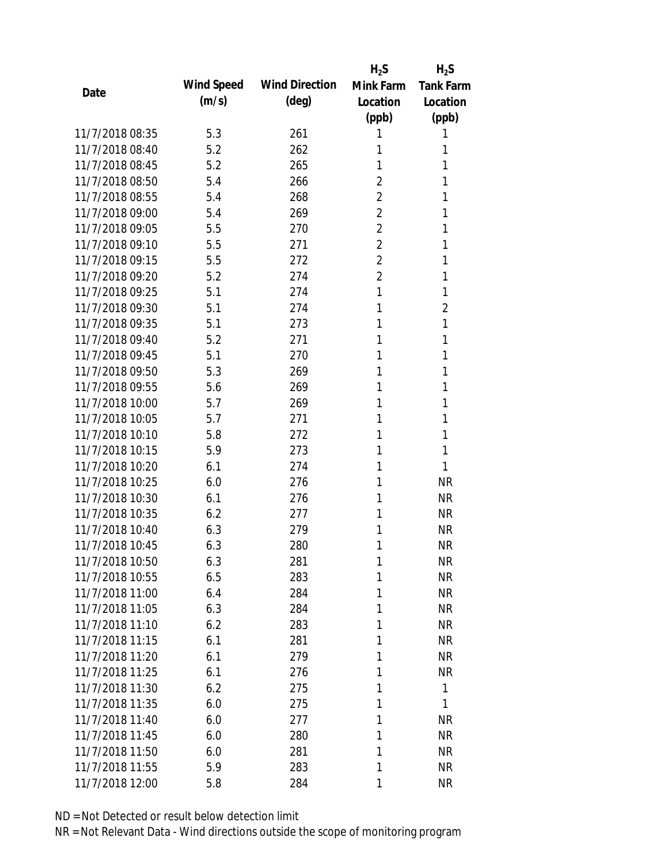|                 |            |                       | $H_2S$         | $H_2S$           |
|-----------------|------------|-----------------------|----------------|------------------|
| Date            | Wind Speed | <b>Wind Direction</b> | Mink Farm      | <b>Tank Farm</b> |
|                 | (m/s)      | $(\text{deg})$        | Location       | Location         |
|                 |            |                       | (ppb)          | (ppb)            |
| 11/7/2018 08:35 | 5.3        | 261                   | 1              | 1                |
| 11/7/2018 08:40 | 5.2        | 262                   | 1              | 1                |
| 11/7/2018 08:45 | 5.2        | 265                   | 1              | 1                |
| 11/7/2018 08:50 | 5.4        | 266                   | $\overline{2}$ | 1                |
| 11/7/2018 08:55 | 5.4        | 268                   | $\overline{2}$ | 1                |
| 11/7/2018 09:00 | 5.4        | 269                   | $\overline{2}$ | 1                |
| 11/7/2018 09:05 | 5.5        | 270                   | $\overline{2}$ | 1                |
| 11/7/2018 09:10 | 5.5        | 271                   | $\overline{2}$ | 1                |
| 11/7/2018 09:15 | 5.5        | 272                   | $\overline{2}$ | 1                |
| 11/7/2018 09:20 | 5.2        | 274                   | $\overline{2}$ | 1                |
| 11/7/2018 09:25 | 5.1        | 274                   | 1              | 1                |
| 11/7/2018 09:30 | 5.1        | 274                   | 1              | $\overline{2}$   |
| 11/7/2018 09:35 | 5.1        | 273                   | 1              | 1                |
| 11/7/2018 09:40 | 5.2        | 271                   | 1              | 1                |
| 11/7/2018 09:45 | 5.1        | 270                   | 1              | 1                |
| 11/7/2018 09:50 | 5.3        | 269                   | 1              | 1                |
| 11/7/2018 09:55 | 5.6        | 269                   | 1              | 1                |
| 11/7/2018 10:00 | 5.7        | 269                   | 1              | 1                |
| 11/7/2018 10:05 | 5.7        | 271                   | 1              | 1                |
| 11/7/2018 10:10 | 5.8        | 272                   | 1              | 1                |
| 11/7/2018 10:15 | 5.9        | 273                   | 1              | 1                |
| 11/7/2018 10:20 | 6.1        | 274                   | 1              | 1                |
| 11/7/2018 10:25 | 6.0        | 276                   | 1              | <b>NR</b>        |
| 11/7/2018 10:30 | 6.1        | 276                   | 1              | <b>NR</b>        |
| 11/7/2018 10:35 | 6.2        | 277                   | 1              | <b>NR</b>        |
| 11/7/2018 10:40 | 6.3        | 279                   | 1              | <b>NR</b>        |
| 11/7/2018 10:45 | 6.3        | 280                   | 1              | <b>NR</b>        |
| 11/7/2018 10:50 | 6.3        | 281                   | 1              | <b>NR</b>        |
| 11/7/2018 10:55 | 6.5        | 283                   | 1              | <b>NR</b>        |
| 11/7/2018 11:00 | 6.4        | 284                   | 1              | <b>NR</b>        |
| 11/7/2018 11:05 | 6.3        | 284                   | 1              | <b>NR</b>        |
| 11/7/2018 11:10 | 6.2        | 283                   | 1              | NR               |
| 11/7/2018 11:15 | 6.1        | 281                   | 1              | <b>NR</b>        |
| 11/7/2018 11:20 | 6.1        | 279                   | 1              | <b>NR</b>        |
| 11/7/2018 11:25 | 6.1        | 276                   | 1              | <b>NR</b>        |
| 11/7/2018 11:30 | 6.2        | 275                   | 1              | 1                |
| 11/7/2018 11:35 | 6.0        | 275                   | 1              | 1                |
| 11/7/2018 11:40 | 6.0        | 277                   | 1              | <b>NR</b>        |
| 11/7/2018 11:45 | 6.0        | 280                   | 1              | NR               |
| 11/7/2018 11:50 | 6.0        | 281                   | 1              | <b>NR</b>        |
| 11/7/2018 11:55 | 5.9        | 283                   | 1              | <b>NR</b>        |
| 11/7/2018 12:00 | 5.8        | 284                   | 1              | <b>NR</b>        |
|                 |            |                       |                |                  |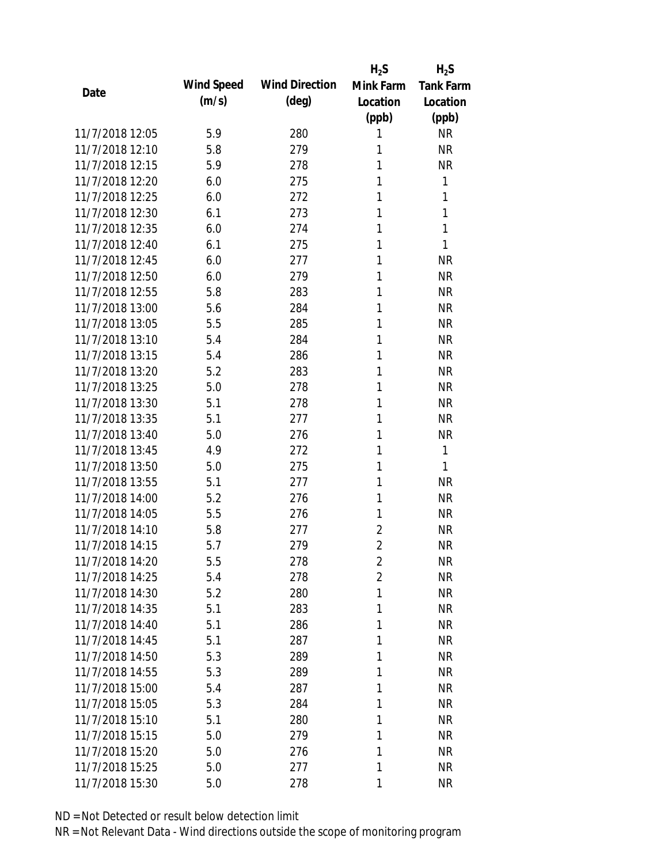|                 |            |                       | $H_2S$         | $H_2S$           |
|-----------------|------------|-----------------------|----------------|------------------|
| Date            | Wind Speed | <b>Wind Direction</b> | Mink Farm      | <b>Tank Farm</b> |
|                 | (m/s)      | $(\text{deg})$        | Location       | Location         |
|                 |            |                       | (ppb)          | (ppb)            |
| 11/7/2018 12:05 | 5.9        | 280                   | 1              | <b>NR</b>        |
| 11/7/2018 12:10 | 5.8        | 279                   | 1              | <b>NR</b>        |
| 11/7/2018 12:15 | 5.9        | 278                   | 1              | <b>NR</b>        |
| 11/7/2018 12:20 | 6.0        | 275                   | 1              | 1                |
| 11/7/2018 12:25 | 6.0        | 272                   | 1              | 1                |
| 11/7/2018 12:30 | 6.1        | 273                   | 1              | 1                |
| 11/7/2018 12:35 | 6.0        | 274                   | 1              | 1                |
| 11/7/2018 12:40 | 6.1        | 275                   | 1              | 1                |
| 11/7/2018 12:45 | 6.0        | 277                   | 1              | <b>NR</b>        |
| 11/7/2018 12:50 | 6.0        | 279                   | 1              | <b>NR</b>        |
| 11/7/2018 12:55 | 5.8        | 283                   | 1              | <b>NR</b>        |
| 11/7/2018 13:00 | 5.6        | 284                   | 1              | <b>NR</b>        |
| 11/7/2018 13:05 | 5.5        | 285                   | 1              | <b>NR</b>        |
| 11/7/2018 13:10 | 5.4        | 284                   | 1              | <b>NR</b>        |
| 11/7/2018 13:15 | 5.4        | 286                   | 1              | <b>NR</b>        |
| 11/7/2018 13:20 | 5.2        | 283                   | 1              | <b>NR</b>        |
| 11/7/2018 13:25 | 5.0        | 278                   | 1              | <b>NR</b>        |
| 11/7/2018 13:30 | 5.1        | 278                   | 1              | <b>NR</b>        |
| 11/7/2018 13:35 | 5.1        | 277                   | 1              | <b>NR</b>        |
| 11/7/2018 13:40 | 5.0        | 276                   | 1              | <b>NR</b>        |
| 11/7/2018 13:45 | 4.9        | 272                   | 1              | 1                |
| 11/7/2018 13:50 | 5.0        | 275                   | 1              | 1                |
| 11/7/2018 13:55 | 5.1        | 277                   | 1              | <b>NR</b>        |
| 11/7/2018 14:00 | 5.2        | 276                   | 1              | <b>NR</b>        |
| 11/7/2018 14:05 | 5.5        | 276                   | 1              | <b>NR</b>        |
| 11/7/2018 14:10 | 5.8        | 277                   | $\overline{2}$ | <b>NR</b>        |
| 11/7/2018 14:15 | 5.7        | 279                   | $\overline{2}$ | <b>NR</b>        |
| 11/7/2018 14:20 | 5.5        | 278                   | $\overline{2}$ | <b>NR</b>        |
| 11/7/2018 14:25 | 5.4        | 278                   | $\overline{2}$ | <b>NR</b>        |
| 11/7/2018 14:30 | 5.2        | 280                   | 1              | <b>NR</b>        |
| 11/7/2018 14:35 | 5.1        | 283                   | 1              | <b>NR</b>        |
| 11/7/2018 14:40 | 5.1        | 286                   | 1              | NR               |
| 11/7/2018 14:45 | 5.1        | 287                   | 1              | NR               |
| 11/7/2018 14:50 | 5.3        | 289                   | 1              | NR               |
| 11/7/2018 14:55 | 5.3        | 289                   | 1              | <b>NR</b>        |
| 11/7/2018 15:00 | 5.4        | 287                   | 1              | <b>NR</b>        |
| 11/7/2018 15:05 | 5.3        | 284                   | 1              | <b>NR</b>        |
| 11/7/2018 15:10 | 5.1        | 280                   | 1              | <b>NR</b>        |
| 11/7/2018 15:15 | 5.0        | 279                   | 1              | <b>NR</b>        |
| 11/7/2018 15:20 | 5.0        | 276                   | 1              | NR               |
| 11/7/2018 15:25 | 5.0        | 277                   | 1              | <b>NR</b>        |
| 11/7/2018 15:30 | 5.0        | 278                   | 1              | <b>NR</b>        |
|                 |            |                       |                |                  |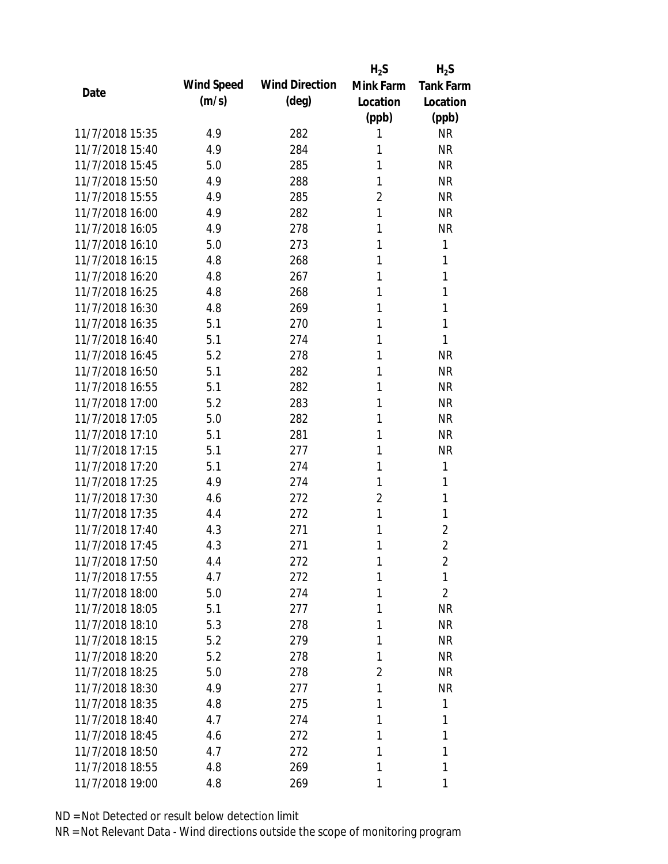|                 |            |                       | $H_2S$         | $H_2S$           |
|-----------------|------------|-----------------------|----------------|------------------|
|                 | Wind Speed | <b>Wind Direction</b> | Mink Farm      | <b>Tank Farm</b> |
| Date            | (m/s)      | $(\text{deg})$        | Location       | Location         |
|                 |            |                       | (ppb)          | (ppb)            |
| 11/7/2018 15:35 | 4.9        | 282                   | 1              | <b>NR</b>        |
| 11/7/2018 15:40 | 4.9        | 284                   | 1              | <b>NR</b>        |
| 11/7/2018 15:45 | 5.0        | 285                   | 1              | <b>NR</b>        |
| 11/7/2018 15:50 | 4.9        | 288                   | 1              | <b>NR</b>        |
| 11/7/2018 15:55 | 4.9        | 285                   | $\overline{2}$ | <b>NR</b>        |
| 11/7/2018 16:00 | 4.9        | 282                   | 1              | <b>NR</b>        |
| 11/7/2018 16:05 | 4.9        | 278                   | 1              | <b>NR</b>        |
| 11/7/2018 16:10 | 5.0        | 273                   | 1              | 1                |
| 11/7/2018 16:15 | 4.8        | 268                   | 1              | 1                |
| 11/7/2018 16:20 | 4.8        | 267                   | 1              | 1                |
| 11/7/2018 16:25 | 4.8        | 268                   | 1              | 1                |
| 11/7/2018 16:30 | 4.8        | 269                   | 1              | 1                |
| 11/7/2018 16:35 | 5.1        | 270                   | 1              | 1                |
| 11/7/2018 16:40 | 5.1        | 274                   | 1              | 1                |
| 11/7/2018 16:45 | 5.2        | 278                   | 1              | <b>NR</b>        |
| 11/7/2018 16:50 | 5.1        | 282                   | 1              | <b>NR</b>        |
| 11/7/2018 16:55 | 5.1        | 282                   | 1              | <b>NR</b>        |
| 11/7/2018 17:00 | 5.2        | 283                   | 1              | <b>NR</b>        |
| 11/7/2018 17:05 | 5.0        | 282                   | 1              | <b>NR</b>        |
| 11/7/2018 17:10 | 5.1        | 281                   | 1              | <b>NR</b>        |
| 11/7/2018 17:15 | 5.1        | 277                   | 1              | <b>NR</b>        |
| 11/7/2018 17:20 | 5.1        | 274                   | 1              | 1                |
| 11/7/2018 17:25 | 4.9        | 274                   | 1              | 1                |
| 11/7/2018 17:30 | 4.6        | 272                   | $\overline{2}$ | 1                |
| 11/7/2018 17:35 | 4.4        | 272                   | 1              | 1                |
| 11/7/2018 17:40 | 4.3        | 271                   | 1              | $\overline{2}$   |
| 11/7/2018 17:45 | 4.3        | 271                   | 1              | $\overline{2}$   |
| 11/7/2018 17:50 | 4.4        | 272                   | 1              | 2                |
| 11/7/2018 17:55 | 4.7        | 272                   | 1              | 1                |
| 11/7/2018 18:00 | 5.0        | 274                   | 1              | $\overline{2}$   |
| 11/7/2018 18:05 | 5.1        | 277                   | 1              | <b>NR</b>        |
| 11/7/2018 18:10 | 5.3        | 278                   | 1              | <b>NR</b>        |
| 11/7/2018 18:15 | 5.2        | 279                   | 1              | NR               |
| 11/7/2018 18:20 | 5.2        | 278                   | 1              | NR               |
| 11/7/2018 18:25 | 5.0        | 278                   | 2              | <b>NR</b>        |
| 11/7/2018 18:30 | 4.9        | 277                   | 1              | <b>NR</b>        |
| 11/7/2018 18:35 | 4.8        | 275                   | 1              | 1                |
| 11/7/2018 18:40 | 4.7        | 274                   | 1              | 1                |
| 11/7/2018 18:45 | 4.6        | 272                   | 1              | 1                |
| 11/7/2018 18:50 | 4.7        | 272                   | 1              | 1                |
| 11/7/2018 18:55 | 4.8        | 269                   | 1              | 1                |
| 11/7/2018 19:00 | 4.8        | 269                   | 1              | 1                |
|                 |            |                       |                |                  |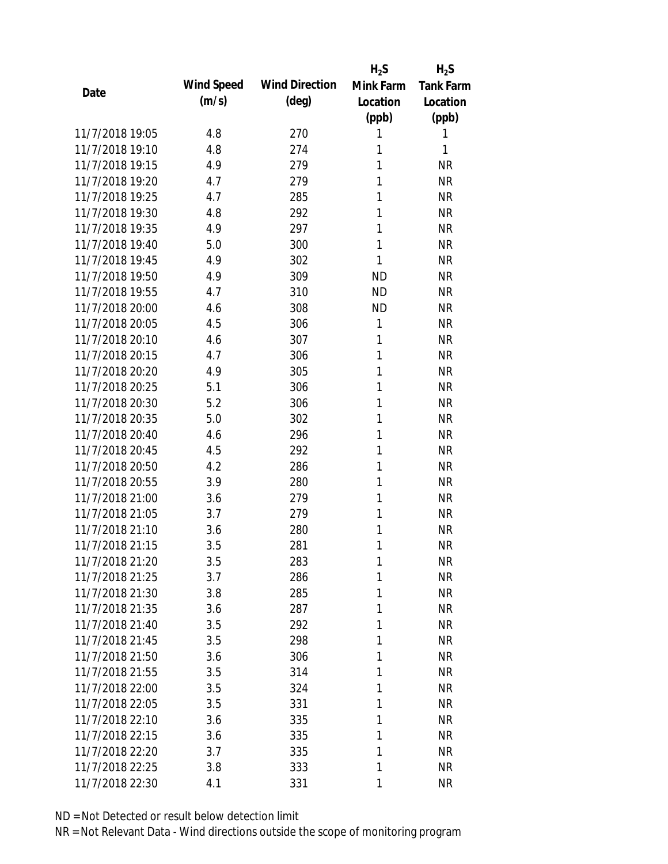|                 |            |                       | $H_2S$       | $H_2S$           |
|-----------------|------------|-----------------------|--------------|------------------|
| Date            | Wind Speed | <b>Wind Direction</b> | Mink Farm    | <b>Tank Farm</b> |
|                 | (m/s)      | $(\text{deg})$        | Location     | Location         |
|                 |            |                       | (ppb)        | (ppb)            |
| 11/7/2018 19:05 | 4.8        | 270                   | 1            | 1                |
| 11/7/2018 19:10 | 4.8        | 274                   | 1            | 1                |
| 11/7/2018 19:15 | 4.9        | 279                   | 1            | <b>NR</b>        |
| 11/7/2018 19:20 | 4.7        | 279                   | 1            | <b>NR</b>        |
| 11/7/2018 19:25 | 4.7        | 285                   | 1            | <b>NR</b>        |
| 11/7/2018 19:30 | 4.8        | 292                   | 1            | <b>NR</b>        |
| 11/7/2018 19:35 | 4.9        | 297                   | 1            | <b>NR</b>        |
| 11/7/2018 19:40 | 5.0        | 300                   | 1            | <b>NR</b>        |
| 11/7/2018 19:45 | 4.9        | 302                   | 1            | <b>NR</b>        |
| 11/7/2018 19:50 | 4.9        | 309                   | <b>ND</b>    | <b>NR</b>        |
| 11/7/2018 19:55 | 4.7        | 310                   | <b>ND</b>    | <b>NR</b>        |
| 11/7/2018 20:00 | 4.6        | 308                   | <b>ND</b>    | <b>NR</b>        |
| 11/7/2018 20:05 | 4.5        | 306                   | $\mathbf{1}$ | <b>NR</b>        |
| 11/7/2018 20:10 | 4.6        | 307                   | 1            | <b>NR</b>        |
| 11/7/2018 20:15 | 4.7        | 306                   | 1            | <b>NR</b>        |
| 11/7/2018 20:20 | 4.9        | 305                   | 1            | <b>NR</b>        |
| 11/7/2018 20:25 | 5.1        | 306                   | 1            | <b>NR</b>        |
| 11/7/2018 20:30 | 5.2        | 306                   | 1            | <b>NR</b>        |
| 11/7/2018 20:35 | 5.0        | 302                   | 1            | <b>NR</b>        |
| 11/7/2018 20:40 | 4.6        | 296                   | 1            | <b>NR</b>        |
| 11/7/2018 20:45 | 4.5        | 292                   | 1            | <b>NR</b>        |
| 11/7/2018 20:50 | 4.2        | 286                   | 1            | <b>NR</b>        |
| 11/7/2018 20:55 | 3.9        | 280                   | 1            | <b>NR</b>        |
| 11/7/2018 21:00 | 3.6        | 279                   | 1            | <b>NR</b>        |
| 11/7/2018 21:05 | 3.7        | 279                   | 1            | <b>NR</b>        |
| 11/7/2018 21:10 | 3.6        | 280                   | 1            | <b>NR</b>        |
| 11/7/2018 21:15 | 3.5        | 281                   | 1            | <b>NR</b>        |
| 11/7/2018 21:20 | 3.5        | 283                   | 1            | <b>NR</b>        |
| 11/7/2018 21:25 | 3.7        | 286                   | 1            | <b>NR</b>        |
| 11/7/2018 21:30 | 3.8        | 285                   | 1            | <b>NR</b>        |
| 11/7/2018 21:35 | 3.6        | 287                   | 1            | <b>NR</b>        |
| 11/7/2018 21:40 | 3.5        | 292                   | 1            | <b>NR</b>        |
| 11/7/2018 21:45 | 3.5        | 298                   | 1            | <b>NR</b>        |
| 11/7/2018 21:50 | 3.6        | 306                   | 1            | <b>NR</b>        |
| 11/7/2018 21:55 | 3.5        | 314                   | 1            | <b>NR</b>        |
| 11/7/2018 22:00 | 3.5        | 324                   | 1            | <b>NR</b>        |
| 11/7/2018 22:05 | 3.5        | 331                   | 1            | <b>NR</b>        |
| 11/7/2018 22:10 | 3.6        | 335                   | 1            | <b>NR</b>        |
| 11/7/2018 22:15 | 3.6        | 335                   | 1            | <b>NR</b>        |
| 11/7/2018 22:20 | 3.7        | 335                   | 1            | <b>NR</b>        |
| 11/7/2018 22:25 | 3.8        | 333                   | 1            | <b>NR</b>        |
| 11/7/2018 22:30 | 4.1        | 331                   | 1            | <b>NR</b>        |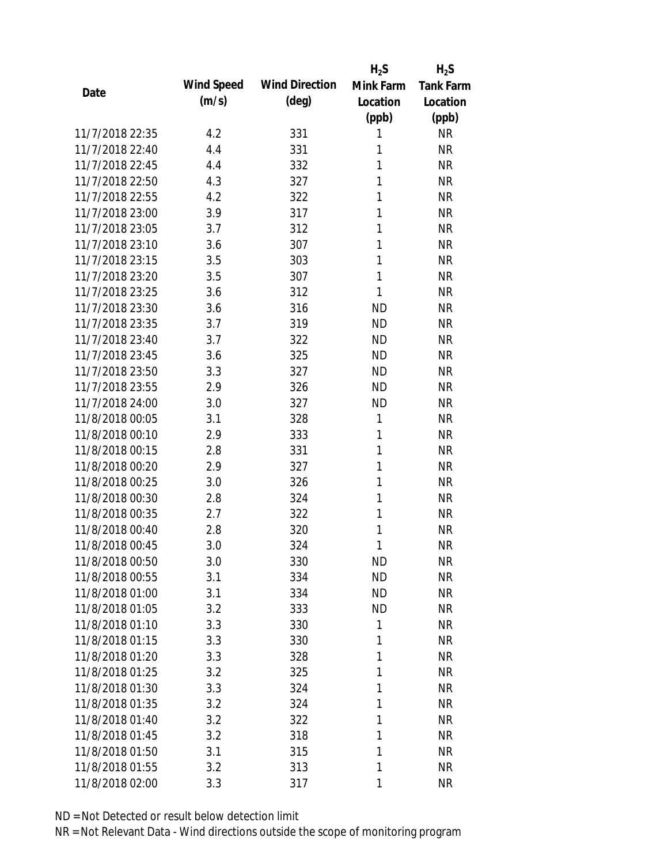|                 |            |                       | $H_2S$    | $H_2S$           |
|-----------------|------------|-----------------------|-----------|------------------|
| Date            | Wind Speed | <b>Wind Direction</b> | Mink Farm | <b>Tank Farm</b> |
|                 | (m/s)      | $(\text{deg})$        | Location  | Location         |
|                 |            |                       | (ppb)     | (ppb)            |
| 11/7/2018 22:35 | 4.2        | 331                   | 1         | <b>NR</b>        |
| 11/7/2018 22:40 | 4.4        | 331                   | 1         | <b>NR</b>        |
| 11/7/2018 22:45 | 4.4        | 332                   | 1         | <b>NR</b>        |
| 11/7/2018 22:50 | 4.3        | 327                   | 1         | <b>NR</b>        |
| 11/7/2018 22:55 | 4.2        | 322                   | 1         | <b>NR</b>        |
| 11/7/2018 23:00 | 3.9        | 317                   | 1         | <b>NR</b>        |
| 11/7/2018 23:05 | 3.7        | 312                   | 1         | <b>NR</b>        |
| 11/7/2018 23:10 | 3.6        | 307                   | 1         | <b>NR</b>        |
| 11/7/2018 23:15 | 3.5        | 303                   | 1         | <b>NR</b>        |
| 11/7/2018 23:20 | 3.5        | 307                   | 1         | <b>NR</b>        |
| 11/7/2018 23:25 | 3.6        | 312                   | 1         | <b>NR</b>        |
| 11/7/2018 23:30 | 3.6        | 316                   | <b>ND</b> | <b>NR</b>        |
| 11/7/2018 23:35 | 3.7        | 319                   | <b>ND</b> | <b>NR</b>        |
| 11/7/2018 23:40 | 3.7        | 322                   | <b>ND</b> | <b>NR</b>        |
| 11/7/2018 23:45 | 3.6        | 325                   | <b>ND</b> | <b>NR</b>        |
| 11/7/2018 23:50 | 3.3        | 327                   | <b>ND</b> | <b>NR</b>        |
| 11/7/2018 23:55 | 2.9        | 326                   | <b>ND</b> | <b>NR</b>        |
| 11/7/2018 24:00 | 3.0        | 327                   | <b>ND</b> | <b>NR</b>        |
| 11/8/2018 00:05 | 3.1        | 328                   | 1         | <b>NR</b>        |
| 11/8/2018 00:10 | 2.9        | 333                   | 1         | <b>NR</b>        |
| 11/8/2018 00:15 | 2.8        | 331                   | 1         | <b>NR</b>        |
| 11/8/2018 00:20 | 2.9        | 327                   | 1         | <b>NR</b>        |
| 11/8/2018 00:25 | 3.0        | 326                   | 1         | <b>NR</b>        |
| 11/8/2018 00:30 | 2.8        | 324                   | 1         | <b>NR</b>        |
| 11/8/2018 00:35 | 2.7        | 322                   | 1         | <b>NR</b>        |
| 11/8/2018 00:40 | 2.8        | 320                   | 1         | <b>NR</b>        |
| 11/8/2018 00:45 | 3.0        | 324                   | 1         | <b>NR</b>        |
| 11/8/2018 00:50 | 3.0        | 330                   | <b>ND</b> | <b>NR</b>        |
| 11/8/2018 00:55 | 3.1        | 334                   | <b>ND</b> | <b>NR</b>        |
| 11/8/2018 01:00 | 3.1        | 334                   | ND        | <b>NR</b>        |
| 11/8/2018 01:05 | 3.2        | 333                   | <b>ND</b> | <b>NR</b>        |
| 11/8/2018 01:10 | 3.3        | 330                   | 1         | <b>NR</b>        |
| 11/8/2018 01:15 | 3.3        | 330                   | 1         | <b>NR</b>        |
| 11/8/2018 01:20 | 3.3        | 328                   | 1         | <b>NR</b>        |
| 11/8/2018 01:25 | 3.2        | 325                   | 1         | <b>NR</b>        |
| 11/8/2018 01:30 | 3.3        | 324                   | 1         | <b>NR</b>        |
| 11/8/2018 01:35 | 3.2        | 324                   | 1         | <b>NR</b>        |
| 11/8/2018 01:40 | 3.2        | 322                   | 1         | <b>NR</b>        |
| 11/8/2018 01:45 | 3.2        | 318                   | 1         | <b>NR</b>        |
| 11/8/2018 01:50 | 3.1        | 315                   | 1         | <b>NR</b>        |
| 11/8/2018 01:55 | 3.2        | 313                   | 1         | <b>NR</b>        |
| 11/8/2018 02:00 | 3.3        | 317                   | 1         | <b>NR</b>        |
|                 |            |                       |           |                  |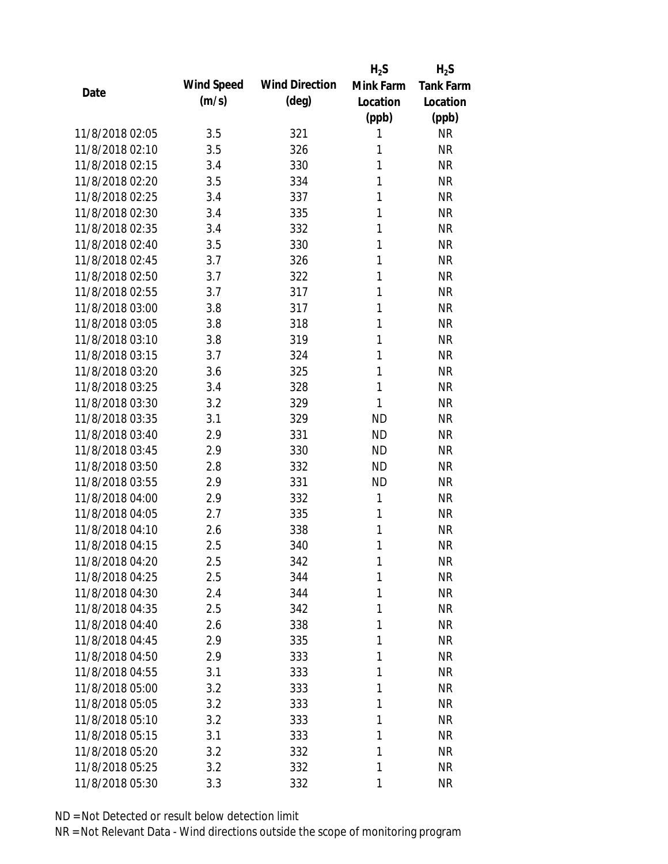|                 |            |                       | $H_2S$    | $H_2S$           |
|-----------------|------------|-----------------------|-----------|------------------|
| Date            | Wind Speed | <b>Wind Direction</b> | Mink Farm | <b>Tank Farm</b> |
|                 | (m/s)      | $(\text{deg})$        | Location  | Location         |
|                 |            |                       | (ppb)     | (ppb)            |
| 11/8/2018 02:05 | 3.5        | 321                   | 1         | <b>NR</b>        |
| 11/8/2018 02:10 | 3.5        | 326                   | 1         | <b>NR</b>        |
| 11/8/2018 02:15 | 3.4        | 330                   | 1         | <b>NR</b>        |
| 11/8/2018 02:20 | 3.5        | 334                   | 1         | <b>NR</b>        |
| 11/8/2018 02:25 | 3.4        | 337                   | 1         | <b>NR</b>        |
| 11/8/2018 02:30 | 3.4        | 335                   | 1         | <b>NR</b>        |
| 11/8/2018 02:35 | 3.4        | 332                   | 1         | <b>NR</b>        |
| 11/8/2018 02:40 | 3.5        | 330                   | 1         | <b>NR</b>        |
| 11/8/2018 02:45 | 3.7        | 326                   | 1         | <b>NR</b>        |
| 11/8/2018 02:50 | 3.7        | 322                   | 1         | <b>NR</b>        |
| 11/8/2018 02:55 | 3.7        | 317                   | 1         | <b>NR</b>        |
| 11/8/2018 03:00 | 3.8        | 317                   | 1         | <b>NR</b>        |
| 11/8/2018 03:05 | 3.8        | 318                   | 1         | <b>NR</b>        |
| 11/8/2018 03:10 | 3.8        | 319                   | 1         | <b>NR</b>        |
| 11/8/2018 03:15 | 3.7        | 324                   | 1         | <b>NR</b>        |
| 11/8/2018 03:20 | 3.6        | 325                   | 1         | <b>NR</b>        |
| 11/8/2018 03:25 | 3.4        | 328                   | 1         | <b>NR</b>        |
| 11/8/2018 03:30 | 3.2        | 329                   | 1         | <b>NR</b>        |
| 11/8/2018 03:35 | 3.1        | 329                   | <b>ND</b> | <b>NR</b>        |
| 11/8/2018 03:40 | 2.9        | 331                   | <b>ND</b> | <b>NR</b>        |
| 11/8/2018 03:45 | 2.9        | 330                   | <b>ND</b> | <b>NR</b>        |
| 11/8/2018 03:50 | 2.8        | 332                   | <b>ND</b> | <b>NR</b>        |
| 11/8/2018 03:55 | 2.9        | 331                   | <b>ND</b> | <b>NR</b>        |
| 11/8/2018 04:00 | 2.9        | 332                   | 1         | <b>NR</b>        |
| 11/8/2018 04:05 | 2.7        | 335                   | 1         | <b>NR</b>        |
| 11/8/2018 04:10 | 2.6        | 338                   | 1         | <b>NR</b>        |
| 11/8/2018 04:15 | 2.5        | 340                   | 1         | <b>NR</b>        |
| 11/8/2018 04:20 | 2.5        | 342                   | 1         | <b>NR</b>        |
| 11/8/2018 04:25 | 2.5        | 344                   | 1         | <b>NR</b>        |
| 11/8/2018 04:30 | 2.4        | 344                   | 1         | <b>NR</b>        |
| 11/8/2018 04:35 | 2.5        | 342                   | 1         | <b>NR</b>        |
| 11/8/2018 04:40 | 2.6        | 338                   | 1         | <b>NR</b>        |
| 11/8/2018 04:45 | 2.9        | 335                   | 1         | <b>NR</b>        |
| 11/8/2018 04:50 | 2.9        | 333                   | 1         | <b>NR</b>        |
| 11/8/2018 04:55 | 3.1        | 333                   | 1         | <b>NR</b>        |
| 11/8/2018 05:00 | 3.2        | 333                   | 1         | <b>NR</b>        |
| 11/8/2018 05:05 | 3.2        | 333                   | 1         | <b>NR</b>        |
| 11/8/2018 05:10 | 3.2        | 333                   | 1         | <b>NR</b>        |
| 11/8/2018 05:15 | 3.1        | 333                   | 1         | <b>NR</b>        |
| 11/8/2018 05:20 | 3.2        | 332                   | 1         | <b>NR</b>        |
| 11/8/2018 05:25 | 3.2        | 332                   | 1         | <b>NR</b>        |
| 11/8/2018 05:30 | 3.3        | 332                   | 1         | <b>NR</b>        |
|                 |            |                       |           |                  |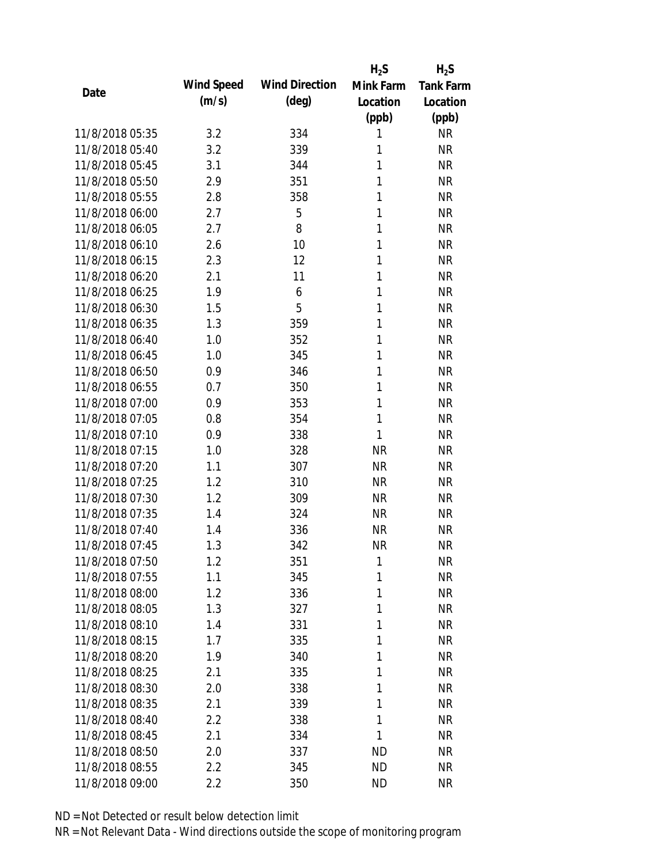|                 |            |                       | $H_2S$       | $H_2S$           |
|-----------------|------------|-----------------------|--------------|------------------|
| Date            | Wind Speed | <b>Wind Direction</b> | Mink Farm    | <b>Tank Farm</b> |
|                 | (m/s)      | $(\text{deg})$        | Location     | Location         |
|                 |            |                       | (ppb)        | (ppb)            |
| 11/8/2018 05:35 | 3.2        | 334                   | 1            | <b>NR</b>        |
| 11/8/2018 05:40 | 3.2        | 339                   | 1            | <b>NR</b>        |
| 11/8/2018 05:45 | 3.1        | 344                   | 1            | <b>NR</b>        |
| 11/8/2018 05:50 | 2.9        | 351                   | 1            | <b>NR</b>        |
| 11/8/2018 05:55 | 2.8        | 358                   | 1            | <b>NR</b>        |
| 11/8/2018 06:00 | 2.7        | 5                     | 1            | <b>NR</b>        |
| 11/8/2018 06:05 | 2.7        | 8                     | 1            | <b>NR</b>        |
| 11/8/2018 06:10 | 2.6        | 10                    | 1            | <b>NR</b>        |
| 11/8/2018 06:15 | 2.3        | 12                    | 1            | <b>NR</b>        |
| 11/8/2018 06:20 | 2.1        | 11                    | 1            | <b>NR</b>        |
| 11/8/2018 06:25 | 1.9        | 6                     | 1            | <b>NR</b>        |
| 11/8/2018 06:30 | 1.5        | 5                     | 1            | <b>NR</b>        |
| 11/8/2018 06:35 | 1.3        | 359                   | 1            | <b>NR</b>        |
| 11/8/2018 06:40 | 1.0        | 352                   | 1            | <b>NR</b>        |
| 11/8/2018 06:45 | 1.0        | 345                   | 1            | <b>NR</b>        |
| 11/8/2018 06:50 | 0.9        | 346                   | 1            | <b>NR</b>        |
| 11/8/2018 06:55 | 0.7        | 350                   | 1            | <b>NR</b>        |
| 11/8/2018 07:00 | 0.9        | 353                   | 1            | <b>NR</b>        |
| 11/8/2018 07:05 | 0.8        | 354                   | $\mathbf{1}$ | <b>NR</b>        |
| 11/8/2018 07:10 | 0.9        | 338                   | 1            | <b>NR</b>        |
| 11/8/2018 07:15 | 1.0        | 328                   | <b>NR</b>    | <b>NR</b>        |
| 11/8/2018 07:20 | 1.1        | 307                   | <b>NR</b>    | <b>NR</b>        |
| 11/8/2018 07:25 | 1.2        | 310                   | <b>NR</b>    | <b>NR</b>        |
| 11/8/2018 07:30 | 1.2        | 309                   | <b>NR</b>    | <b>NR</b>        |
| 11/8/2018 07:35 | 1.4        | 324                   | <b>NR</b>    | <b>NR</b>        |
| 11/8/2018 07:40 | 1.4        | 336                   | <b>NR</b>    | <b>NR</b>        |
| 11/8/2018 07:45 | 1.3        | 342                   | <b>NR</b>    | <b>NR</b>        |
| 11/8/2018 07:50 | 1.2        | 351                   | 1            | <b>NR</b>        |
| 11/8/2018 07:55 | 1.1        | 345                   | 1            | <b>NR</b>        |
| 11/8/2018 08:00 | 1.2        | 336                   | 1            | <b>NR</b>        |
| 11/8/2018 08:05 | 1.3        | 327                   | 1            | <b>NR</b>        |
| 11/8/2018 08:10 | 1.4        | 331                   | 1            | <b>NR</b>        |
| 11/8/2018 08:15 | 1.7        | 335                   | 1            | <b>NR</b>        |
| 11/8/2018 08:20 | 1.9        | 340                   | 1            | <b>NR</b>        |
| 11/8/2018 08:25 | 2.1        | 335                   | 1            | NR               |
| 11/8/2018 08:30 | 2.0        | 338                   | 1            | <b>NR</b>        |
| 11/8/2018 08:35 | 2.1        | 339                   | 1            | <b>NR</b>        |
| 11/8/2018 08:40 | 2.2        | 338                   | 1            | <b>NR</b>        |
| 11/8/2018 08:45 | 2.1        | 334                   | 1            | NR               |
| 11/8/2018 08:50 | 2.0        | 337                   | <b>ND</b>    | NR               |
| 11/8/2018 08:55 | 2.2        | 345                   | <b>ND</b>    | <b>NR</b>        |
| 11/8/2018 09:00 | 2.2        | 350                   | ND           | <b>NR</b>        |
|                 |            |                       |              |                  |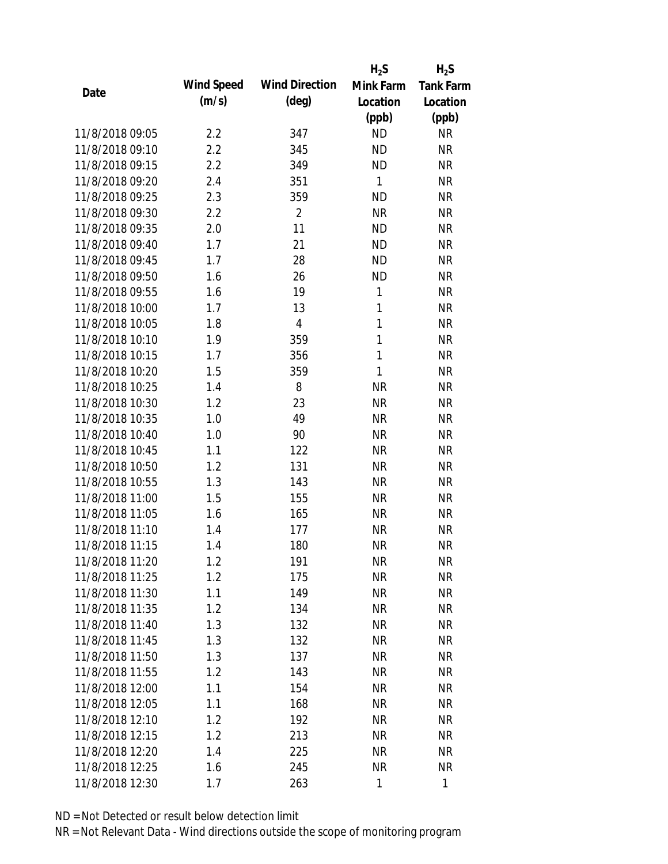|      |                 |            |                       | $H_2S$       | $H_2S$           |
|------|-----------------|------------|-----------------------|--------------|------------------|
| Date |                 | Wind Speed | <b>Wind Direction</b> | Mink Farm    | <b>Tank Farm</b> |
|      |                 | (m/s)      | $(\text{deg})$        | Location     | Location         |
|      |                 |            |                       | (ppb)        | (ppb)            |
|      | 11/8/2018 09:05 | 2.2        | 347                   | <b>ND</b>    | <b>NR</b>        |
|      | 11/8/2018 09:10 | 2.2        | 345                   | <b>ND</b>    | <b>NR</b>        |
|      | 11/8/2018 09:15 | 2.2        | 349                   | <b>ND</b>    | <b>NR</b>        |
|      | 11/8/2018 09:20 | 2.4        | 351                   | $\mathbf{1}$ | <b>NR</b>        |
|      | 11/8/2018 09:25 | 2.3        | 359                   | <b>ND</b>    | <b>NR</b>        |
|      | 11/8/2018 09:30 | 2.2        | $\overline{2}$        | <b>NR</b>    | <b>NR</b>        |
|      | 11/8/2018 09:35 | 2.0        | 11                    | <b>ND</b>    | <b>NR</b>        |
|      | 11/8/2018 09:40 | 1.7        | 21                    | <b>ND</b>    | <b>NR</b>        |
|      | 11/8/2018 09:45 | 1.7        | 28                    | <b>ND</b>    | <b>NR</b>        |
|      | 11/8/2018 09:50 | 1.6        | 26                    | <b>ND</b>    | <b>NR</b>        |
|      | 11/8/2018 09:55 | 1.6        | 19                    | 1            | <b>NR</b>        |
|      | 11/8/2018 10:00 | 1.7        | 13                    | $\mathbf{1}$ | <b>NR</b>        |
|      | 11/8/2018 10:05 | 1.8        | $\sqrt{4}$            | $\mathbf{1}$ | <b>NR</b>        |
|      | 11/8/2018 10:10 | 1.9        | 359                   | $\mathbf{1}$ | <b>NR</b>        |
|      | 11/8/2018 10:15 | 1.7        | 356                   | $\mathbf{1}$ | <b>NR</b>        |
|      | 11/8/2018 10:20 | 1.5        | 359                   | 1            | <b>NR</b>        |
|      | 11/8/2018 10:25 | 1.4        | 8                     | <b>NR</b>    | <b>NR</b>        |
|      | 11/8/2018 10:30 | 1.2        | 23                    | <b>NR</b>    | <b>NR</b>        |
|      | 11/8/2018 10:35 | 1.0        | 49                    | <b>NR</b>    | <b>NR</b>        |
|      | 11/8/2018 10:40 | 1.0        | 90                    | <b>NR</b>    | <b>NR</b>        |
|      | 11/8/2018 10:45 | 1.1        | 122                   | <b>NR</b>    | <b>NR</b>        |
|      | 11/8/2018 10:50 | 1.2        | 131                   | <b>NR</b>    | <b>NR</b>        |
|      | 11/8/2018 10:55 | 1.3        | 143                   | <b>NR</b>    | <b>NR</b>        |
|      | 11/8/2018 11:00 | 1.5        | 155                   | <b>NR</b>    | <b>NR</b>        |
|      | 11/8/2018 11:05 | 1.6        | 165                   | <b>NR</b>    | <b>NR</b>        |
|      | 11/8/2018 11:10 | 1.4        | 177                   | <b>NR</b>    | <b>NR</b>        |
|      | 11/8/2018 11:15 | 1.4        | 180                   | <b>NR</b>    | <b>NR</b>        |
|      | 11/8/2018 11:20 | 1.2        | 191                   | <b>NR</b>    | <b>NR</b>        |
|      | 11/8/2018 11:25 | 1.2        | 175                   | <b>NR</b>    | <b>NR</b>        |
|      | 11/8/2018 11:30 | 1.1        | 149                   | <b>NR</b>    | <b>NR</b>        |
|      | 11/8/2018 11:35 | 1.2        | 134                   | <b>NR</b>    | <b>NR</b>        |
|      | 11/8/2018 11:40 | 1.3        | 132                   | <b>NR</b>    | NR               |
|      | 11/8/2018 11:45 | 1.3        | 132                   | <b>NR</b>    | <b>NR</b>        |
|      | 11/8/2018 11:50 | 1.3        | 137                   | <b>NR</b>    | <b>NR</b>        |
|      | 11/8/2018 11:55 | 1.2        | 143                   | <b>NR</b>    | <b>NR</b>        |
|      | 11/8/2018 12:00 | 1.1        | 154                   | <b>NR</b>    | <b>NR</b>        |
|      | 11/8/2018 12:05 | 1.1        | 168                   | <b>NR</b>    | <b>NR</b>        |
|      | 11/8/2018 12:10 | 1.2        | 192                   |              | <b>NR</b>        |
|      |                 |            |                       | <b>NR</b>    |                  |
|      | 11/8/2018 12:15 | 1.2        | 213                   | <b>NR</b>    | <b>NR</b>        |
|      | 11/8/2018 12:20 | 1.4        | 225                   | <b>NR</b>    | <b>NR</b>        |
|      | 11/8/2018 12:25 | 1.6        | 245                   | <b>NR</b>    | <b>NR</b>        |
|      | 11/8/2018 12:30 | 1.7        | 263                   | $\mathbf{1}$ | $\mathbf{1}$     |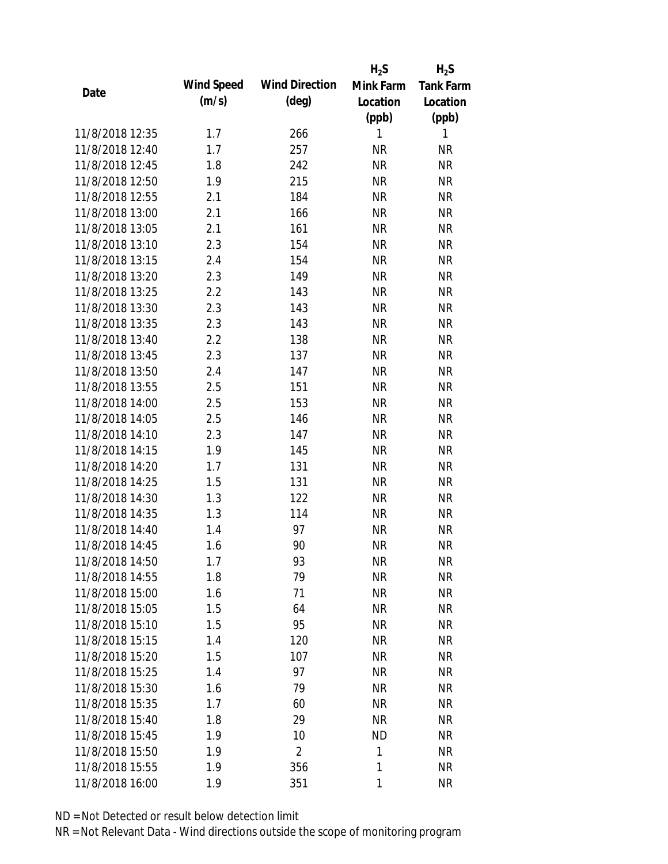|                 |            |                       | $H_2S$    | $H_2S$           |
|-----------------|------------|-----------------------|-----------|------------------|
|                 | Wind Speed | <b>Wind Direction</b> | Mink Farm | <b>Tank Farm</b> |
| Date            | (m/s)      | $(\text{deg})$        | Location  | Location         |
|                 |            |                       | (ppb)     | (ppb)            |
| 11/8/2018 12:35 | 1.7        | 266                   | 1         | 1                |
| 11/8/2018 12:40 | 1.7        | 257                   | <b>NR</b> | <b>NR</b>        |
| 11/8/2018 12:45 | 1.8        | 242                   | <b>NR</b> | <b>NR</b>        |
| 11/8/2018 12:50 | 1.9        | 215                   | <b>NR</b> | <b>NR</b>        |
| 11/8/2018 12:55 | 2.1        | 184                   | <b>NR</b> | <b>NR</b>        |
| 11/8/2018 13:00 | 2.1        | 166                   | <b>NR</b> | <b>NR</b>        |
| 11/8/2018 13:05 | 2.1        | 161                   | <b>NR</b> | <b>NR</b>        |
| 11/8/2018 13:10 | 2.3        | 154                   | <b>NR</b> | <b>NR</b>        |
| 11/8/2018 13:15 | 2.4        | 154                   | <b>NR</b> | <b>NR</b>        |
| 11/8/2018 13:20 | 2.3        | 149                   | <b>NR</b> | <b>NR</b>        |
| 11/8/2018 13:25 | 2.2        | 143                   | <b>NR</b> | <b>NR</b>        |
| 11/8/2018 13:30 | 2.3        | 143                   | <b>NR</b> | <b>NR</b>        |
| 11/8/2018 13:35 | 2.3        | 143                   | <b>NR</b> | <b>NR</b>        |
| 11/8/2018 13:40 | 2.2        | 138                   | <b>NR</b> | <b>NR</b>        |
| 11/8/2018 13:45 | 2.3        | 137                   | <b>NR</b> | <b>NR</b>        |
| 11/8/2018 13:50 | 2.4        | 147                   | <b>NR</b> | <b>NR</b>        |
| 11/8/2018 13:55 | 2.5        | 151                   | <b>NR</b> | <b>NR</b>        |
| 11/8/2018 14:00 | 2.5        | 153                   | <b>NR</b> | <b>NR</b>        |
| 11/8/2018 14:05 | 2.5        | 146                   | <b>NR</b> | <b>NR</b>        |
| 11/8/2018 14:10 | 2.3        | 147                   | <b>NR</b> | <b>NR</b>        |
| 11/8/2018 14:15 | 1.9        | 145                   | <b>NR</b> | <b>NR</b>        |
| 11/8/2018 14:20 | 1.7        | 131                   | <b>NR</b> | <b>NR</b>        |
| 11/8/2018 14:25 | 1.5        | 131                   | <b>NR</b> | <b>NR</b>        |
| 11/8/2018 14:30 | 1.3        | 122                   | <b>NR</b> | <b>NR</b>        |
| 11/8/2018 14:35 | 1.3        | 114                   | <b>NR</b> | <b>NR</b>        |
| 11/8/2018 14:40 | 1.4        | 97                    | <b>NR</b> | <b>NR</b>        |
| 11/8/2018 14:45 | 1.6        | 90                    | <b>NR</b> | <b>NR</b>        |
| 11/8/2018 14:50 | 1.7        | 93                    | <b>NR</b> | <b>NR</b>        |
| 11/8/2018 14:55 | 1.8        | 79                    | <b>NR</b> | <b>NR</b>        |
| 11/8/2018 15:00 | 1.6        | 71                    | <b>NR</b> | <b>NR</b>        |
| 11/8/2018 15:05 | 1.5        | 64                    | <b>NR</b> | <b>NR</b>        |
| 11/8/2018 15:10 | 1.5        | 95                    | <b>NR</b> | NR               |
| 11/8/2018 15:15 | 1.4        | 120                   | <b>NR</b> | NR               |
| 11/8/2018 15:20 | 1.5        | 107                   | <b>NR</b> | <b>NR</b>        |
| 11/8/2018 15:25 | 1.4        | 97                    | <b>NR</b> | <b>NR</b>        |
| 11/8/2018 15:30 | 1.6        | 79                    | <b>NR</b> | <b>NR</b>        |
| 11/8/2018 15:35 | 1.7        | 60                    | <b>NR</b> | NR               |
| 11/8/2018 15:40 |            | 29                    | <b>NR</b> | NR               |
|                 | 1.8        |                       |           |                  |
| 11/8/2018 15:45 | 1.9        | 10                    | <b>ND</b> | NR               |
| 11/8/2018 15:50 | 1.9        | $\overline{2}$        | 1         | NR               |
| 11/8/2018 15:55 | 1.9        | 356                   | 1         | <b>NR</b>        |
| 11/8/2018 16:00 | 1.9        | 351                   | 1         | <b>NR</b>        |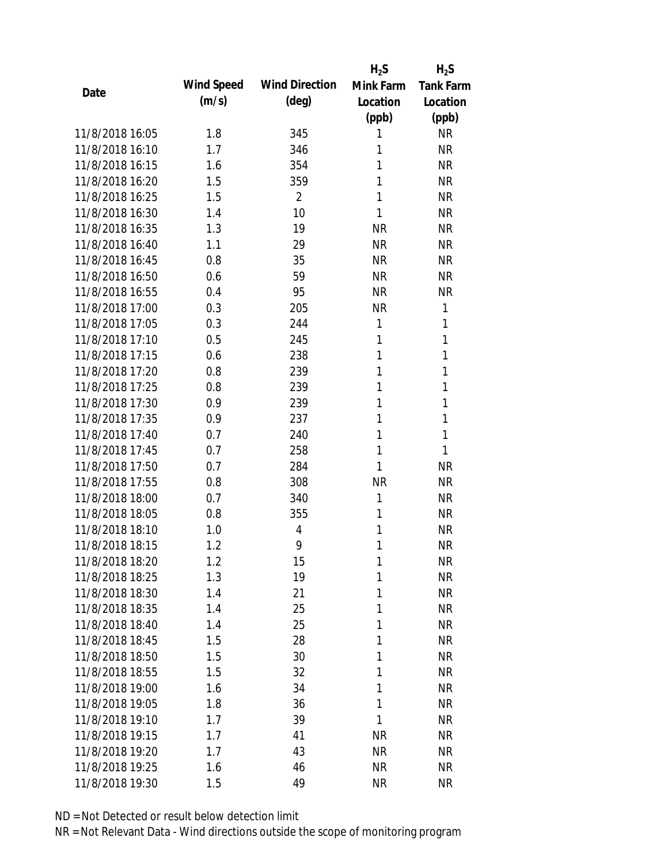|      |                 |            |                       | $H_2S$    | $H_2S$    |
|------|-----------------|------------|-----------------------|-----------|-----------|
| Date |                 | Wind Speed | <b>Wind Direction</b> | Mink Farm | Tank Farm |
|      |                 | (m/s)      | $(\text{deg})$        | Location  | Location  |
|      |                 |            |                       | (ppb)     | (ppb)     |
|      | 11/8/2018 16:05 | 1.8        | 345                   | 1         | <b>NR</b> |
|      | 11/8/2018 16:10 | 1.7        | 346                   | 1         | <b>NR</b> |
|      | 11/8/2018 16:15 | 1.6        | 354                   | 1         | <b>NR</b> |
|      | 11/8/2018 16:20 | 1.5        | 359                   | 1         | <b>NR</b> |
|      | 11/8/2018 16:25 | 1.5        | $\overline{2}$        | 1         | <b>NR</b> |
|      | 11/8/2018 16:30 | 1.4        | 10                    | 1         | <b>NR</b> |
|      | 11/8/2018 16:35 | 1.3        | 19                    | <b>NR</b> | <b>NR</b> |
|      | 11/8/2018 16:40 | 1.1        | 29                    | <b>NR</b> | <b>NR</b> |
|      | 11/8/2018 16:45 | 0.8        | 35                    | <b>NR</b> | <b>NR</b> |
|      | 11/8/2018 16:50 | 0.6        | 59                    | <b>NR</b> | <b>NR</b> |
|      | 11/8/2018 16:55 | 0.4        | 95                    | <b>NR</b> | <b>NR</b> |
|      | 11/8/2018 17:00 | 0.3        | 205                   | <b>NR</b> | 1         |
|      | 11/8/2018 17:05 | 0.3        | 244                   | 1         | 1         |
|      | 11/8/2018 17:10 | 0.5        | 245                   | 1         | 1         |
|      | 11/8/2018 17:15 | 0.6        | 238                   | 1         | 1         |
|      | 11/8/2018 17:20 | 0.8        | 239                   | 1         | 1         |
|      | 11/8/2018 17:25 | 0.8        | 239                   | 1         | 1         |
|      | 11/8/2018 17:30 | 0.9        | 239                   | 1         | 1         |
|      | 11/8/2018 17:35 | 0.9        | 237                   | 1         | 1         |
|      | 11/8/2018 17:40 | 0.7        | 240                   | 1         | 1         |
|      | 11/8/2018 17:45 | 0.7        | 258                   | 1         | 1         |
|      | 11/8/2018 17:50 | 0.7        | 284                   | 1         | <b>NR</b> |
|      | 11/8/2018 17:55 | 0.8        | 308                   | <b>NR</b> | <b>NR</b> |
|      | 11/8/2018 18:00 | 0.7        | 340                   | 1         | <b>NR</b> |
|      | 11/8/2018 18:05 | 0.8        | 355                   | 1         | <b>NR</b> |
|      | 11/8/2018 18:10 | 1.0        | 4                     | 1         | <b>NR</b> |
|      | 11/8/2018 18:15 | 1.2        | 9                     | 1         | <b>NR</b> |
|      | 11/8/2018 18:20 | 1.2        | 15                    | 1         | <b>NR</b> |
|      | 11/8/2018 18:25 | 1.3        | 19                    | 1         | <b>NR</b> |
|      | 11/8/2018 18:30 | 1.4        | 21                    | 1         | <b>NR</b> |
|      | 11/8/2018 18:35 | 1.4        | 25                    | 1         | <b>NR</b> |
|      | 11/8/2018 18:40 | 1.4        | 25                    | 1         | <b>NR</b> |
|      | 11/8/2018 18:45 | 1.5        | 28                    | 1         | <b>NR</b> |
|      | 11/8/2018 18:50 | 1.5        | 30                    | 1         | <b>NR</b> |
|      | 11/8/2018 18:55 | 1.5        | 32                    | 1         | <b>NR</b> |
|      | 11/8/2018 19:00 | 1.6        | 34                    | 1         | <b>NR</b> |
|      | 11/8/2018 19:05 | 1.8        | 36                    | 1         | <b>NR</b> |
|      | 11/8/2018 19:10 | 1.7        | 39                    | 1         | <b>NR</b> |
|      | 11/8/2018 19:15 | 1.7        | 41                    |           | <b>NR</b> |
|      | 11/8/2018 19:20 |            | 43                    | <b>NR</b> |           |
|      |                 | 1.7        |                       | <b>NR</b> | <b>NR</b> |
|      | 11/8/2018 19:25 | 1.6        | 46                    | <b>NR</b> | <b>NR</b> |
|      | 11/8/2018 19:30 | 1.5        | 49                    | <b>NR</b> | <b>NR</b> |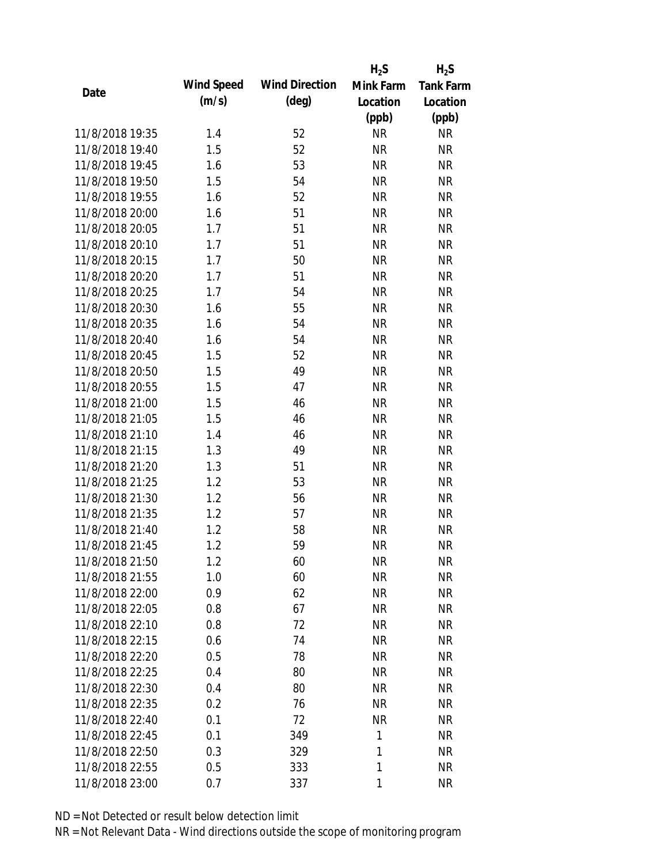|                 |            |                       | $H_2S$    | $H_2S$           |
|-----------------|------------|-----------------------|-----------|------------------|
|                 | Wind Speed | <b>Wind Direction</b> | Mink Farm | <b>Tank Farm</b> |
| Date            | (m/s)      | $(\text{deg})$        | Location  | Location         |
|                 |            |                       | (ppb)     | (ppb)            |
| 11/8/2018 19:35 | 1.4        | 52                    | <b>NR</b> | <b>NR</b>        |
| 11/8/2018 19:40 | 1.5        | 52                    | <b>NR</b> | <b>NR</b>        |
| 11/8/2018 19:45 | 1.6        | 53                    | <b>NR</b> | <b>NR</b>        |
| 11/8/2018 19:50 | 1.5        | 54                    | <b>NR</b> | <b>NR</b>        |
| 11/8/2018 19:55 | 1.6        | 52                    | <b>NR</b> | <b>NR</b>        |
| 11/8/2018 20:00 | 1.6        | 51                    | <b>NR</b> | <b>NR</b>        |
| 11/8/2018 20:05 | 1.7        | 51                    | <b>NR</b> | <b>NR</b>        |
| 11/8/2018 20:10 | 1.7        | 51                    | <b>NR</b> | <b>NR</b>        |
| 11/8/2018 20:15 | 1.7        | 50                    | <b>NR</b> | <b>NR</b>        |
| 11/8/2018 20:20 | 1.7        | 51                    | <b>NR</b> | <b>NR</b>        |
| 11/8/2018 20:25 | 1.7        | 54                    | <b>NR</b> | <b>NR</b>        |
| 11/8/2018 20:30 | 1.6        | 55                    | <b>NR</b> | <b>NR</b>        |
| 11/8/2018 20:35 | 1.6        | 54                    | <b>NR</b> | <b>NR</b>        |
| 11/8/2018 20:40 | 1.6        | 54                    | <b>NR</b> | <b>NR</b>        |
| 11/8/2018 20:45 | 1.5        | 52                    | <b>NR</b> | <b>NR</b>        |
| 11/8/2018 20:50 | 1.5        | 49                    | <b>NR</b> | <b>NR</b>        |
| 11/8/2018 20:55 | 1.5        | 47                    | <b>NR</b> | <b>NR</b>        |
| 11/8/2018 21:00 | 1.5        | 46                    | <b>NR</b> | <b>NR</b>        |
| 11/8/2018 21:05 | 1.5        | 46                    | <b>NR</b> | <b>NR</b>        |
| 11/8/2018 21:10 | 1.4        | 46                    | <b>NR</b> | <b>NR</b>        |
| 11/8/2018 21:15 | 1.3        | 49                    | <b>NR</b> | <b>NR</b>        |
| 11/8/2018 21:20 | 1.3        | 51                    | <b>NR</b> | <b>NR</b>        |
| 11/8/2018 21:25 | 1.2        | 53                    | <b>NR</b> | <b>NR</b>        |
| 11/8/2018 21:30 | 1.2        | 56                    | <b>NR</b> | <b>NR</b>        |
| 11/8/2018 21:35 | 1.2        | 57                    | <b>NR</b> | <b>NR</b>        |
| 11/8/2018 21:40 | 1.2        | 58                    | <b>NR</b> | <b>NR</b>        |
| 11/8/2018 21:45 | 1.2        | 59                    | <b>NR</b> | <b>NR</b>        |
| 11/8/2018 21:50 | 1.2        | 60                    | <b>NR</b> | <b>NR</b>        |
| 11/8/2018 21:55 | 1.0        | 60                    | <b>NR</b> | <b>NR</b>        |
| 11/8/2018 22:00 | 0.9        | 62                    | <b>NR</b> | <b>NR</b>        |
| 11/8/2018 22:05 | 0.8        | 67                    | <b>NR</b> | <b>NR</b>        |
| 11/8/2018 22:10 | 0.8        | 72                    | <b>NR</b> | NR               |
| 11/8/2018 22:15 | 0.6        | 74                    | <b>NR</b> | NR               |
| 11/8/2018 22:20 | 0.5        | 78                    | <b>NR</b> | <b>NR</b>        |
| 11/8/2018 22:25 | 0.4        | 80                    | <b>NR</b> | NR               |
| 11/8/2018 22:30 | 0.4        | 80                    | <b>NR</b> | NR               |
| 11/8/2018 22:35 | 0.2        | 76                    | <b>NR</b> | NR               |
| 11/8/2018 22:40 | 0.1        | 72                    | <b>NR</b> | NR               |
| 11/8/2018 22:45 | 0.1        | 349                   | 1         | NR               |
| 11/8/2018 22:50 | 0.3        | 329                   | 1         | NR               |
| 11/8/2018 22:55 | 0.5        | 333                   | 1         | <b>NR</b>        |
|                 |            |                       | 1         | <b>NR</b>        |
| 11/8/2018 23:00 | 0.7        | 337                   |           |                  |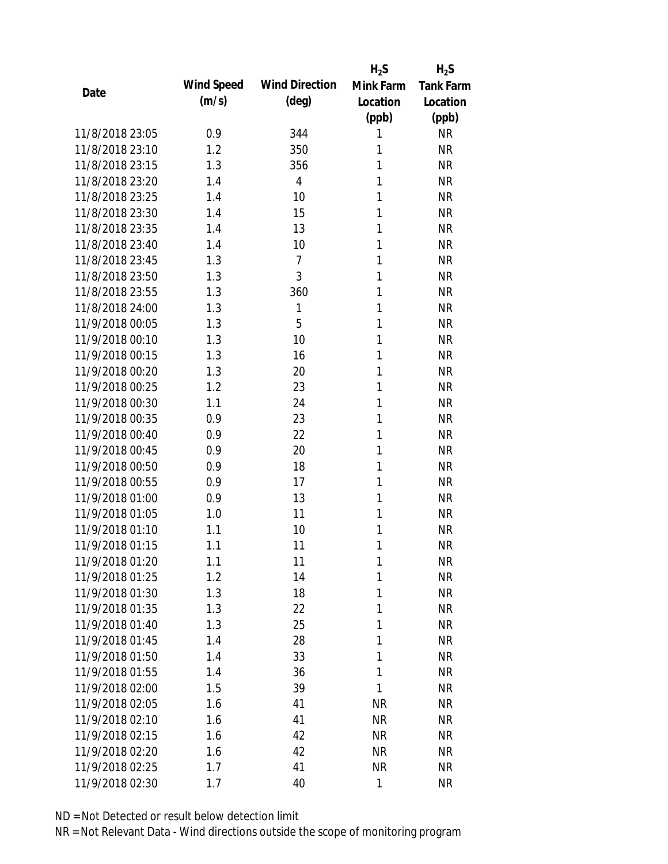|                 |            |                       | $H_2S$    | $H_2S$           |
|-----------------|------------|-----------------------|-----------|------------------|
| Date            | Wind Speed | <b>Wind Direction</b> | Mink Farm | <b>Tank Farm</b> |
|                 | (m/s)      | $(\text{deg})$        | Location  | Location         |
|                 |            |                       | (ppb)     | (ppb)            |
| 11/8/2018 23:05 | 0.9        | 344                   | 1         | <b>NR</b>        |
| 11/8/2018 23:10 | 1.2        | 350                   | 1         | <b>NR</b>        |
| 11/8/2018 23:15 | 1.3        | 356                   | 1         | <b>NR</b>        |
| 11/8/2018 23:20 | 1.4        | 4                     | 1         | <b>NR</b>        |
| 11/8/2018 23:25 | 1.4        | 10                    | 1         | <b>NR</b>        |
| 11/8/2018 23:30 | 1.4        | 15                    | 1         | <b>NR</b>        |
| 11/8/2018 23:35 | 1.4        | 13                    | 1         | <b>NR</b>        |
| 11/8/2018 23:40 | 1.4        | 10                    | 1         | <b>NR</b>        |
| 11/8/2018 23:45 | 1.3        | $\overline{7}$        | 1         | <b>NR</b>        |
| 11/8/2018 23:50 | 1.3        | 3                     | 1         | <b>NR</b>        |
| 11/8/2018 23:55 | 1.3        | 360                   | 1         | <b>NR</b>        |
| 11/8/2018 24:00 | 1.3        | 1                     | 1         | <b>NR</b>        |
| 11/9/2018 00:05 | 1.3        | 5                     | 1         | <b>NR</b>        |
| 11/9/2018 00:10 | 1.3        | 10                    | 1         | <b>NR</b>        |
| 11/9/2018 00:15 | 1.3        | 16                    | 1         | <b>NR</b>        |
| 11/9/2018 00:20 | 1.3        | 20                    | 1         | <b>NR</b>        |
| 11/9/2018 00:25 | 1.2        | 23                    | 1         | <b>NR</b>        |
| 11/9/2018 00:30 | 1.1        | 24                    | 1         | <b>NR</b>        |
| 11/9/2018 00:35 | 0.9        | 23                    | 1         | <b>NR</b>        |
| 11/9/2018 00:40 | 0.9        | 22                    | 1         | <b>NR</b>        |
| 11/9/2018 00:45 | 0.9        | 20                    | 1         | <b>NR</b>        |
| 11/9/2018 00:50 | 0.9        | 18                    | 1         | <b>NR</b>        |
| 11/9/2018 00:55 | 0.9        | 17                    | 1         | <b>NR</b>        |
| 11/9/2018 01:00 | 0.9        | 13                    | 1         | <b>NR</b>        |
| 11/9/2018 01:05 | 1.0        | 11                    | 1         | <b>NR</b>        |
| 11/9/2018 01:10 | 1.1        | 10                    | 1         | <b>NR</b>        |
| 11/9/2018 01:15 | 1.1        | 11                    | 1         | <b>NR</b>        |
| 11/9/2018 01:20 | 1.1        | 11                    | 1         | <b>NR</b>        |
| 11/9/2018 01:25 | 1.2        | 14                    | 1         | <b>NR</b>        |
| 11/9/2018 01:30 | 1.3        | 18                    | 1         | <b>NR</b>        |
| 11/9/2018 01:35 | 1.3        | 22                    | 1         | <b>NR</b>        |
| 11/9/2018 01:40 | 1.3        | 25                    | 1         | <b>NR</b>        |
| 11/9/2018 01:45 | 1.4        | 28                    | 1         | <b>NR</b>        |
| 11/9/2018 01:50 | 1.4        | 33                    | 1         | <b>NR</b>        |
| 11/9/2018 01:55 | 1.4        | 36                    | 1         | <b>NR</b>        |
| 11/9/2018 02:00 | 1.5        | 39                    | 1         | <b>NR</b>        |
| 11/9/2018 02:05 | 1.6        | 41                    | <b>NR</b> | <b>NR</b>        |
| 11/9/2018 02:10 | 1.6        | 41                    | <b>NR</b> | <b>NR</b>        |
| 11/9/2018 02:15 | 1.6        | 42                    | <b>NR</b> | <b>NR</b>        |
| 11/9/2018 02:20 | 1.6        | 42                    | <b>NR</b> | <b>NR</b>        |
| 11/9/2018 02:25 | 1.7        | 41                    | <b>NR</b> | <b>NR</b>        |
| 11/9/2018 02:30 |            | 40                    | 1         | <b>NR</b>        |
|                 | 1.7        |                       |           |                  |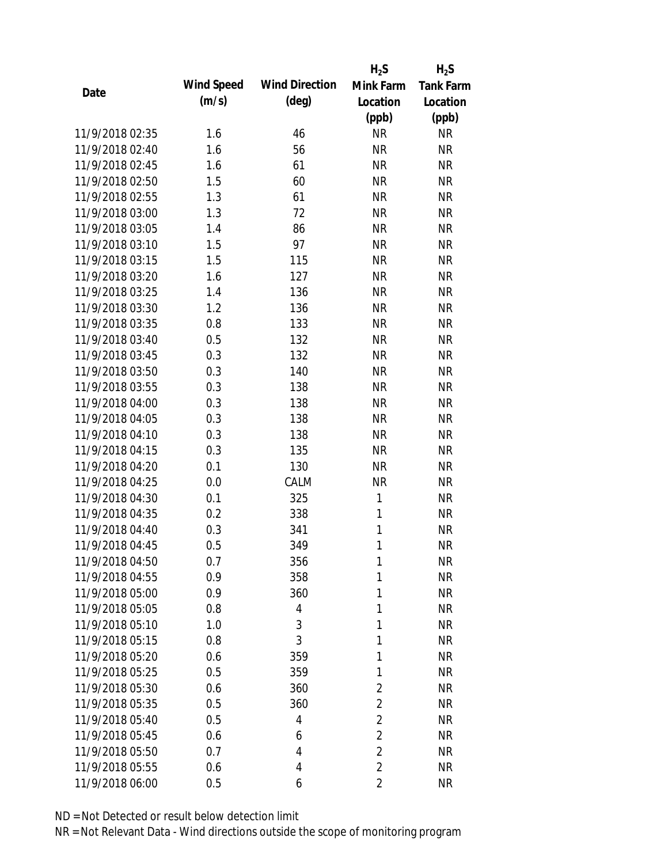|                 |            |                       | $H_2S$         | $H_2S$           |
|-----------------|------------|-----------------------|----------------|------------------|
| Date            | Wind Speed | <b>Wind Direction</b> | Mink Farm      | <b>Tank Farm</b> |
|                 | (m/s)      | $(\text{deg})$        | Location       | Location         |
|                 |            |                       | (ppb)          | (ppb)            |
| 11/9/2018 02:35 | 1.6        | 46                    | <b>NR</b>      | <b>NR</b>        |
| 11/9/2018 02:40 | 1.6        | 56                    | <b>NR</b>      | <b>NR</b>        |
| 11/9/2018 02:45 | 1.6        | 61                    | <b>NR</b>      | <b>NR</b>        |
| 11/9/2018 02:50 | 1.5        | 60                    | <b>NR</b>      | <b>NR</b>        |
| 11/9/2018 02:55 | 1.3        | 61                    | <b>NR</b>      | <b>NR</b>        |
| 11/9/2018 03:00 | 1.3        | 72                    | <b>NR</b>      | <b>NR</b>        |
| 11/9/2018 03:05 | 1.4        | 86                    | <b>NR</b>      | <b>NR</b>        |
| 11/9/2018 03:10 | 1.5        | 97                    | <b>NR</b>      | <b>NR</b>        |
| 11/9/2018 03:15 | 1.5        | 115                   | <b>NR</b>      | <b>NR</b>        |
| 11/9/2018 03:20 | 1.6        | 127                   | <b>NR</b>      | <b>NR</b>        |
| 11/9/2018 03:25 | 1.4        | 136                   | <b>NR</b>      | <b>NR</b>        |
| 11/9/2018 03:30 | 1.2        | 136                   | <b>NR</b>      | <b>NR</b>        |
| 11/9/2018 03:35 | 0.8        | 133                   | <b>NR</b>      | <b>NR</b>        |
| 11/9/2018 03:40 | 0.5        | 132                   | <b>NR</b>      | <b>NR</b>        |
| 11/9/2018 03:45 | 0.3        | 132                   | <b>NR</b>      | <b>NR</b>        |
| 11/9/2018 03:50 | 0.3        | 140                   | <b>NR</b>      | <b>NR</b>        |
| 11/9/2018 03:55 | 0.3        | 138                   | <b>NR</b>      | <b>NR</b>        |
| 11/9/2018 04:00 | 0.3        | 138                   | <b>NR</b>      | <b>NR</b>        |
| 11/9/2018 04:05 | 0.3        | 138                   | <b>NR</b>      | <b>NR</b>        |
| 11/9/2018 04:10 | 0.3        | 138                   | <b>NR</b>      | <b>NR</b>        |
| 11/9/2018 04:15 | 0.3        | 135                   | <b>NR</b>      | <b>NR</b>        |
| 11/9/2018 04:20 | 0.1        | 130                   | <b>NR</b>      | <b>NR</b>        |
| 11/9/2018 04:25 | 0.0        | CALM                  | <b>NR</b>      | <b>NR</b>        |
| 11/9/2018 04:30 | 0.1        | 325                   | 1              | <b>NR</b>        |
| 11/9/2018 04:35 | 0.2        | 338                   | 1              | <b>NR</b>        |
| 11/9/2018 04:40 | 0.3        | 341                   | $\mathbf{1}$   | <b>NR</b>        |
| 11/9/2018 04:45 | 0.5        | 349                   | 1              | <b>NR</b>        |
| 11/9/2018 04:50 | 0.7        | 356                   | 1              | <b>NR</b>        |
| 11/9/2018 04:55 | 0.9        | 358                   | 1              | <b>NR</b>        |
| 11/9/2018 05:00 | 0.9        | 360                   | 1              | <b>NR</b>        |
| 11/9/2018 05:05 | 0.8        | 4                     | 1              | <b>NR</b>        |
| 11/9/2018 05:10 | 1.0        | 3                     | 1              | <b>NR</b>        |
| 11/9/2018 05:15 | 0.8        | 3                     | 1              | <b>NR</b>        |
| 11/9/2018 05:20 | 0.6        | 359                   | 1              | <b>NR</b>        |
| 11/9/2018 05:25 | 0.5        | 359                   | 1              | <b>NR</b>        |
| 11/9/2018 05:30 | 0.6        | 360                   | $\overline{2}$ | <b>NR</b>        |
| 11/9/2018 05:35 | 0.5        | 360                   | $\overline{2}$ | <b>NR</b>        |
| 11/9/2018 05:40 | 0.5        | 4                     | $\overline{2}$ | <b>NR</b>        |
| 11/9/2018 05:45 | 0.6        | 6                     | $\overline{2}$ | <b>NR</b>        |
| 11/9/2018 05:50 | 0.7        | 4                     | $\overline{2}$ | <b>NR</b>        |
| 11/9/2018 05:55 | 0.6        | 4                     | $\overline{2}$ | <b>NR</b>        |
| 11/9/2018 06:00 | 0.5        | 6                     | 2              | <b>NR</b>        |
|                 |            |                       |                |                  |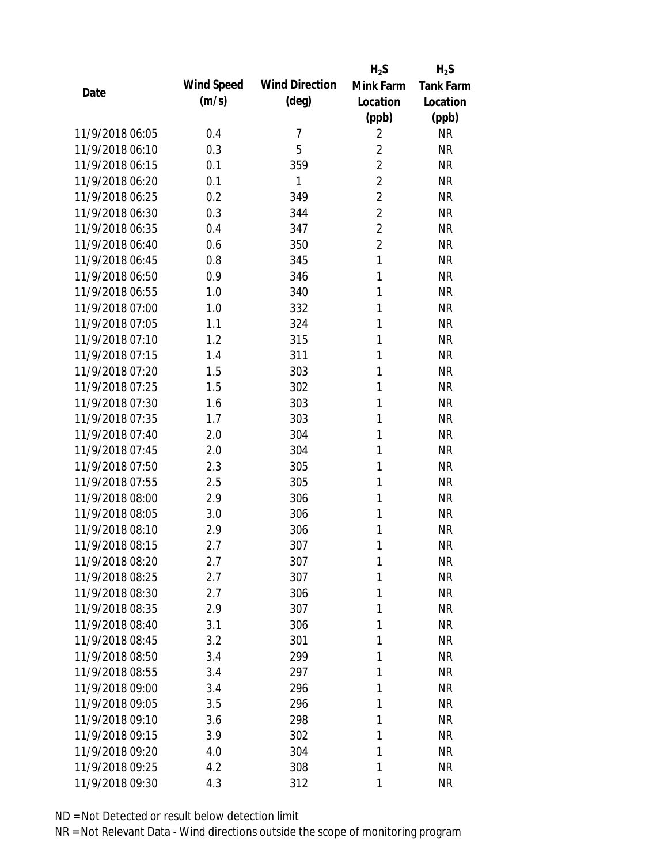|                 |            |                       | $H_2S$         | $H_2S$           |
|-----------------|------------|-----------------------|----------------|------------------|
| Date            | Wind Speed | <b>Wind Direction</b> | Mink Farm      | <b>Tank Farm</b> |
|                 | (m/s)      | $(\text{deg})$        | Location       | Location         |
|                 |            |                       | (ppb)          | (ppb)            |
| 11/9/2018 06:05 | 0.4        | 7                     | $\overline{2}$ | <b>NR</b>        |
| 11/9/2018 06:10 | 0.3        | 5                     | $\overline{2}$ | <b>NR</b>        |
| 11/9/2018 06:15 | 0.1        | 359                   | $\overline{2}$ | <b>NR</b>        |
| 11/9/2018 06:20 | 0.1        | 1                     | $\overline{2}$ | <b>NR</b>        |
| 11/9/2018 06:25 | 0.2        | 349                   | $\overline{2}$ | <b>NR</b>        |
| 11/9/2018 06:30 | 0.3        | 344                   | $\overline{2}$ | <b>NR</b>        |
| 11/9/2018 06:35 | 0.4        | 347                   | $\overline{2}$ | <b>NR</b>        |
| 11/9/2018 06:40 | 0.6        | 350                   | $\overline{2}$ | <b>NR</b>        |
| 11/9/2018 06:45 | 0.8        | 345                   | $\mathbf{1}$   | <b>NR</b>        |
| 11/9/2018 06:50 | 0.9        | 346                   | 1              | <b>NR</b>        |
| 11/9/2018 06:55 | 1.0        | 340                   | 1              | <b>NR</b>        |
| 11/9/2018 07:00 | 1.0        | 332                   | 1              | <b>NR</b>        |
| 11/9/2018 07:05 | 1.1        | 324                   | 1              | <b>NR</b>        |
| 11/9/2018 07:10 | 1.2        | 315                   | 1              | <b>NR</b>        |
| 11/9/2018 07:15 | 1.4        | 311                   | 1              | <b>NR</b>        |
| 11/9/2018 07:20 | 1.5        | 303                   | 1              | <b>NR</b>        |
| 11/9/2018 07:25 | 1.5        | 302                   | 1              | <b>NR</b>        |
| 11/9/2018 07:30 | 1.6        | 303                   | 1              | <b>NR</b>        |
| 11/9/2018 07:35 | 1.7        | 303                   | 1              | <b>NR</b>        |
| 11/9/2018 07:40 | 2.0        | 304                   | 1              | <b>NR</b>        |
| 11/9/2018 07:45 | 2.0        | 304                   | 1              | <b>NR</b>        |
| 11/9/2018 07:50 | 2.3        | 305                   | 1              | <b>NR</b>        |
| 11/9/2018 07:55 | 2.5        | 305                   | 1              | <b>NR</b>        |
| 11/9/2018 08:00 | 2.9        | 306                   | 1              | <b>NR</b>        |
| 11/9/2018 08:05 | 3.0        | 306                   | 1              | <b>NR</b>        |
| 11/9/2018 08:10 | 2.9        | 306                   | 1              | <b>NR</b>        |
| 11/9/2018 08:15 | 2.7        | 307                   | 1              | <b>NR</b>        |
| 11/9/2018 08:20 | 2.7        | 307                   | 1              | <b>NR</b>        |
| 11/9/2018 08:25 | 2.7        | 307                   | 1              | <b>NR</b>        |
| 11/9/2018 08:30 | 2.7        | 306                   | 1              | <b>NR</b>        |
| 11/9/2018 08:35 | 2.9        | 307                   | 1              | <b>NR</b>        |
| 11/9/2018 08:40 | 3.1        | 306                   | 1              | NR               |
| 11/9/2018 08:45 | 3.2        | 301                   | 1              | NR               |
| 11/9/2018 08:50 | 3.4        | 299                   | 1              | <b>NR</b>        |
| 11/9/2018 08:55 | 3.4        | 297                   | 1              | <b>NR</b>        |
| 11/9/2018 09:00 | 3.4        | 296                   | 1              | <b>NR</b>        |
| 11/9/2018 09:05 | 3.5        | 296                   | 1              | <b>NR</b>        |
| 11/9/2018 09:10 | 3.6        | 298                   | 1              | NR               |
| 11/9/2018 09:15 | 3.9        | 302                   | 1              | NR               |
| 11/9/2018 09:20 | 4.0        | 304                   | 1              | NR               |
| 11/9/2018 09:25 | 4.2        | 308                   | 1              | <b>NR</b>        |
| 11/9/2018 09:30 | 4.3        | 312                   | 1              | <b>NR</b>        |
|                 |            |                       |                |                  |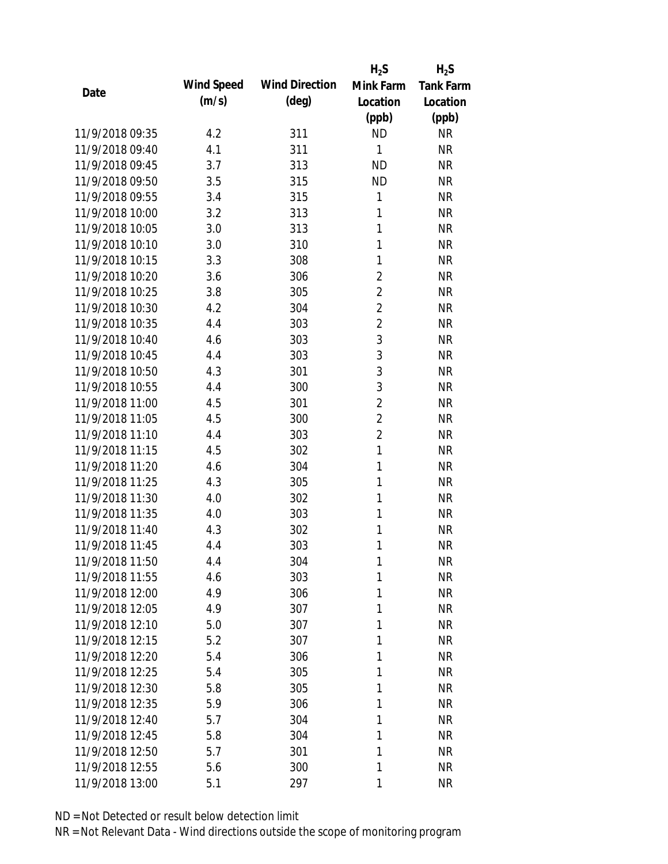|                 |            |                       | $H_2S$         | $H_2S$           |
|-----------------|------------|-----------------------|----------------|------------------|
|                 | Wind Speed | <b>Wind Direction</b> | Mink Farm      | <b>Tank Farm</b> |
| Date            | (m/s)      | $(\text{deg})$        | Location       | Location         |
|                 |            |                       | (ppb)          | (ppb)            |
| 11/9/2018 09:35 | 4.2        | 311                   | <b>ND</b>      | <b>NR</b>        |
| 11/9/2018 09:40 | 4.1        | 311                   | 1              | <b>NR</b>        |
| 11/9/2018 09:45 | 3.7        | 313                   | <b>ND</b>      | <b>NR</b>        |
| 11/9/2018 09:50 | 3.5        | 315                   | <b>ND</b>      | <b>NR</b>        |
| 11/9/2018 09:55 | 3.4        | 315                   | $\mathbf{1}$   | <b>NR</b>        |
| 11/9/2018 10:00 | 3.2        | 313                   | 1              | <b>NR</b>        |
| 11/9/2018 10:05 | 3.0        | 313                   | 1              | <b>NR</b>        |
| 11/9/2018 10:10 | 3.0        | 310                   | 1              | <b>NR</b>        |
| 11/9/2018 10:15 | 3.3        | 308                   | 1              | <b>NR</b>        |
| 11/9/2018 10:20 | 3.6        | 306                   | $\overline{2}$ | <b>NR</b>        |
| 11/9/2018 10:25 | 3.8        | 305                   | $\overline{2}$ | <b>NR</b>        |
| 11/9/2018 10:30 | 4.2        | 304                   | $\overline{2}$ | <b>NR</b>        |
| 11/9/2018 10:35 | 4.4        | 303                   | $\overline{2}$ | <b>NR</b>        |
| 11/9/2018 10:40 | 4.6        | 303                   | 3              | <b>NR</b>        |
| 11/9/2018 10:45 | 4.4        | 303                   | 3              | <b>NR</b>        |
| 11/9/2018 10:50 | 4.3        | 301                   | 3              | <b>NR</b>        |
| 11/9/2018 10:55 | 4.4        | 300                   | 3              | <b>NR</b>        |
| 11/9/2018 11:00 | 4.5        | 301                   | $\overline{2}$ | <b>NR</b>        |
| 11/9/2018 11:05 | 4.5        | 300                   | $\overline{2}$ | <b>NR</b>        |
| 11/9/2018 11:10 | 4.4        | 303                   | $\overline{2}$ | <b>NR</b>        |
| 11/9/2018 11:15 | 4.5        | 302                   | $\mathbf{1}$   | <b>NR</b>        |
| 11/9/2018 11:20 | 4.6        | 304                   | 1              | <b>NR</b>        |
| 11/9/2018 11:25 | 4.3        | 305                   | 1              | <b>NR</b>        |
| 11/9/2018 11:30 | 4.0        | 302                   | 1              | <b>NR</b>        |
| 11/9/2018 11:35 | 4.0        | 303                   | 1              | <b>NR</b>        |
| 11/9/2018 11:40 | 4.3        | 302                   | 1              | <b>NR</b>        |
| 11/9/2018 11:45 | 4.4        | 303                   | 1              | <b>NR</b>        |
| 11/9/2018 11:50 | 4.4        | 304                   | 1              | <b>NR</b>        |
| 11/9/2018 11:55 | 4.6        | 303                   | 1              | <b>NR</b>        |
| 11/9/2018 12:00 | 4.9        | 306                   | 1              | <b>NR</b>        |
| 11/9/2018 12:05 | 4.9        | 307                   | 1              | <b>NR</b>        |
| 11/9/2018 12:10 | 5.0        | 307                   | 1              | <b>NR</b>        |
| 11/9/2018 12:15 | 5.2        | 307                   | 1              | <b>NR</b>        |
| 11/9/2018 12:20 | 5.4        | 306                   | 1              | <b>NR</b>        |
| 11/9/2018 12:25 | 5.4        | 305                   | 1              | <b>NR</b>        |
| 11/9/2018 12:30 | 5.8        | 305                   | 1              | <b>NR</b>        |
| 11/9/2018 12:35 | 5.9        | 306                   | 1              | <b>NR</b>        |
| 11/9/2018 12:40 | 5.7        | 304                   | 1              | <b>NR</b>        |
| 11/9/2018 12:45 | 5.8        | 304                   | 1              | <b>NR</b>        |
| 11/9/2018 12:50 | 5.7        | 301                   | 1              | <b>NR</b>        |
| 11/9/2018 12:55 | 5.6        | 300                   | 1              | <b>NR</b>        |
| 11/9/2018 13:00 | 5.1        | 297                   | 1              | <b>NR</b>        |
|                 |            |                       |                |                  |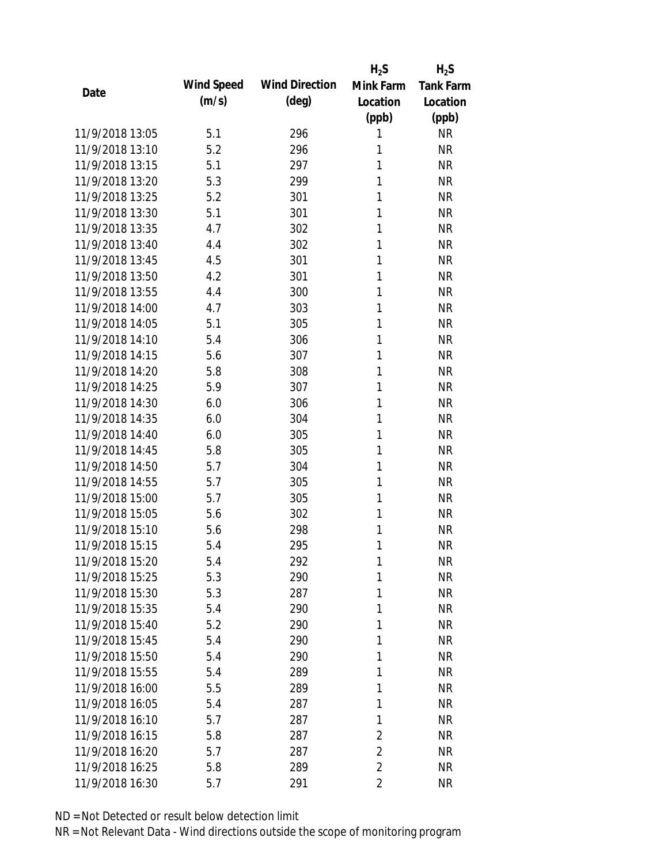|                 |            |                       | $H_2S$         | $H_2S$           |
|-----------------|------------|-----------------------|----------------|------------------|
|                 | Wind Speed | <b>Wind Direction</b> | Mink Farm      | <b>Tank Farm</b> |
| Date            | (m/s)      | $(\text{deg})$        | Location       | Location         |
|                 |            |                       | (ppb)          | (ppb)            |
| 11/9/2018 13:05 | 5.1        | 296                   | 1              | <b>NR</b>        |
| 11/9/2018 13:10 | 5.2        | 296                   | 1              | <b>NR</b>        |
| 11/9/2018 13:15 | 5.1        | 297                   | 1              | <b>NR</b>        |
| 11/9/2018 13:20 | 5.3        | 299                   | 1              | <b>NR</b>        |
| 11/9/2018 13:25 | 5.2        | 301                   | 1              | <b>NR</b>        |
| 11/9/2018 13:30 | 5.1        | 301                   | 1              | <b>NR</b>        |
| 11/9/2018 13:35 | 4.7        | 302                   | 1              | <b>NR</b>        |
| 11/9/2018 13:40 | 4.4        | 302                   | 1              | <b>NR</b>        |
| 11/9/2018 13:45 | 4.5        | 301                   | 1              | <b>NR</b>        |
| 11/9/2018 13:50 | 4.2        | 301                   | 1              | <b>NR</b>        |
| 11/9/2018 13:55 | 4.4        | 300                   | 1              | <b>NR</b>        |
| 11/9/2018 14:00 | 4.7        | 303                   | 1              | <b>NR</b>        |
| 11/9/2018 14:05 | 5.1        | 305                   | 1              | <b>NR</b>        |
| 11/9/2018 14:10 | 5.4        | 306                   | 1              | <b>NR</b>        |
| 11/9/2018 14:15 | 5.6        | 307                   | 1              | <b>NR</b>        |
| 11/9/2018 14:20 | 5.8        | 308                   | 1              | <b>NR</b>        |
| 11/9/2018 14:25 | 5.9        | 307                   | 1              | <b>NR</b>        |
| 11/9/2018 14:30 | 6.0        | 306                   | 1              | <b>NR</b>        |
| 11/9/2018 14:35 | 6.0        | 304                   | 1              | <b>NR</b>        |
| 11/9/2018 14:40 | 6.0        | 305                   | 1              | <b>NR</b>        |
| 11/9/2018 14:45 | 5.8        | 305                   | 1              | <b>NR</b>        |
| 11/9/2018 14:50 | 5.7        | 304                   | 1              | <b>NR</b>        |
| 11/9/2018 14:55 | 5.7        | 305                   | 1              | <b>NR</b>        |
| 11/9/2018 15:00 | 5.7        | 305                   | 1              | <b>NR</b>        |
| 11/9/2018 15:05 | 5.6        | 302                   | 1              | <b>NR</b>        |
| 11/9/2018 15:10 | 5.6        | 298                   | 1              | <b>NR</b>        |
| 11/9/2018 15:15 | 5.4        | 295                   | 1              | <b>NR</b>        |
| 11/9/2018 15:20 | 5.4        | 292                   | 1              | <b>NR</b>        |
| 11/9/2018 15:25 | 5.3        | 290                   | 1              | <b>NR</b>        |
| 11/9/2018 15:30 | 5.3        | 287                   | 1              | <b>NR</b>        |
| 11/9/2018 15:35 | 5.4        | 290                   | 1              | <b>NR</b>        |
| 11/9/2018 15:40 | 5.2        | 290                   | 1              | <b>NR</b>        |
| 11/9/2018 15:45 | 5.4        | 290                   | 1              | <b>NR</b>        |
| 11/9/2018 15:50 | 5.4        | 290                   | 1              | <b>NR</b>        |
| 11/9/2018 15:55 | 5.4        | 289                   | $\mathbf{1}$   | <b>NR</b>        |
| 11/9/2018 16:00 | 5.5        | 289                   | 1              | <b>NR</b>        |
| 11/9/2018 16:05 | 5.4        | 287                   | 1              | <b>NR</b>        |
| 11/9/2018 16:10 | 5.7        | 287                   | 1              | <b>NR</b>        |
| 11/9/2018 16:15 | 5.8        | 287                   | $\overline{2}$ | <b>NR</b>        |
| 11/9/2018 16:20 | 5.7        | 287                   | $\overline{2}$ | <b>NR</b>        |
| 11/9/2018 16:25 | 5.8        | 289                   | $\overline{2}$ | <b>NR</b>        |
|                 |            |                       |                |                  |
| 11/9/2018 16:30 | 5.7        | 291                   | $\overline{2}$ | <b>NR</b>        |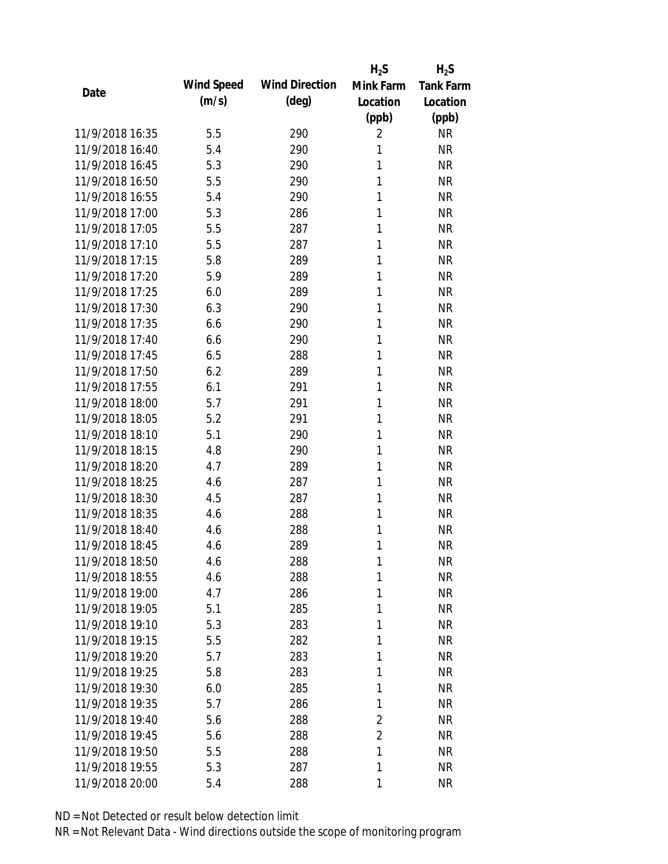|                 |            |                       | $H_2S$         | $H_2S$           |
|-----------------|------------|-----------------------|----------------|------------------|
| Date            | Wind Speed | <b>Wind Direction</b> | Mink Farm      | <b>Tank Farm</b> |
|                 | (m/s)      | $(\text{deg})$        | Location       | Location         |
|                 |            |                       | (ppb)          | (ppb)            |
| 11/9/2018 16:35 | 5.5        | 290                   | 2              | <b>NR</b>        |
| 11/9/2018 16:40 | 5.4        | 290                   | 1              | <b>NR</b>        |
| 11/9/2018 16:45 | 5.3        | 290                   | 1              | <b>NR</b>        |
| 11/9/2018 16:50 | 5.5        | 290                   | 1              | <b>NR</b>        |
| 11/9/2018 16:55 | 5.4        | 290                   | 1              | <b>NR</b>        |
| 11/9/2018 17:00 | 5.3        | 286                   | 1              | <b>NR</b>        |
| 11/9/2018 17:05 | 5.5        | 287                   | 1              | <b>NR</b>        |
| 11/9/2018 17:10 | 5.5        | 287                   | 1              | <b>NR</b>        |
| 11/9/2018 17:15 | 5.8        | 289                   | 1              | <b>NR</b>        |
| 11/9/2018 17:20 | 5.9        | 289                   | 1              | <b>NR</b>        |
| 11/9/2018 17:25 | 6.0        | 289                   | 1              | <b>NR</b>        |
| 11/9/2018 17:30 | 6.3        | 290                   | 1              | <b>NR</b>        |
| 11/9/2018 17:35 | 6.6        | 290                   | 1              | <b>NR</b>        |
| 11/9/2018 17:40 | 6.6        | 290                   | 1              | <b>NR</b>        |
| 11/9/2018 17:45 | 6.5        | 288                   | 1              | <b>NR</b>        |
| 11/9/2018 17:50 | 6.2        | 289                   | 1              | <b>NR</b>        |
| 11/9/2018 17:55 | 6.1        | 291                   | 1              | <b>NR</b>        |
| 11/9/2018 18:00 | 5.7        | 291                   | 1              | <b>NR</b>        |
| 11/9/2018 18:05 | 5.2        | 291                   | 1              | <b>NR</b>        |
| 11/9/2018 18:10 | 5.1        | 290                   | 1              | <b>NR</b>        |
| 11/9/2018 18:15 | 4.8        | 290                   | 1              | <b>NR</b>        |
| 11/9/2018 18:20 | 4.7        | 289                   | 1              | <b>NR</b>        |
| 11/9/2018 18:25 | 4.6        | 287                   | 1              | <b>NR</b>        |
| 11/9/2018 18:30 | 4.5        | 287                   | 1              | <b>NR</b>        |
| 11/9/2018 18:35 | 4.6        | 288                   | 1              | <b>NR</b>        |
| 11/9/2018 18:40 | 4.6        | 288                   | 1              | <b>NR</b>        |
| 11/9/2018 18:45 | 4.6        | 289                   | 1              | <b>NR</b>        |
| 11/9/2018 18:50 | 4.6        | 288                   | 1              | <b>NR</b>        |
| 11/9/2018 18:55 | 4.6        | 288                   | 1              | <b>NR</b>        |
| 11/9/2018 19:00 | 4.7        | 286                   | 1              | <b>NR</b>        |
| 11/9/2018 19:05 | 5.1        | 285                   | 1              | <b>NR</b>        |
| 11/9/2018 19:10 | 5.3        | 283                   | 1              | NR               |
| 11/9/2018 19:15 | 5.5        | 282                   | 1              | <b>NR</b>        |
| 11/9/2018 19:20 | 5.7        | 283                   | 1              | <b>NR</b>        |
| 11/9/2018 19:25 | 5.8        | 283                   | 1              | <b>NR</b>        |
| 11/9/2018 19:30 | 6.0        | 285                   | 1              | <b>NR</b>        |
| 11/9/2018 19:35 | 5.7        | 286                   | 1              | <b>NR</b>        |
| 11/9/2018 19:40 | 5.6        | 288                   | 2              | <b>NR</b>        |
| 11/9/2018 19:45 | 5.6        | 288                   | $\overline{2}$ | <b>NR</b>        |
| 11/9/2018 19:50 | 5.5        | 288                   | 1              | NR               |
| 11/9/2018 19:55 | 5.3        |                       | 1              | <b>NR</b>        |
|                 |            | 287                   |                |                  |
| 11/9/2018 20:00 | 5.4        | 288                   | 1              | <b>NR</b>        |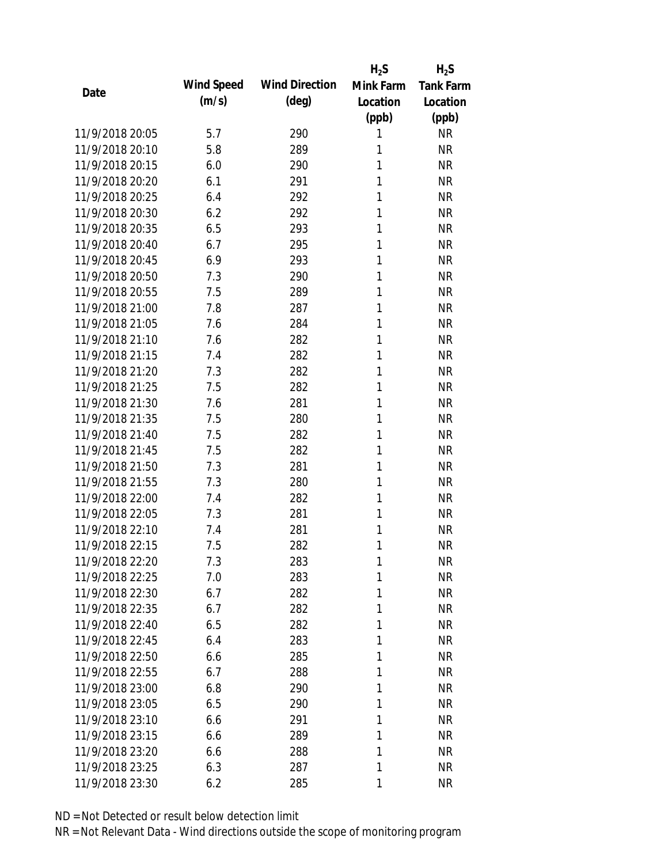|                 |            |                       | $H_2S$       | $H_2S$           |
|-----------------|------------|-----------------------|--------------|------------------|
| Date            | Wind Speed | <b>Wind Direction</b> | Mink Farm    | <b>Tank Farm</b> |
|                 | (m/s)      | $(\text{deg})$        | Location     | Location         |
|                 |            |                       | (ppb)        | (ppb)            |
| 11/9/2018 20:05 | 5.7        | 290                   | 1            | <b>NR</b>        |
| 11/9/2018 20:10 | 5.8        | 289                   | 1            | <b>NR</b>        |
| 11/9/2018 20:15 | 6.0        | 290                   | 1            | <b>NR</b>        |
| 11/9/2018 20:20 | 6.1        | 291                   | 1            | <b>NR</b>        |
| 11/9/2018 20:25 | 6.4        | 292                   | 1            | <b>NR</b>        |
| 11/9/2018 20:30 | 6.2        | 292                   | 1            | <b>NR</b>        |
| 11/9/2018 20:35 | 6.5        | 293                   | 1            | <b>NR</b>        |
| 11/9/2018 20:40 | 6.7        | 295                   | 1            | <b>NR</b>        |
| 11/9/2018 20:45 | 6.9        | 293                   | 1            | <b>NR</b>        |
| 11/9/2018 20:50 | 7.3        | 290                   | 1            | <b>NR</b>        |
| 11/9/2018 20:55 | 7.5        | 289                   | 1            | <b>NR</b>        |
| 11/9/2018 21:00 | 7.8        | 287                   | 1            | <b>NR</b>        |
| 11/9/2018 21:05 | 7.6        | 284                   | 1            | <b>NR</b>        |
| 11/9/2018 21:10 | 7.6        | 282                   | 1            | <b>NR</b>        |
| 11/9/2018 21:15 | 7.4        | 282                   | 1            | <b>NR</b>        |
| 11/9/2018 21:20 | 7.3        | 282                   | 1            | <b>NR</b>        |
| 11/9/2018 21:25 | 7.5        | 282                   | 1            | <b>NR</b>        |
| 11/9/2018 21:30 | 7.6        | 281                   | 1            | <b>NR</b>        |
| 11/9/2018 21:35 | 7.5        | 280                   | 1            | <b>NR</b>        |
| 11/9/2018 21:40 | 7.5        | 282                   | 1            | <b>NR</b>        |
| 11/9/2018 21:45 | 7.5        | 282                   | 1            | <b>NR</b>        |
| 11/9/2018 21:50 | 7.3        | 281                   | 1            | <b>NR</b>        |
| 11/9/2018 21:55 | 7.3        | 280                   | 1            | <b>NR</b>        |
| 11/9/2018 22:00 | 7.4        | 282                   | 1            | <b>NR</b>        |
| 11/9/2018 22:05 | 7.3        | 281                   | 1            | <b>NR</b>        |
| 11/9/2018 22:10 | 7.4        | 281                   | 1            | <b>NR</b>        |
| 11/9/2018 22:15 | 7.5        | 282                   | 1            | <b>NR</b>        |
| 11/9/2018 22:20 | 7.3        | 283                   | $\mathbf{1}$ | <b>NR</b>        |
| 11/9/2018 22:25 | 7.0        | 283                   | 1            | <b>NR</b>        |
| 11/9/2018 22:30 | 6.7        | 282                   | 1            | <b>NR</b>        |
| 11/9/2018 22:35 | 6.7        | 282                   | 1            | <b>NR</b>        |
| 11/9/2018 22:40 | 6.5        | 282                   | 1            | <b>NR</b>        |
| 11/9/2018 22:45 | 6.4        | 283                   | 1            | <b>NR</b>        |
| 11/9/2018 22:50 | 6.6        | 285                   | 1            | <b>NR</b>        |
| 11/9/2018 22:55 | 6.7        | 288                   | 1            | <b>NR</b>        |
| 11/9/2018 23:00 | 6.8        | 290                   | 1            | <b>NR</b>        |
| 11/9/2018 23:05 | 6.5        | 290                   | 1            | <b>NR</b>        |
| 11/9/2018 23:10 | 6.6        | 291                   | 1            | <b>NR</b>        |
| 11/9/2018 23:15 |            |                       | 1            | <b>NR</b>        |
| 11/9/2018 23:20 | 6.6        | 289                   | 1            | <b>NR</b>        |
|                 | 6.6        | 288                   |              |                  |
| 11/9/2018 23:25 | 6.3        | 287                   | 1            | <b>NR</b>        |
| 11/9/2018 23:30 | 6.2        | 285                   | 1            | <b>NR</b>        |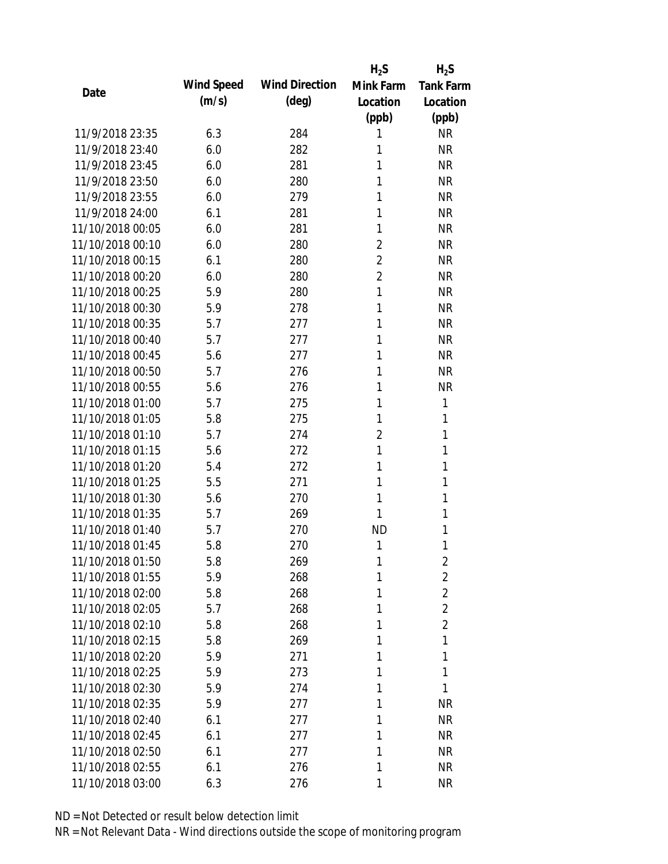|                  |            |                       | $H_2S$         | $H_2S$           |
|------------------|------------|-----------------------|----------------|------------------|
| Date             | Wind Speed | <b>Wind Direction</b> | Mink Farm      | <b>Tank Farm</b> |
|                  | (m/s)      | $(\text{deg})$        | Location       | Location         |
|                  |            |                       | (ppb)          | (ppb)            |
| 11/9/2018 23:35  | 6.3        | 284                   | 1              | <b>NR</b>        |
| 11/9/2018 23:40  | 6.0        | 282                   | 1              | <b>NR</b>        |
| 11/9/2018 23:45  | 6.0        | 281                   | 1              | <b>NR</b>        |
| 11/9/2018 23:50  | 6.0        | 280                   | 1              | <b>NR</b>        |
| 11/9/2018 23:55  | 6.0        | 279                   | 1              | <b>NR</b>        |
| 11/9/2018 24:00  | 6.1        | 281                   | 1              | <b>NR</b>        |
| 11/10/2018 00:05 | 6.0        | 281                   | 1              | <b>NR</b>        |
| 11/10/2018 00:10 | 6.0        | 280                   | $\overline{2}$ | <b>NR</b>        |
| 11/10/2018 00:15 | 6.1        | 280                   | $\overline{2}$ | <b>NR</b>        |
| 11/10/2018 00:20 | 6.0        | 280                   | $\overline{2}$ | <b>NR</b>        |
| 11/10/2018 00:25 | 5.9        | 280                   | 1              | <b>NR</b>        |
| 11/10/2018 00:30 | 5.9        | 278                   | 1              | <b>NR</b>        |
| 11/10/2018 00:35 | 5.7        | 277                   | 1              | <b>NR</b>        |
| 11/10/2018 00:40 | 5.7        | 277                   | 1              | <b>NR</b>        |
| 11/10/2018 00:45 | 5.6        | 277                   | 1              | <b>NR</b>        |
| 11/10/2018 00:50 | 5.7        | 276                   | 1              | <b>NR</b>        |
| 11/10/2018 00:55 | 5.6        | 276                   | 1              | <b>NR</b>        |
| 11/10/2018 01:00 | 5.7        | 275                   | 1              | 1                |
| 11/10/2018 01:05 | 5.8        | 275                   | 1              | 1                |
| 11/10/2018 01:10 | 5.7        | 274                   | $\overline{2}$ | 1                |
| 11/10/2018 01:15 | 5.6        | 272                   | 1              | 1                |
| 11/10/2018 01:20 | 5.4        | 272                   | 1              | 1                |
| 11/10/2018 01:25 | 5.5        | 271                   | 1              | 1                |
| 11/10/2018 01:30 | 5.6        | 270                   | 1              | 1                |
| 11/10/2018 01:35 | 5.7        | 269                   | 1              | 1                |
| 11/10/2018 01:40 | 5.7        | 270                   | <b>ND</b>      | 1                |
| 11/10/2018 01:45 | 5.8        | 270                   | 1              | 1                |
| 11/10/2018 01:50 | 5.8        | 269                   | 1              | 2                |
| 11/10/2018 01:55 | 5.9        | 268                   | 1              | $\overline{2}$   |
| 11/10/2018 02:00 | 5.8        | 268                   | 1              | $\overline{2}$   |
| 11/10/2018 02:05 | 5.7        | 268                   | 1              | $\overline{2}$   |
| 11/10/2018 02:10 | 5.8        | 268                   | 1              | $\overline{2}$   |
| 11/10/2018 02:15 | 5.8        | 269                   | 1              | 1                |
| 11/10/2018 02:20 | 5.9        | 271                   | 1              | 1                |
| 11/10/2018 02:25 | 5.9        | 273                   | 1              | 1                |
| 11/10/2018 02:30 | 5.9        | 274                   | 1              | 1                |
| 11/10/2018 02:35 | 5.9        | 277                   | 1              | <b>NR</b>        |
| 11/10/2018 02:40 | 6.1        | 277                   | 1              | <b>NR</b>        |
| 11/10/2018 02:45 | 6.1        | 277                   | 1              | <b>NR</b>        |
| 11/10/2018 02:50 | 6.1        | 277                   | 1              | <b>NR</b>        |
| 11/10/2018 02:55 | 6.1        | 276                   | 1              | <b>NR</b>        |
| 11/10/2018 03:00 |            |                       |                | <b>NR</b>        |
|                  | 6.3        | 276                   | 1              |                  |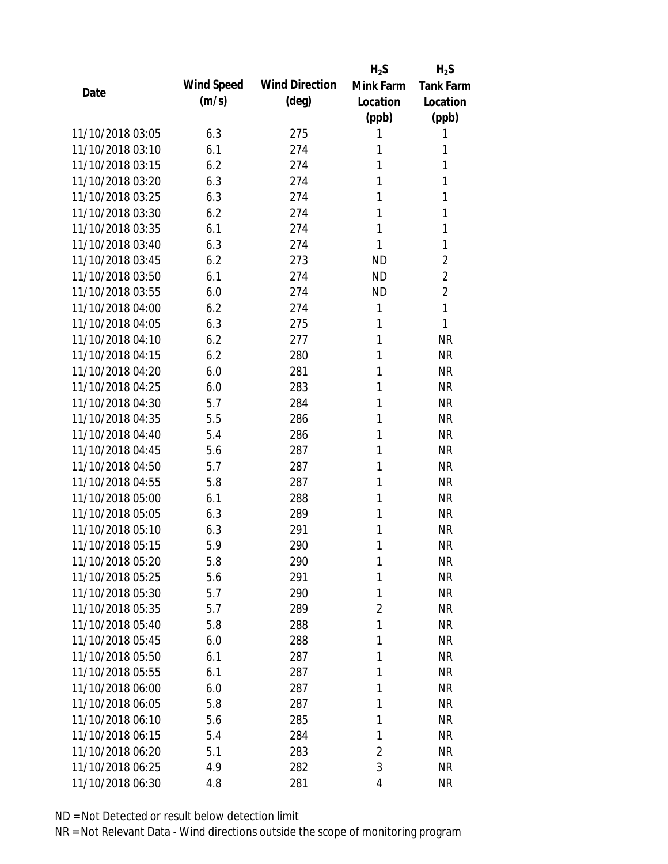|                  |            |                       | $H_2S$         | $H_2S$           |
|------------------|------------|-----------------------|----------------|------------------|
| Date             | Wind Speed | <b>Wind Direction</b> | Mink Farm      | <b>Tank Farm</b> |
|                  | (m/s)      | $(\text{deg})$        | Location       | Location         |
|                  |            |                       | (ppb)          | (ppb)            |
| 11/10/2018 03:05 | 6.3        | 275                   | 1              | 1                |
| 11/10/2018 03:10 | 6.1        | 274                   | 1              | 1                |
| 11/10/2018 03:15 | 6.2        | 274                   | 1              | 1                |
| 11/10/2018 03:20 | 6.3        | 274                   | 1              | 1                |
| 11/10/2018 03:25 | 6.3        | 274                   | 1              | 1                |
| 11/10/2018 03:30 | 6.2        | 274                   | 1              | 1                |
| 11/10/2018 03:35 | 6.1        | 274                   | 1              | 1                |
| 11/10/2018 03:40 | 6.3        | 274                   | 1              | 1                |
| 11/10/2018 03:45 | 6.2        | 273                   | <b>ND</b>      | $\overline{2}$   |
| 11/10/2018 03:50 | 6.1        | 274                   | <b>ND</b>      | $\overline{2}$   |
| 11/10/2018 03:55 | 6.0        | 274                   | <b>ND</b>      | $\overline{2}$   |
| 11/10/2018 04:00 | 6.2        | 274                   | $\mathbf{1}$   | 1                |
| 11/10/2018 04:05 | 6.3        | 275                   | 1              | 1                |
| 11/10/2018 04:10 | 6.2        | 277                   | 1              | <b>NR</b>        |
| 11/10/2018 04:15 | 6.2        | 280                   | 1              | <b>NR</b>        |
| 11/10/2018 04:20 | 6.0        | 281                   | 1              | <b>NR</b>        |
| 11/10/2018 04:25 | 6.0        | 283                   | 1              | <b>NR</b>        |
| 11/10/2018 04:30 | 5.7        | 284                   | 1              | <b>NR</b>        |
| 11/10/2018 04:35 | 5.5        | 286                   | 1              | <b>NR</b>        |
| 11/10/2018 04:40 | 5.4        | 286                   | 1              | <b>NR</b>        |
| 11/10/2018 04:45 | 5.6        | 287                   | 1              | <b>NR</b>        |
| 11/10/2018 04:50 | 5.7        | 287                   | 1              | <b>NR</b>        |
| 11/10/2018 04:55 | 5.8        | 287                   | 1              | <b>NR</b>        |
| 11/10/2018 05:00 | 6.1        | 288                   | 1              | <b>NR</b>        |
| 11/10/2018 05:05 | 6.3        | 289                   | 1              | <b>NR</b>        |
| 11/10/2018 05:10 | 6.3        | 291                   | 1              | <b>NR</b>        |
| 11/10/2018 05:15 | 5.9        | 290                   | 1              | <b>NR</b>        |
| 11/10/2018 05:20 | 5.8        | 290                   | 1              | <b>NR</b>        |
| 11/10/2018 05:25 | 5.6        | 291                   | 1              | <b>NR</b>        |
| 11/10/2018 05:30 | 5.7        | 290                   | 1              | <b>NR</b>        |
| 11/10/2018 05:35 | 5.7        | 289                   | $\overline{2}$ | <b>NR</b>        |
| 11/10/2018 05:40 | 5.8        | 288                   | 1              | <b>NR</b>        |
| 11/10/2018 05:45 | 6.0        | 288                   | 1              | <b>NR</b>        |
| 11/10/2018 05:50 | 6.1        | 287                   | 1              | <b>NR</b>        |
| 11/10/2018 05:55 | 6.1        | 287                   | 1              | <b>NR</b>        |
| 11/10/2018 06:00 | 6.0        | 287                   | 1              | <b>NR</b>        |
| 11/10/2018 06:05 | 5.8        | 287                   | 1              | <b>NR</b>        |
| 11/10/2018 06:10 | 5.6        | 285                   | 1              | <b>NR</b>        |
| 11/10/2018 06:15 | 5.4        | 284                   | 1              | <b>NR</b>        |
| 11/10/2018 06:20 | 5.1        | 283                   | 2              | <b>NR</b>        |
| 11/10/2018 06:25 | 4.9        | 282                   | 3              | <b>NR</b>        |
| 11/10/2018 06:30 | 4.8        | 281                   | 4              | <b>NR</b>        |
|                  |            |                       |                |                  |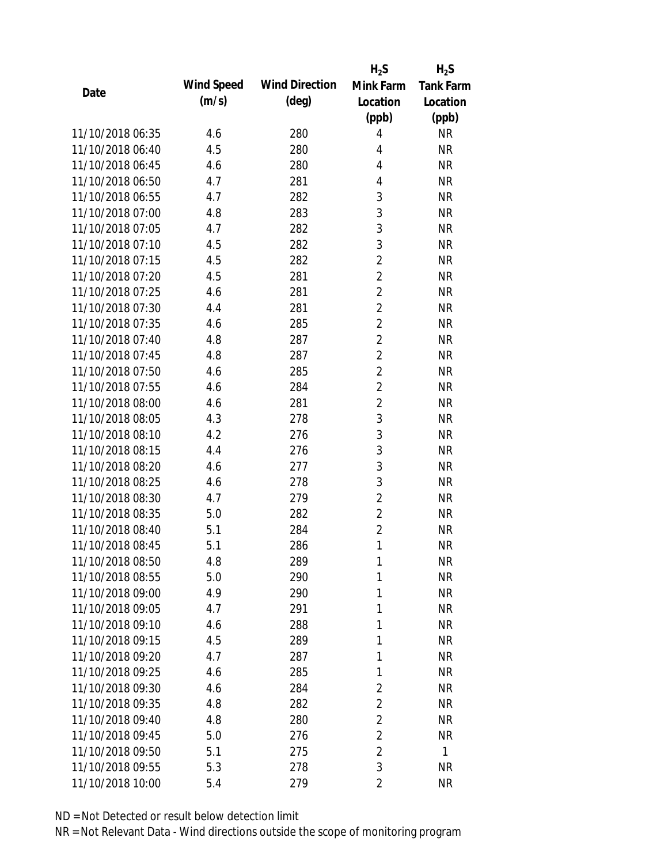|                  |            |                       | $H_2S$         | $H_2S$           |
|------------------|------------|-----------------------|----------------|------------------|
| Date             | Wind Speed | <b>Wind Direction</b> | Mink Farm      | <b>Tank Farm</b> |
|                  | (m/s)      | $(\text{deg})$        | Location       | Location         |
|                  |            |                       | (ppb)          | (ppb)            |
| 11/10/2018 06:35 | 4.6        | 280                   | 4              | <b>NR</b>        |
| 11/10/2018 06:40 | 4.5        | 280                   | 4              | <b>NR</b>        |
| 11/10/2018 06:45 | 4.6        | 280                   | 4              | <b>NR</b>        |
| 11/10/2018 06:50 | 4.7        | 281                   | 4              | <b>NR</b>        |
| 11/10/2018 06:55 | 4.7        | 282                   | 3              | <b>NR</b>        |
| 11/10/2018 07:00 | 4.8        | 283                   | 3              | <b>NR</b>        |
| 11/10/2018 07:05 | 4.7        | 282                   | 3              | <b>NR</b>        |
| 11/10/2018 07:10 | 4.5        | 282                   | 3              | <b>NR</b>        |
| 11/10/2018 07:15 | 4.5        | 282                   | $\overline{2}$ | <b>NR</b>        |
| 11/10/2018 07:20 | 4.5        | 281                   | $\overline{2}$ | <b>NR</b>        |
| 11/10/2018 07:25 | 4.6        | 281                   | $\overline{2}$ | <b>NR</b>        |
| 11/10/2018 07:30 | 4.4        | 281                   | $\overline{2}$ | <b>NR</b>        |
| 11/10/2018 07:35 | 4.6        | 285                   | $\overline{2}$ | <b>NR</b>        |
| 11/10/2018 07:40 | 4.8        | 287                   | $\overline{2}$ | <b>NR</b>        |
| 11/10/2018 07:45 | 4.8        | 287                   | $\overline{2}$ | <b>NR</b>        |
| 11/10/2018 07:50 | 4.6        | 285                   | $\overline{2}$ | <b>NR</b>        |
| 11/10/2018 07:55 | 4.6        | 284                   | $\overline{2}$ | <b>NR</b>        |
| 11/10/2018 08:00 | 4.6        | 281                   | $\overline{2}$ | <b>NR</b>        |
| 11/10/2018 08:05 | 4.3        | 278                   | 3              | <b>NR</b>        |
| 11/10/2018 08:10 | 4.2        | 276                   | 3              | <b>NR</b>        |
| 11/10/2018 08:15 | 4.4        | 276                   | 3              | <b>NR</b>        |
| 11/10/2018 08:20 | 4.6        | 277                   | 3              | <b>NR</b>        |
| 11/10/2018 08:25 | 4.6        | 278                   | 3              | <b>NR</b>        |
| 11/10/2018 08:30 | 4.7        | 279                   | $\overline{2}$ | <b>NR</b>        |
| 11/10/2018 08:35 | 5.0        | 282                   | $\overline{2}$ | <b>NR</b>        |
| 11/10/2018 08:40 | 5.1        | 284                   | $\overline{2}$ | <b>NR</b>        |
| 11/10/2018 08:45 | 5.1        | 286                   | $\mathbf{1}$   | <b>NR</b>        |
| 11/10/2018 08:50 | 4.8        | 289                   | 1              | <b>NR</b>        |
| 11/10/2018 08:55 | 5.0        | 290                   | 1              | <b>NR</b>        |
| 11/10/2018 09:00 | 4.9        | 290                   | 1              | <b>NR</b>        |
| 11/10/2018 09:05 | 4.7        | 291                   | 1              | <b>NR</b>        |
| 11/10/2018 09:10 | 4.6        | 288                   | 1              | <b>NR</b>        |
| 11/10/2018 09:15 | 4.5        | 289                   | 1              | <b>NR</b>        |
| 11/10/2018 09:20 | 4.7        | 287                   | 1              | <b>NR</b>        |
| 11/10/2018 09:25 | 4.6        | 285                   | 1              | <b>NR</b>        |
| 11/10/2018 09:30 | 4.6        | 284                   | $\overline{2}$ | <b>NR</b>        |
| 11/10/2018 09:35 | 4.8        | 282                   | $\overline{2}$ | <b>NR</b>        |
| 11/10/2018 09:40 | 4.8        | 280                   | $\overline{2}$ | <b>NR</b>        |
| 11/10/2018 09:45 | 5.0        | 276                   | $\overline{2}$ | <b>NR</b>        |
| 11/10/2018 09:50 | 5.1        | 275                   | $\overline{2}$ | 1                |
| 11/10/2018 09:55 | 5.3        | 278                   | 3              | <b>NR</b>        |
| 11/10/2018 10:00 | 5.4        | 279                   | 2              | <b>NR</b>        |
|                  |            |                       |                |                  |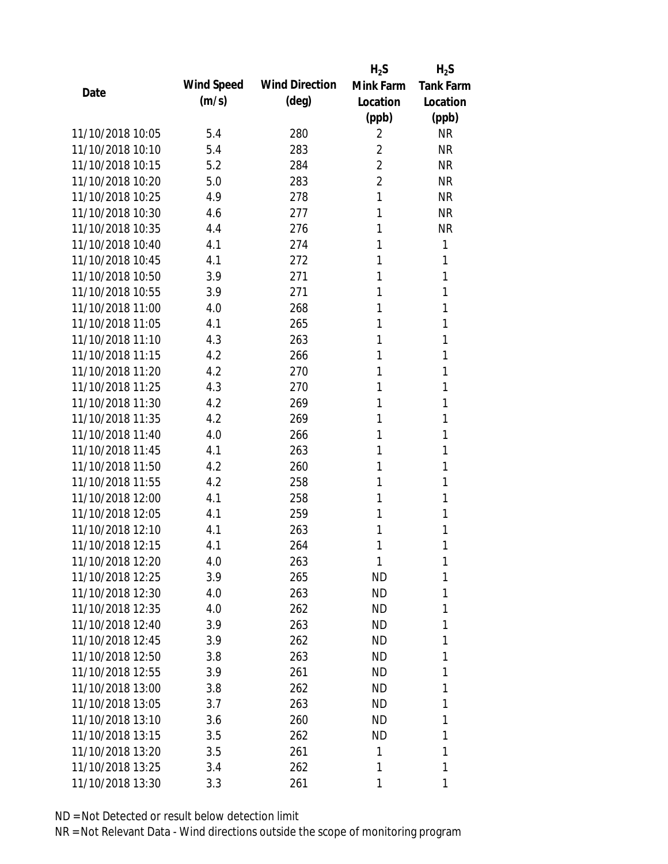|                  |            |                       | $H_2S$         | $H_2S$           |
|------------------|------------|-----------------------|----------------|------------------|
| Date             | Wind Speed | <b>Wind Direction</b> | Mink Farm      | <b>Tank Farm</b> |
|                  | (m/s)      | $(\text{deg})$        | Location       | Location         |
|                  |            |                       | (ppb)          | (ppb)            |
| 11/10/2018 10:05 | 5.4        | 280                   | 2              | <b>NR</b>        |
| 11/10/2018 10:10 | 5.4        | 283                   | $\overline{2}$ | <b>NR</b>        |
| 11/10/2018 10:15 | 5.2        | 284                   | $\overline{2}$ | <b>NR</b>        |
| 11/10/2018 10:20 | 5.0        | 283                   | $\overline{2}$ | <b>NR</b>        |
| 11/10/2018 10:25 | 4.9        | 278                   | 1              | <b>NR</b>        |
| 11/10/2018 10:30 | 4.6        | 277                   | 1              | <b>NR</b>        |
| 11/10/2018 10:35 | 4.4        | 276                   | 1              | <b>NR</b>        |
| 11/10/2018 10:40 | 4.1        | 274                   | 1              | 1                |
| 11/10/2018 10:45 | 4.1        | 272                   | 1              | 1                |
| 11/10/2018 10:50 | 3.9        | 271                   | 1              | 1                |
| 11/10/2018 10:55 | 3.9        | 271                   | 1              | 1                |
| 11/10/2018 11:00 | 4.0        | 268                   | 1              | 1                |
| 11/10/2018 11:05 | 4.1        | 265                   | 1              | 1                |
| 11/10/2018 11:10 | 4.3        | 263                   | 1              | 1                |
| 11/10/2018 11:15 | 4.2        | 266                   | 1              | 1                |
| 11/10/2018 11:20 | 4.2        | 270                   | 1              | 1                |
| 11/10/2018 11:25 | 4.3        | 270                   | 1              | 1                |
| 11/10/2018 11:30 | 4.2        | 269                   | 1              | 1                |
| 11/10/2018 11:35 | 4.2        | 269                   | 1              | 1                |
| 11/10/2018 11:40 | 4.0        | 266                   | 1              | 1                |
| 11/10/2018 11:45 | 4.1        | 263                   | 1              | 1                |
| 11/10/2018 11:50 | 4.2        | 260                   | 1              | 1                |
| 11/10/2018 11:55 | 4.2        | 258                   | 1              | 1                |
| 11/10/2018 12:00 | 4.1        | 258                   | 1              | 1                |
| 11/10/2018 12:05 | 4.1        | 259                   | 1              | 1                |
| 11/10/2018 12:10 | 4.1        | 263                   | 1              | 1                |
| 11/10/2018 12:15 | 4.1        | 264                   | 1              | 1                |
| 11/10/2018 12:20 | 4.0        | 263                   | 1              | 1                |
| 11/10/2018 12:25 | 3.9        | 265                   | <b>ND</b>      | 1                |
| 11/10/2018 12:30 | 4.0        | 263                   | ND             | 1                |
| 11/10/2018 12:35 | 4.0        | 262                   | ND             | 1                |
| 11/10/2018 12:40 | 3.9        | 263                   | <b>ND</b>      | 1                |
| 11/10/2018 12:45 | 3.9        | 262                   | ND             | 1                |
| 11/10/2018 12:50 | 3.8        | 263                   | <b>ND</b>      | 1                |
| 11/10/2018 12:55 | 3.9        | 261                   | ND             | 1                |
| 11/10/2018 13:00 | 3.8        | 262                   | ND             | 1                |
| 11/10/2018 13:05 | 3.7        | 263                   | ND             | 1                |
| 11/10/2018 13:10 | 3.6        | 260                   | ND             | 1                |
| 11/10/2018 13:15 | 3.5        | 262                   | <b>ND</b>      | 1                |
| 11/10/2018 13:20 | 3.5        | 261                   | 1              | 1                |
| 11/10/2018 13:25 | 3.4        | 262                   | 1              | 1                |
| 11/10/2018 13:30 | 3.3        | 261                   | 1              | 1                |
|                  |            |                       |                |                  |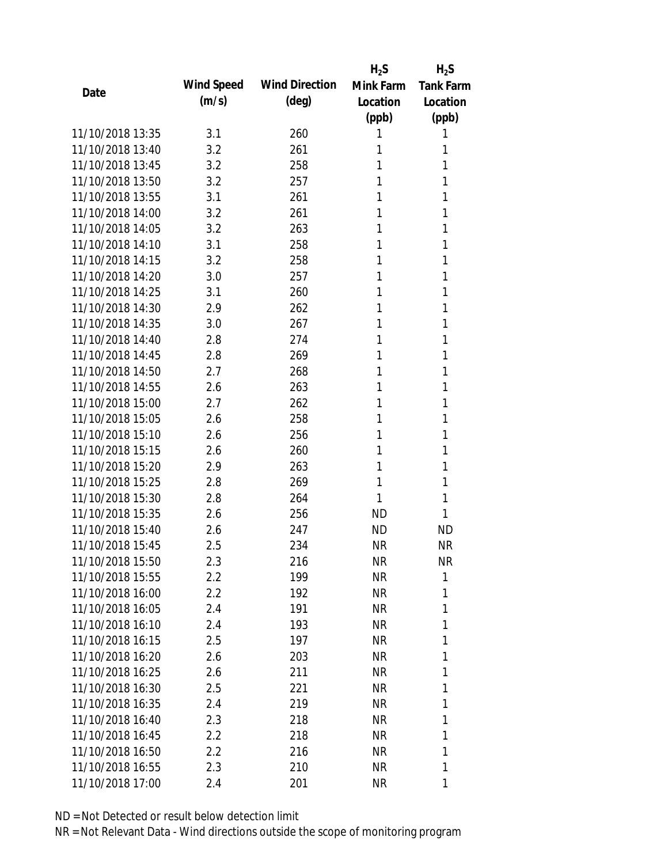|                  |            |                       | $H_2S$    | $H_2S$           |
|------------------|------------|-----------------------|-----------|------------------|
| Date             | Wind Speed | <b>Wind Direction</b> | Mink Farm | <b>Tank Farm</b> |
|                  | (m/s)      | $(\text{deg})$        | Location  | Location         |
|                  |            |                       | (ppb)     | (ppb)            |
| 11/10/2018 13:35 | 3.1        | 260                   | 1         | 1                |
| 11/10/2018 13:40 | 3.2        | 261                   | 1         | 1                |
| 11/10/2018 13:45 | 3.2        | 258                   | 1         | 1                |
| 11/10/2018 13:50 | 3.2        | 257                   | 1         | 1                |
| 11/10/2018 13:55 | 3.1        | 261                   | 1         | 1                |
| 11/10/2018 14:00 | 3.2        | 261                   | 1         | 1                |
| 11/10/2018 14:05 | 3.2        | 263                   | 1         | 1                |
| 11/10/2018 14:10 | 3.1        | 258                   | 1         | 1                |
| 11/10/2018 14:15 | 3.2        | 258                   | 1         | 1                |
| 11/10/2018 14:20 | 3.0        | 257                   | 1         | 1                |
| 11/10/2018 14:25 | 3.1        | 260                   | 1         | 1                |
| 11/10/2018 14:30 | 2.9        | 262                   | 1         | 1                |
| 11/10/2018 14:35 | 3.0        | 267                   | 1         | 1                |
| 11/10/2018 14:40 | 2.8        | 274                   | 1         | 1                |
| 11/10/2018 14:45 | 2.8        | 269                   | 1         | 1                |
| 11/10/2018 14:50 | 2.7        | 268                   | 1         | 1                |
| 11/10/2018 14:55 | 2.6        | 263                   | 1         | 1                |
| 11/10/2018 15:00 | 2.7        | 262                   | 1         | 1                |
| 11/10/2018 15:05 | 2.6        | 258                   | 1         | 1                |
| 11/10/2018 15:10 | 2.6        | 256                   | 1         | 1                |
| 11/10/2018 15:15 | 2.6        | 260                   | 1         | 1                |
| 11/10/2018 15:20 | 2.9        | 263                   | 1         | 1                |
| 11/10/2018 15:25 | 2.8        | 269                   | 1         | 1                |
| 11/10/2018 15:30 | 2.8        | 264                   | 1         | 1                |
| 11/10/2018 15:35 | 2.6        | 256                   | <b>ND</b> | 1                |
| 11/10/2018 15:40 | 2.6        | 247                   | <b>ND</b> | <b>ND</b>        |
| 11/10/2018 15:45 | 2.5        | 234                   | <b>NR</b> | <b>NR</b>        |
| 11/10/2018 15:50 | 2.3        | 216                   | <b>NR</b> | <b>NR</b>        |
| 11/10/2018 15:55 | $2.2\,$    | 199                   | <b>NR</b> | 1                |
| 11/10/2018 16:00 | 2.2        | 192                   | <b>NR</b> | 1                |
| 11/10/2018 16:05 | 2.4        | 191                   | <b>NR</b> | 1                |
| 11/10/2018 16:10 | 2.4        | 193                   | <b>NR</b> | 1                |
| 11/10/2018 16:15 | 2.5        | 197                   | <b>NR</b> | 1                |
| 11/10/2018 16:20 | 2.6        | 203                   | <b>NR</b> | 1                |
| 11/10/2018 16:25 | 2.6        | 211                   | <b>NR</b> | 1                |
| 11/10/2018 16:30 | 2.5        | 221                   | <b>NR</b> | 1                |
| 11/10/2018 16:35 | 2.4        | 219                   | <b>NR</b> | 1                |
| 11/10/2018 16:40 | 2.3        | 218                   | <b>NR</b> | 1                |
| 11/10/2018 16:45 | $2.2\,$    | 218                   | <b>NR</b> | 1                |
| 11/10/2018 16:50 | $2.2\,$    | 216                   | <b>NR</b> | 1                |
| 11/10/2018 16:55 | 2.3        | 210                   | <b>NR</b> | 1                |
| 11/10/2018 17:00 | 2.4        | 201                   | <b>NR</b> | 1                |
|                  |            |                       |           |                  |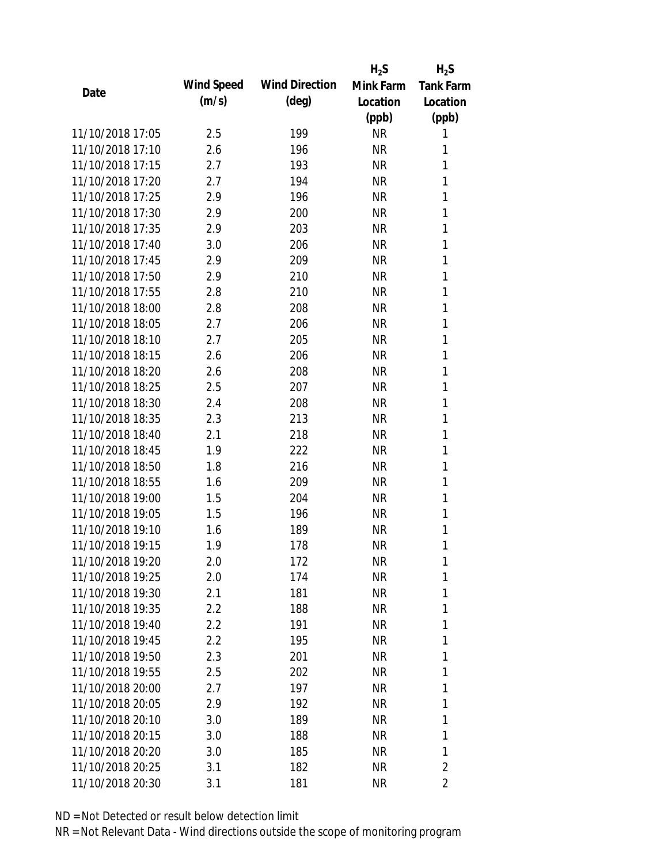|                  |            |                       | $H_2S$    | $H_2S$           |
|------------------|------------|-----------------------|-----------|------------------|
| Date             | Wind Speed | <b>Wind Direction</b> | Mink Farm | <b>Tank Farm</b> |
|                  | (m/s)      | $(\text{deg})$        | Location  | Location         |
|                  |            |                       | (ppb)     | (ppb)            |
| 11/10/2018 17:05 | 2.5        | 199                   | <b>NR</b> | 1                |
| 11/10/2018 17:10 | 2.6        | 196                   | <b>NR</b> | 1                |
| 11/10/2018 17:15 | 2.7        | 193                   | <b>NR</b> | 1                |
| 11/10/2018 17:20 | 2.7        | 194                   | <b>NR</b> | 1                |
| 11/10/2018 17:25 | 2.9        | 196                   | <b>NR</b> | 1                |
| 11/10/2018 17:30 | 2.9        | 200                   | <b>NR</b> | 1                |
| 11/10/2018 17:35 | 2.9        | 203                   | <b>NR</b> | 1                |
| 11/10/2018 17:40 | 3.0        | 206                   | <b>NR</b> | 1                |
| 11/10/2018 17:45 | 2.9        | 209                   | <b>NR</b> | 1                |
| 11/10/2018 17:50 | 2.9        | 210                   | <b>NR</b> | 1                |
| 11/10/2018 17:55 | 2.8        | 210                   | <b>NR</b> | 1                |
| 11/10/2018 18:00 | 2.8        | 208                   | <b>NR</b> | 1                |
| 11/10/2018 18:05 | 2.7        | 206                   | <b>NR</b> | 1                |
| 11/10/2018 18:10 | 2.7        | 205                   | <b>NR</b> | 1                |
| 11/10/2018 18:15 | 2.6        | 206                   | <b>NR</b> | 1                |
| 11/10/2018 18:20 | 2.6        | 208                   | <b>NR</b> | 1                |
| 11/10/2018 18:25 | 2.5        | 207                   | <b>NR</b> | 1                |
| 11/10/2018 18:30 | 2.4        | 208                   | <b>NR</b> | 1                |
| 11/10/2018 18:35 | 2.3        | 213                   | <b>NR</b> | 1                |
| 11/10/2018 18:40 | 2.1        | 218                   | <b>NR</b> | 1                |
| 11/10/2018 18:45 | 1.9        | 222                   | <b>NR</b> | 1                |
| 11/10/2018 18:50 | 1.8        | 216                   | <b>NR</b> | 1                |
| 11/10/2018 18:55 | 1.6        | 209                   | <b>NR</b> | 1                |
| 11/10/2018 19:00 | 1.5        | 204                   | <b>NR</b> | 1                |
| 11/10/2018 19:05 | 1.5        | 196                   | <b>NR</b> | 1                |
| 11/10/2018 19:10 | 1.6        | 189                   | <b>NR</b> | 1                |
| 11/10/2018 19:15 | 1.9        | 178                   | <b>NR</b> | 1                |
| 11/10/2018 19:20 | 2.0        | 172                   | <b>NR</b> | 1                |
| 11/10/2018 19:25 | 2.0        | 174                   | <b>NR</b> | 1                |
| 11/10/2018 19:30 | 2.1        | 181                   | <b>NR</b> | 1                |
| 11/10/2018 19:35 | 2.2        | 188                   | <b>NR</b> | 1                |
| 11/10/2018 19:40 | 2.2        | 191                   | <b>NR</b> | 1                |
| 11/10/2018 19:45 | 2.2        | 195                   | <b>NR</b> | 1                |
| 11/10/2018 19:50 | 2.3        | 201                   | <b>NR</b> | 1                |
| 11/10/2018 19:55 | 2.5        | 202                   | <b>NR</b> | 1                |
| 11/10/2018 20:00 | 2.7        | 197                   | <b>NR</b> | 1                |
| 11/10/2018 20:05 | 2.9        | 192                   | <b>NR</b> | 1                |
| 11/10/2018 20:10 | 3.0        | 189                   | <b>NR</b> | 1                |
| 11/10/2018 20:15 | 3.0        | 188                   | <b>NR</b> | 1                |
| 11/10/2018 20:20 | 3.0        | 185                   | <b>NR</b> | 1                |
| 11/10/2018 20:25 | 3.1        | 182                   | <b>NR</b> | $\overline{2}$   |
| 11/10/2018 20:30 | 3.1        | 181                   | <b>NR</b> | 2                |
|                  |            |                       |           |                  |